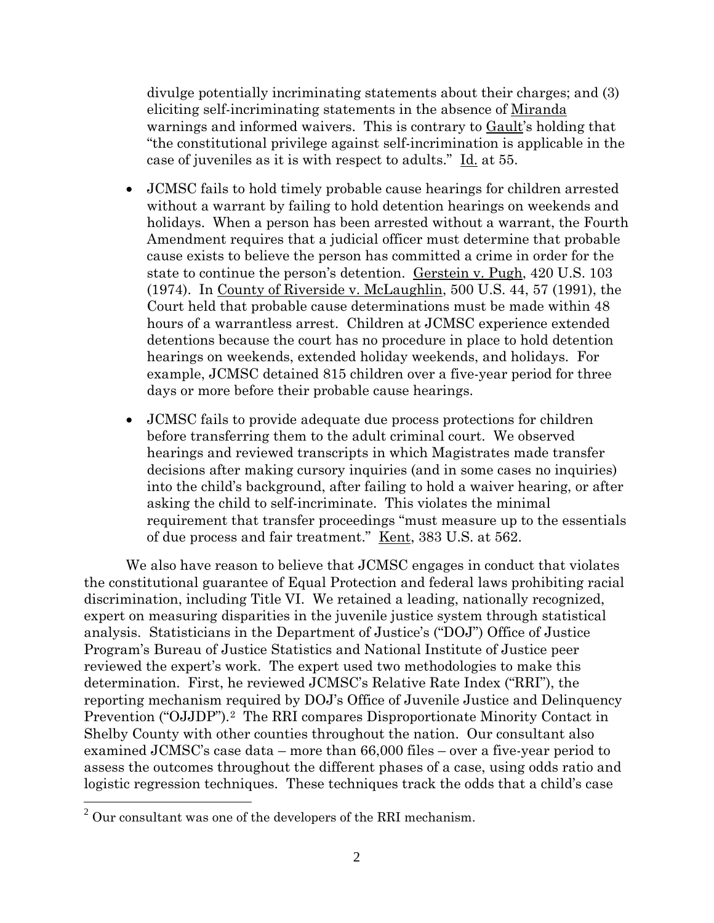divulge potentially incriminating statements about their charges; and (3) eliciting self-incriminating statements in the absence of Miranda warnings and informed waivers. This is contrary to **Gault's holding that** "the constitutional privilege against self-incrimination is applicable in the case of juveniles as it is with respect to adults." Id. at 55.

- JCMSC fails to hold timely probable cause hearings for children arrested without a warrant by failing to hold detention hearings on weekends and holidays. When a person has been arrested without a warrant, the Fourth Amendment requires that a judicial officer must determine that probable cause exists to believe the person has committed a crime in order for the state to continue the person's detention. Gerstein v. Pugh, 420 U.S. 103 (1974). In County of Riverside v. McLaughlin, 500 U.S. 44, 57 (1991), the Court held that probable cause determinations must be made within 48 hours of a warrantless arrest. Children at JCMSC experience extended detentions because the court has no procedure in place to hold detention hearings on weekends, extended holiday weekends, and holidays. For example, JCMSC detained 815 children over a five-year period for three days or more before their probable cause hearings.
- JCMSC fails to provide adequate due process protections for children before transferring them to the adult criminal court. We observed hearings and reviewed transcripts in which Magistrates made transfer decisions after making cursory inquiries (and in some cases no inquiries) into the child's background, after failing to hold a waiver hearing, or after asking the child to self-incriminate. This violates the minimal requirement that transfer proceedings "must measure up to the essentials of due process and fair treatment." <u>Kent</u>, 383 U.S. at 562.

We also have reason to believe that JCMSC engages in conduct that violates the constitutional guarantee of Equal Protection and federal laws prohibiting racial discrimination, including Title VI. We retained a leading, nationally recognized, expert on measuring disparities in the juvenile justice system through statistical analysis. Statisticians in the Department of Justice's ("DOJ") Office of Justice Program's Bureau of Justice Statistics and National Institute of Justice peer reviewed the expert's work. The expert used two methodologies to make this determination. First, he reviewed JCMSC's Relative Rate Index ("RRI"), the reporting mechanism required by DOJ's Office of Juvenile Justice and Delinquency Prevention ("OJJDP").<sup>[2](#page-3-0)</sup> The RRI compares Disproportionate Minority Contact in Shelby County with other counties throughout the nation. Our consultant also examined JCMSC's case data – more than 66,000 files – over a five-year period to assess the outcomes throughout the different phases of a case, using odds ratio and logistic regression techniques. These techniques track the odds that a child's case

<span id="page-3-0"></span> $^{2}$  Our consultant was one of the developers of the RRI mechanism.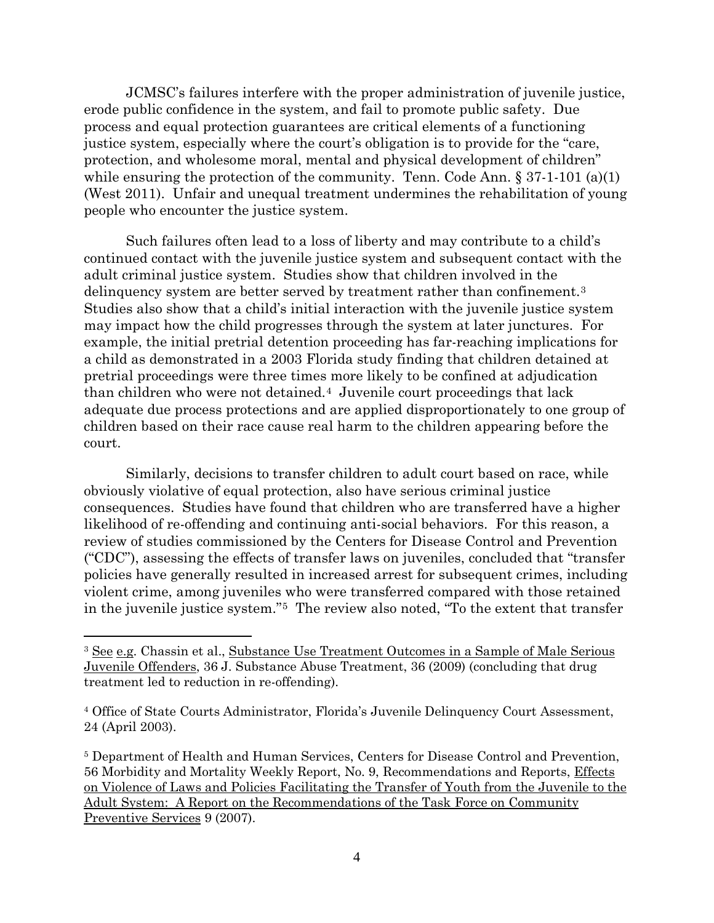JCMSC's failures interfere with the proper administration of juvenile justice, erode public confidence in the system, and fail to promote public safety. Due process and equal protection guarantees are critical elements of a functioning justice system, especially where the court's obligation is to provide for the "care, protection, and wholesome moral, mental and physical development of children" while ensuring the protection of the community. Tenn. Code Ann.  $\S 37-1-101$  (a)(1) (West 2011). Unfair and unequal treatment undermines the rehabilitation of young people who encounter the justice system.

Such failures often lead to a loss of liberty and may contribute to a child's continued contact with the juvenile justice system and subsequent contact with the adult criminal justice system. Studies show that children involved in the delinquency system are better served by treatment rather than confinement.[3](#page-5-0)  Studies also show that a child's initial interaction with the juvenile justice system may impact how the child progresses through the system at later junctures. For example, the initial pretrial detention proceeding has far-reaching implications for a child as demonstrated in a 2003 Florida study finding that children detained at pretrial proceedings were three times more likely to be confined at adjudication than children who were not detained.[4](#page-5-1) Juvenile court proceedings that lack adequate due process protections and are applied disproportionately to one group of children based on their race cause real harm to the children appearing before the court.

Similarly, decisions to transfer children to adult court based on race, while obviously violative of equal protection, also have serious criminal justice consequences. Studies have found that children who are transferred have a higher likelihood of re-offending and continuing anti-social behaviors. For this reason, a review of studies commissioned by the Centers for Disease Control and Prevention ("CDC"), assessing the effects of transfer laws on juveniles, concluded that "transfer policies have generally resulted in increased arrest for subsequent crimes, including violent crime, among juveniles who were transferred compared with those retained in the juvenile justice system." [5](#page-5-2) The review also noted, "To the extent that transfer

<span id="page-5-0"></span><sup>3</sup> See e.g. Chassin et al., Substance Use Treatment Outcomes in a Sample of Male Serious Juvenile Offenders, 36 J. Substance Abuse Treatment, 36 (2009) (concluding that drug treatment led to reduction in re-offending).

<span id="page-5-1"></span><sup>4</sup> Office of State Courts Administrator, Florida's Juvenile Delinquency Court Assessment, 24 (April 2003).

<span id="page-5-2"></span><sup>5</sup> Department of Health and Human Services, Centers for Disease Control and Prevention, 56 Morbidity and Mortality Weekly Report, No. 9, Recommendations and Reports, Effects on Violence of Laws and Policies Facilitating the Transfer of Youth from the Juvenile to the Adult System: A Report on the Recommendations of the Task Force on Community Preventive Services 9 (2007).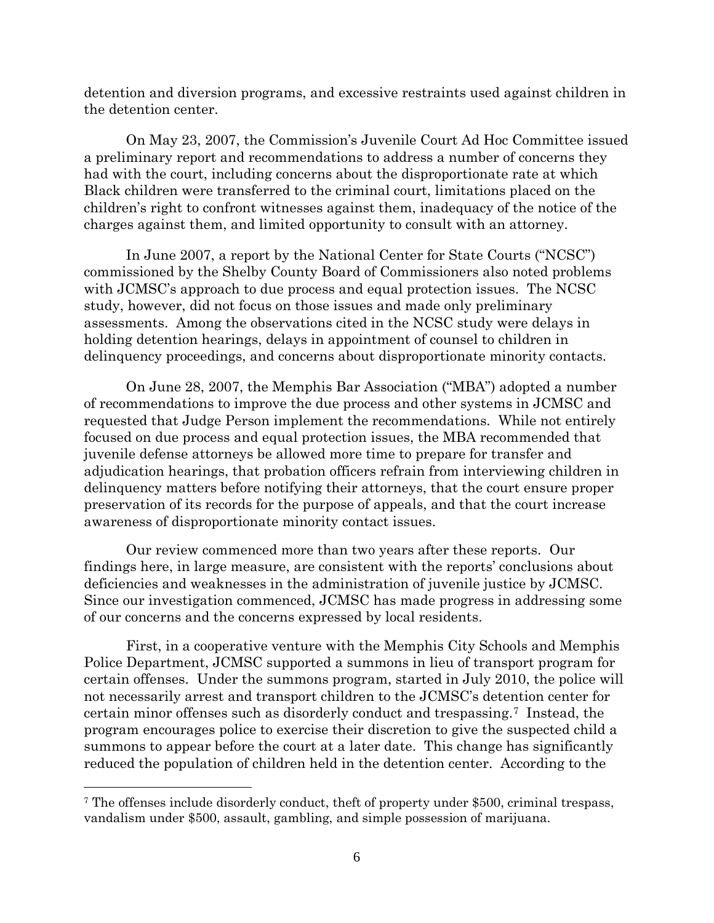detention and diversion programs, and excessive restraints used against children in the detention center.

On May 23, 2007, the Commission's Juvenile Court Ad Hoc Committee issued a preliminary report and recommendations to address a number of concerns they had with the court, including concerns about the disproportionate rate at which Black children were transferred to the criminal court, limitations placed on the children's right to confront witnesses against them, inadequacy of the notice of the charges against them, and limited opportunity to consult with an attorney.

In June 2007, a report by the National Center for State Courts ("NCSC") commissioned by the Shelby County Board of Commissioners also noted problems with JCMSC's approach to due process and equal protection issues. The NCSC study, however, did not focus on those issues and made only preliminary assessments. Among the observations cited in the NCSC study were delays in holding detention hearings, delays in appointment of counsel to children in delinquency proceedings, and concerns about disproportionate minority contacts.

On June 28, 2007, the Memphis Bar Association ("MBA") adopted a number of recommendations to improve the due process and other systems in JCMSC and requested that Judge Person implement the recommendations. While not entirely focused on due process and equal protection issues, the MBA recommended that juvenile defense attorneys be allowed more time to prepare for transfer and adjudication hearings, that probation officers refrain from interviewing children in delinquency matters before notifying their attorneys, that the court ensure proper preservation of its records for the purpose of appeals, and that the court increase awareness of disproportionate minority contact issues.

Our review commenced more than two years after these reports. Our findings here, in large measure, are consistent with the reports' conclusions about deficiencies and weaknesses in the administration of juvenile justice by JCMSC. Since our investigation commenced, JCMSC has made progress in addressing some of our concerns and the concerns expressed by local residents.

First, in a cooperative venture with the Memphis City Schools and Memphis Police Department, JCMSC supported a summons in lieu of transport program for certain offenses. Under the summons program, started in July 2010, the police will not necessarily arrest and transport children to the JCMSC's detention center for certain minor offenses such as disorderly conduct and trespassing.[7](#page-7-0) Instead, the program encourages police to exercise their discretion to give the suspected child a summons to appear before the court at a later date. This change has significantly reduced the population of children held in the detention center. According to the

<span id="page-7-0"></span><sup>7</sup> The offenses include disorderly conduct, theft of property under \$500, criminal trespass, vandalism under \$500, assault, gambling, and simple possession of marijuana.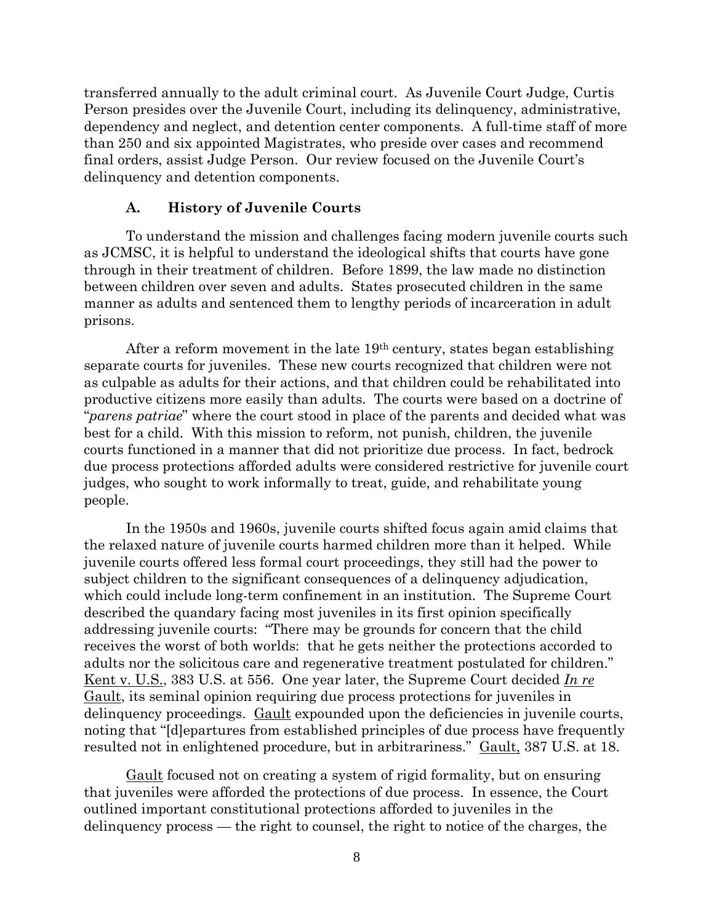transferred annually to the adult criminal court. As Juvenile Court Judge, Curtis Person presides over the Juvenile Court, including its delinquency, administrative, dependency and neglect, and detention center components. A full-time staff of more than 250 and six appointed Magistrates, who preside over cases and recommend final orders, assist Judge Person. Our review focused on the Juvenile Court's delinquency and detention components.

### **A. History of Juvenile Courts**

To understand the mission and challenges facing modern juvenile courts such as JCMSC, it is helpful to understand the ideological shifts that courts have gone through in their treatment of children. Before 1899, the law made no distinction between children over seven and adults. States prosecuted children in the same manner as adults and sentenced them to lengthy periods of incarceration in adult prisons.

After a reform movement in the late 19th century, states began establishing separate courts for juveniles. These new courts recognized that children were not as culpable as adults for their actions, and that children could be rehabilitated into productive citizens more easily than adults. The courts were based on a doctrine of "*parens patriae*" where the court stood in place of the parents and decided what was best for a child. With this mission to reform, not punish, children, the juvenile courts functioned in a manner that did not prioritize due process. In fact, bedrock due process protections afforded adults were considered restrictive for juvenile court judges, who sought to work informally to treat, guide, and rehabilitate young people.

In the 1950s and 1960s, juvenile courts shifted focus again amid claims that the relaxed nature of juvenile courts harmed children more than it helped. While juvenile courts offered less formal court proceedings, they still had the power to subject children to the significant consequences of a delinquency adjudication, which could include long-term confinement in an institution. The Supreme Court described the quandary facing most juveniles in its first opinion specifically addressing juvenile courts: "There may be grounds for concern that the child receives the worst of both worlds: that he gets neither the protections accorded to adults nor the solicitous care and regenerative treatment postulated for children." Kent v. U.S., 383 U.S. at 556. One year later, the Supreme Court decided *In re* Gault, its seminal opinion requiring due process protections for juveniles in delinquency proceedings. Gault expounded upon the deficiencies in juvenile courts, noting that "[d]epartures from established principles of due process have frequently resulted not in enlightened procedure, but in arbitrariness." Gault, 387 U.S. at 18.

Gault focused not on creating a system of rigid formality, but on ensuring that juveniles were afforded the protections of due process. In essence, the Court outlined important constitutional protections afforded to juveniles in the delinquency process — the right to counsel, the right to notice of the charges, the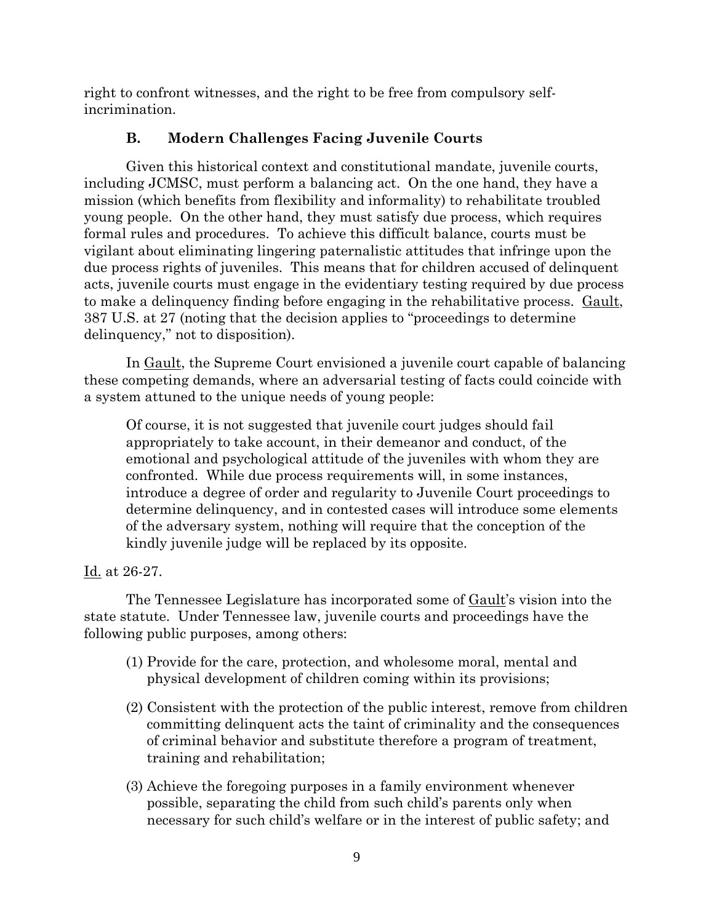right to confront witnesses, and the right to be free from compulsory selfincrimination.

# **B. Modern Challenges Facing Juvenile Courts**

Given this historical context and constitutional mandate, juvenile courts, including JCMSC, must perform a balancing act. On the one hand, they have a mission (which benefits from flexibility and informality) to rehabilitate troubled young people. On the other hand, they must satisfy due process, which requires formal rules and procedures. To achieve this difficult balance, courts must be vigilant about eliminating lingering paternalistic attitudes that infringe upon the due process rights of juveniles. This means that for children accused of delinquent acts, juvenile courts must engage in the evidentiary testing required by due process to make a delinquency finding before engaging in the rehabilitative process. Gault, 387 U.S. at 27 (noting that the decision applies to "proceedings to determine delinquency," not to disposition).

In <u>Gault</u>, the Supreme Court envisioned a juvenile court capable of balancing these competing demands, where an adversarial testing of facts could coincide with a system attuned to the unique needs of young people:

Of course, it is not suggested that juvenile court judges should fail appropriately to take account, in their demeanor and conduct, of the emotional and psychological attitude of the juveniles with whom they are confronted. While due process requirements will, in some instances, introduce a degree of order and regularity to Juvenile Court proceedings to determine delinquency, and in contested cases will introduce some elements of the adversary system, nothing will require that the conception of the kindly juvenile judge will be replaced by its opposite.

## Id. at 26-27.

The Tennessee Legislature has incorporated some of Gault's vision into the state statute. Under Tennessee law, juvenile courts and proceedings have the following public purposes, among others:

- (1) Provide for the care, protection, and wholesome moral, mental and physical development of children coming within its provisions;
- (2) Consistent with the protection of the public interest, remove from children committing delinquent acts the taint of criminality and the consequences of criminal behavior and substitute therefore a program of treatment, training and rehabilitation;
- (3) Achieve the foregoing purposes in a family environment whenever possible, separating the child from such child's parents only when necessary for such child's welfare or in the interest of public safety; and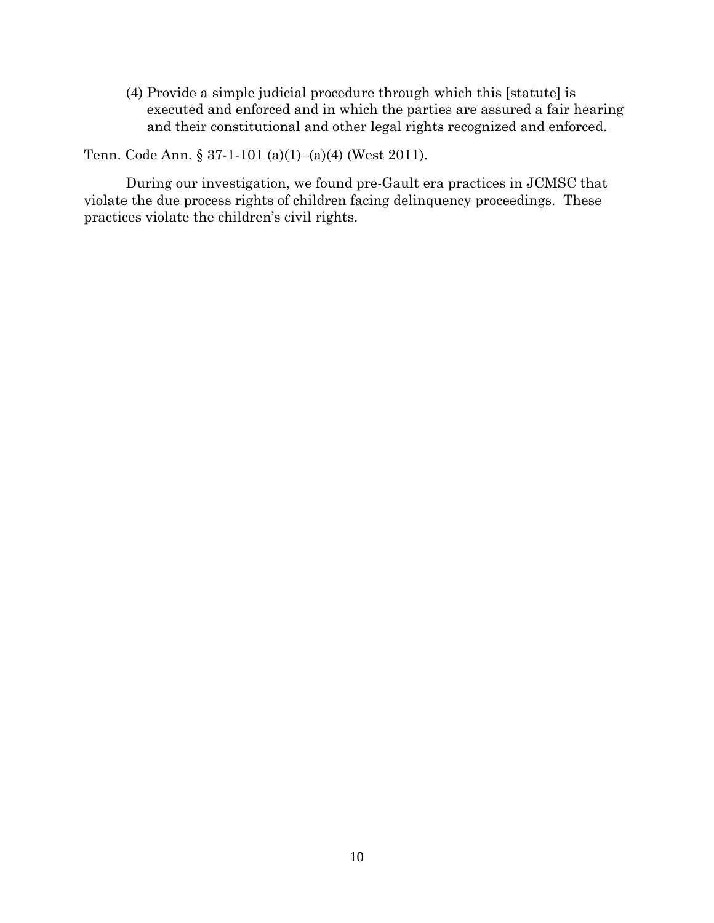(4) Provide a simple judicial procedure through which this [statute] is executed and enforced and in which the parties are assured a fair hearing and their constitutional and other legal rights recognized and enforced.

Tenn. Code Ann. § 37-1-101 (a)(1)–(a)(4) (West 2011).

During our investigation, we found pre-**Gault** era practices in JCMSC that violate the due process rights of children facing delinquency proceedings. These practices violate the children's civil rights.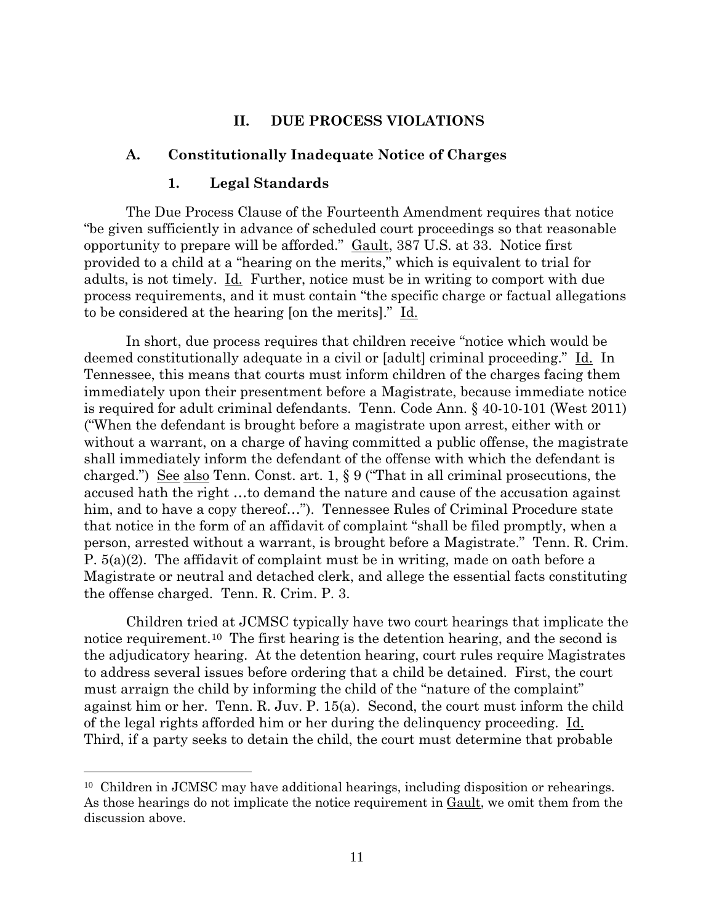### **II. DUE PROCESS VIOLATIONS**

#### **A. Constitutionally Inadequate Notice of Charges**

#### **1. Legal Standards**

The Due Process Clause of the Fourteenth Amendment requires that notice "be given sufficiently in advance of scheduled court proceedings so that reasonable opportunity to prepare will be afforded." Gault, 387 U.S. at 33. Notice first provided to a child at a "hearing on the merits," which is equivalent to trial for adults, is not timely. Id. Further, notice must be in writing to comport with due process requirements, and it must contain "the specific charge or factual allegations to be considered at the hearing [on the merits]." Id.

In short, due process requires that children receive "notice which would be deemed constitutionally adequate in a civil or [adult] criminal proceeding." Id. In Tennessee, this means that courts must inform children of the charges facing them immediately upon their presentment before a Magistrate, because immediate notice is required for adult criminal defendants. Tenn. Code Ann. § 40-10-101 (West 2011) ("When the defendant is brought before a magistrate upon arrest, either with or without a warrant, on a charge of having committed a public offense, the magistrate shall immediately inform the defendant of the offense with which the defendant is charged.") See also Tenn. Const. art. 1,  $\S 9$  ("That in all criminal prosecutions, the accused hath the right …to demand the nature and cause of the accusation against him, and to have a copy thereof..."). Tennessee Rules of Criminal Procedure state that notice in the form of an affidavit of complaint "shall be filed promptly, when a person, arrested without a warrant, is brought before a Magistrate." Tenn. R. Crim. P. 5(a)(2). The affidavit of complaint must be in writing, made on oath before a Magistrate or neutral and detached clerk, and allege the essential facts constituting the offense charged. Tenn. R. Crim. P. 3.

Children tried at JCMSC typically have two court hearings that implicate the notice requirement.<sup>[10](#page-12-0)</sup> The first hearing is the detention hearing, and the second is the adjudicatory hearing. At the detention hearing, court rules require Magistrates to address several issues before ordering that a child be detained. First, the court must arraign the child by informing the child of the "nature of the complaint" against him or her. Tenn. R. Juv. P. 15(a). Second, the court must inform the child of the legal rights afforded him or her during the delinquency proceeding. Id. Third, if a party seeks to detain the child, the court must determine that probable

<span id="page-12-0"></span><sup>&</sup>lt;sup>10</sup> Children in JCMSC may have additional hearings, including disposition or rehearings. As those hearings do not implicate the notice requirement in Gault, we omit them from the discussion above.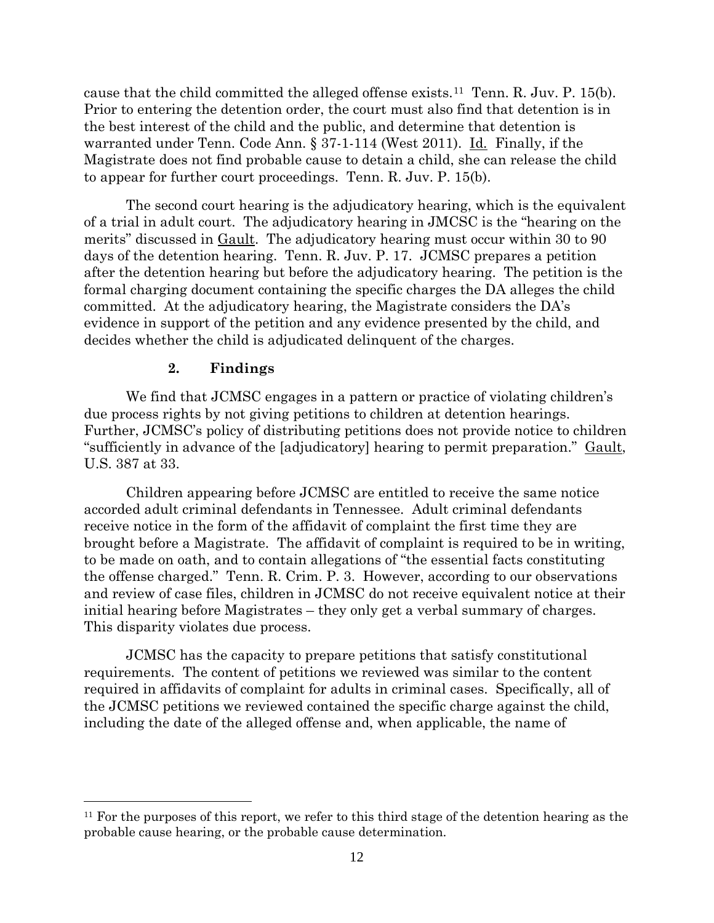cause that the child committed the alleged offense exists.[11](#page-13-0) Tenn. R. Juv. P. 15(b). Prior to entering the detention order, the court must also find that detention is in the best interest of the child and the public, and determine that detention is warranted under Tenn. Code Ann. § 37-1-114 (West 2011). Id. Finally, if the Magistrate does not find probable cause to detain a child, she can release the child to appear for further court proceedings. Tenn. R. Juv. P. 15(b).

The second court hearing is the adjudicatory hearing, which is the equivalent of a trial in adult court. The adjudicatory hearing in JMCSC is the "hearing on the merits" discussed in <u>Gault</u>. The adjudicatory hearing must occur within 30 to 90 days of the detention hearing. Tenn. R. Juv. P. 17. JCMSC prepares a petition after the detention hearing but before the adjudicatory hearing. The petition is the formal charging document containing the specific charges the DA alleges the child committed. At the adjudicatory hearing, the Magistrate considers the DA's evidence in support of the petition and any evidence presented by the child, and decides whether the child is adjudicated delinquent of the charges.

### **2. Findings**

 $\overline{a}$ 

We find that JCMSC engages in a pattern or practice of violating children's due process rights by not giving petitions to children at detention hearings. Further, JCMSC's policy of distributing petitions does not provide notice to children "sufficiently in advance of the [adjudicatory] hearing to permit preparation." Gault, U.S. 387 at 33.

Children appearing before JCMSC are entitled to receive the same notice accorded adult criminal defendants in Tennessee. Adult criminal defendants receive notice in the form of the affidavit of complaint the first time they are brought before a Magistrate. The affidavit of complaint is required to be in writing, to be made on oath, and to contain allegations of "the essential facts constituting the offense charged." Tenn. R. Crim. P. 3. However, according to our observations and review of case files, children in JCMSC do not receive equivalent notice at their initial hearing before Magistrates – they only get a verbal summary of charges. This disparity violates due process.

JCMSC has the capacity to prepare petitions that satisfy constitutional requirements. The content of petitions we reviewed was similar to the content required in affidavits of complaint for adults in criminal cases. Specifically, all of the JCMSC petitions we reviewed contained the specific charge against the child, including the date of the alleged offense and, when applicable, the name of

<span id="page-13-0"></span><sup>&</sup>lt;sup>11</sup> For the purposes of this report, we refer to this third stage of the detention hearing as the probable cause hearing, or the probable cause determination.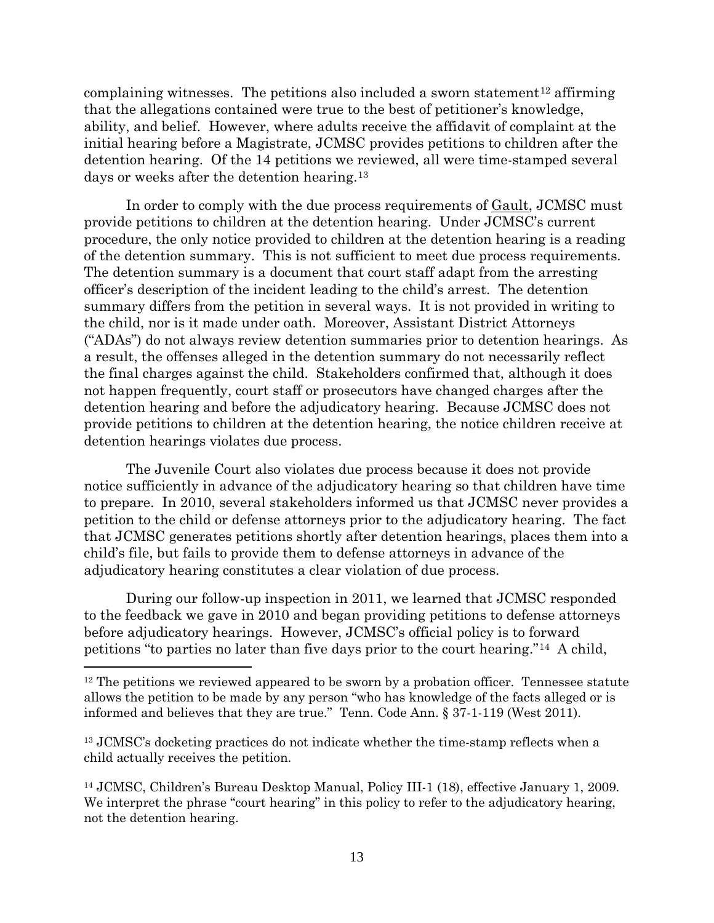complaining witnesses. The petitions also included a sworn statement<sup>[12](#page-14-0)</sup> affirming that the allegations contained were true to the best of petitioner's knowledge, ability, and belief. However, where adults receive the affidavit of complaint at the initial hearing before a Magistrate, JCMSC provides petitions to children after the detention hearing. Of the 14 petitions we reviewed, all were time-stamped several days or weeks after the detention hearing.[13](#page-14-1)

In order to comply with the due process requirements of Gault, JCMSC must provide petitions to children at the detention hearing. Under JCMSC's current procedure, the only notice provided to children at the detention hearing is a reading of the detention summary. This is not sufficient to meet due process requirements. The detention summary is a document that court staff adapt from the arresting officer's description of the incident leading to the child's arrest. The detention summary differs from the petition in several ways. It is not provided in writing to the child, nor is it made under oath. Moreover, Assistant District Attorneys ("ADAs") do not always review detention summaries prior to detention hearings. As a result, the offenses alleged in the detention summary do not necessarily reflect the final charges against the child. Stakeholders confirmed that, although it does not happen frequently, court staff or prosecutors have changed charges after the detention hearing and before the adjudicatory hearing. Because JCMSC does not provide petitions to children at the detention hearing, the notice children receive at detention hearings violates due process.

The Juvenile Court also violates due process because it does not provide notice sufficiently in advance of the adjudicatory hearing so that children have time to prepare. In 2010, several stakeholders informed us that JCMSC never provides a petition to the child or defense attorneys prior to the adjudicatory hearing. The fact that JCMSC generates petitions shortly after detention hearings, places them into a child's file, but fails to provide them to defense attorneys in advance of the adjudicatory hearing constitutes a clear violation of due process.

During our follow-up inspection in 2011, we learned that JCMSC responded to the feedback we gave in 2010 and began providing petitions to defense attorneys before adjudicatory hearings. However, JCMSC's official policy is to forward petitions "to parties no later than five days prior to the court hearing."[14](#page-14-2) A child,

<span id="page-14-0"></span> $12$  The petitions we reviewed appeared to be sworn by a probation officer. Tennessee statute allows the petition to be made by any person "who has knowledge of the facts alleged or is informed and believes that they are true." Tenn. Code Ann. § 37-1-119 (West 2011).

<span id="page-14-1"></span><sup>&</sup>lt;sup>13</sup> JCMSC's docketing practices do not indicate whether the time-stamp reflects when a child actually receives the petition.

<span id="page-14-2"></span><sup>14</sup> JCMSC, Children's Bureau Desktop Manual, Policy III-1 (18), effective January 1, 2009. We interpret the phrase "court hearing" in this policy to refer to the adjudicatory hearing, not the detention hearing.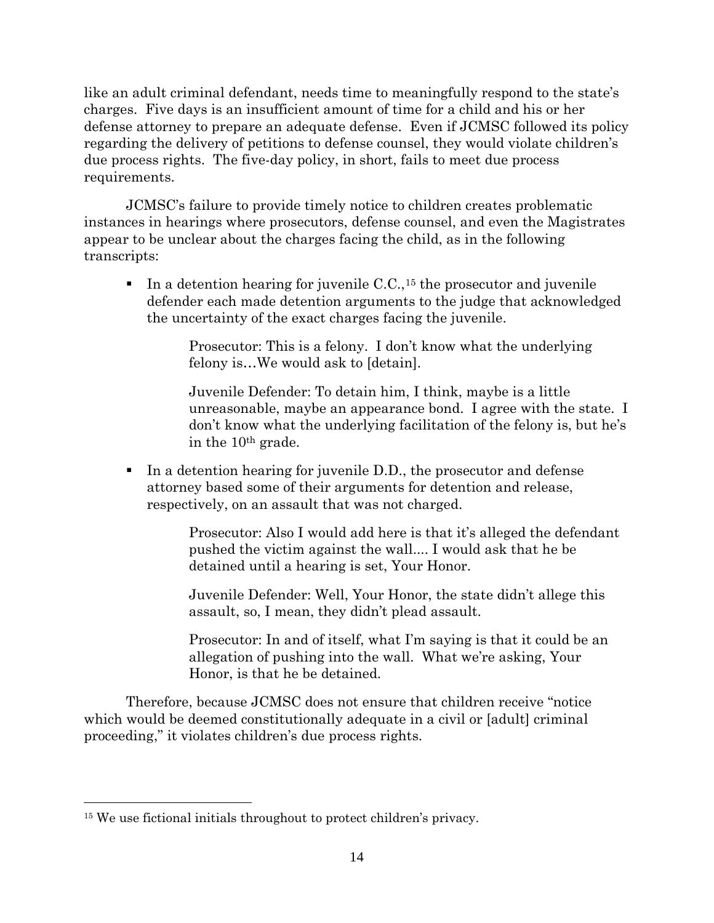like an adult criminal defendant, needs time to meaningfully respond to the state's charges. Five days is an insufficient amount of time for a child and his or her defense attorney to prepare an adequate defense. Even if JCMSC followed its policy regarding the delivery of petitions to defense counsel, they would violate children's due process rights. The five-day policy, in short, fails to meet due process requirements.

JCMSC's failure to provide timely notice to children creates problematic instances in hearings where prosecutors, defense counsel, and even the Magistrates appear to be unclear about the charges facing the child, as in the following transcripts:

In a detention hearing for juvenile C.C.,  $15$  the prosecutor and juvenile defender each made detention arguments to the judge that acknowledged the uncertainty of the exact charges facing the juvenile.

> Prosecutor: This is a felony. I don't know what the underlying felony is…We would ask to [detain].

Juvenile Defender: To detain him, I think, maybe is a little unreasonable, maybe an appearance bond. I agree with the state. I don't know what the underlying facilitation of the felony is, but he's in the 10th grade.

In a detention hearing for juvenile  $D.D.,$  the prosecutor and defense attorney based some of their arguments for detention and release, respectively, on an assault that was not charged.

> Prosecutor: Also I would add here is that it's alleged the defendant pushed the victim against the wall.... I would ask that he be detained until a hearing is set, Your Honor.

Juvenile Defender: Well, Your Honor, the state didn't allege this assault, so, I mean, they didn't plead assault.

Prosecutor: In and of itself, what I'm saying is that it could be an allegation of pushing into the wall. What we're asking, Your Honor, is that he be detained.

Therefore, because JCMSC does not ensure that children receive "notice which would be deemed constitutionally adequate in a civil or [adult] criminal proceeding," it violates children's due process rights.

<span id="page-15-0"></span> $\overline{a}$ <sup>15</sup> We use fictional initials throughout to protect children's privacy.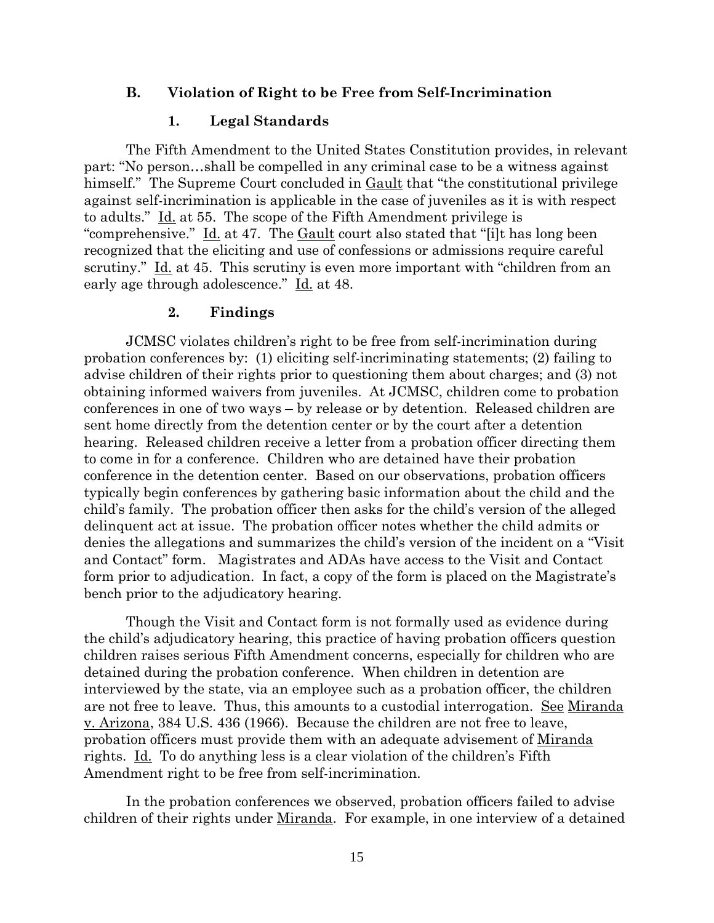### **B. Violation of Right to be Free from Self-Incrimination**

### **1. Legal Standards**

The Fifth Amendment to the United States Constitution provides, in relevant part: "No person…shall be compelled in any criminal case to be a witness against himself." The Supreme Court concluded in Gault that "the constitutional privilege against self-incrimination is applicable in the case of juveniles as it is with respect to adults." Id. at 55. The scope of the Fifth Amendment privilege is "comprehensive." Id. at 47. The Gault court also stated that "[i]t has long been recognized that the eliciting and use of confessions or admissions require careful scrutiny." Id. at 45. This scrutiny is even more important with "children from an early age through adolescence." Id. at 48.

#### **2. Findings**

JCMSC violates children's right to be free from self-incrimination during probation conferences by: (1) eliciting self-incriminating statements; (2) failing to advise children of their rights prior to questioning them about charges; and (3) not obtaining informed waivers from juveniles. At JCMSC, children come to probation conferences in one of two ways – by release or by detention. Released children are sent home directly from the detention center or by the court after a detention hearing. Released children receive a letter from a probation officer directing them to come in for a conference. Children who are detained have their probation conference in the detention center. Based on our observations, probation officers typically begin conferences by gathering basic information about the child and the child's family. The probation officer then asks for the child's version of the alleged delinquent act at issue. The probation officer notes whether the child admits or denies the allegations and summarizes the child's version of the incident on a "Visit and Contact" form. Magistrates and ADAs have access to the Visit and Contact form prior to adjudication. In fact, a copy of the form is placed on the Magistrate's bench prior to the adjudicatory hearing.

Though the Visit and Contact form is not formally used as evidence during the child's adjudicatory hearing, this practice of having probation officers question children raises serious Fifth Amendment concerns, especially for children who are detained during the probation conference. When children in detention are interviewed by the state, via an employee such as a probation officer, the children are not free to leave. Thus, this amounts to a custodial interrogation. See Miranda v. Arizona, 384 U.S. 436 (1966). Because the children are not free to leave, probation officers must provide them with an adequate advisement of Miranda rights. Id. To do anything less is a clear violation of the children's Fifth Amendment right to be free from self-incrimination.

In the probation conferences we observed, probation officers failed to advise children of their rights under Miranda. For example, in one interview of a detained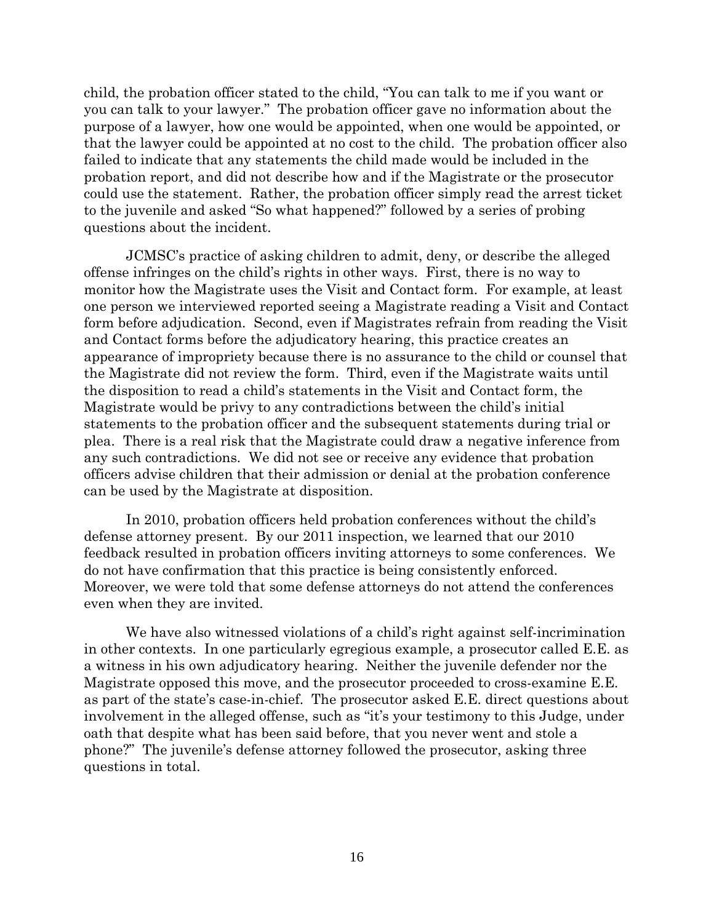child, the probation officer stated to the child, "You can talk to me if you want or you can talk to your lawyer." The probation officer gave no information about the purpose of a lawyer, how one would be appointed, when one would be appointed, or that the lawyer could be appointed at no cost to the child. The probation officer also failed to indicate that any statements the child made would be included in the probation report, and did not describe how and if the Magistrate or the prosecutor could use the statement. Rather, the probation officer simply read the arrest ticket to the juvenile and asked "So what happened?" followed by a series of probing questions about the incident.

JCMSC's practice of asking children to admit, deny, or describe the alleged offense infringes on the child's rights in other ways. First, there is no way to monitor how the Magistrate uses the Visit and Contact form. For example, at least one person we interviewed reported seeing a Magistrate reading a Visit and Contact form before adjudication. Second, even if Magistrates refrain from reading the Visit and Contact forms before the adjudicatory hearing, this practice creates an appearance of impropriety because there is no assurance to the child or counsel that the Magistrate did not review the form. Third, even if the Magistrate waits until the disposition to read a child's statements in the Visit and Contact form, the Magistrate would be privy to any contradictions between the child's initial statements to the probation officer and the subsequent statements during trial or plea. There is a real risk that the Magistrate could draw a negative inference from any such contradictions. We did not see or receive any evidence that probation officers advise children that their admission or denial at the probation conference can be used by the Magistrate at disposition.

In 2010, probation officers held probation conferences without the child's defense attorney present. By our 2011 inspection, we learned that our 2010 feedback resulted in probation officers inviting attorneys to some conferences. We do not have confirmation that this practice is being consistently enforced. Moreover, we were told that some defense attorneys do not attend the conferences even when they are invited.

We have also witnessed violations of a child's right against self-incrimination in other contexts. In one particularly egregious example, a prosecutor called E.E. as a witness in his own adjudicatory hearing. Neither the juvenile defender nor the Magistrate opposed this move, and the prosecutor proceeded to cross-examine E.E. as part of the state's case-in-chief. The prosecutor asked E.E. direct questions about involvement in the alleged offense, such as "it's your testimony to this Judge, under oath that despite what has been said before, that you never went and stole a phone?" The juvenile's defense attorney followed the prosecutor, asking three questions in total.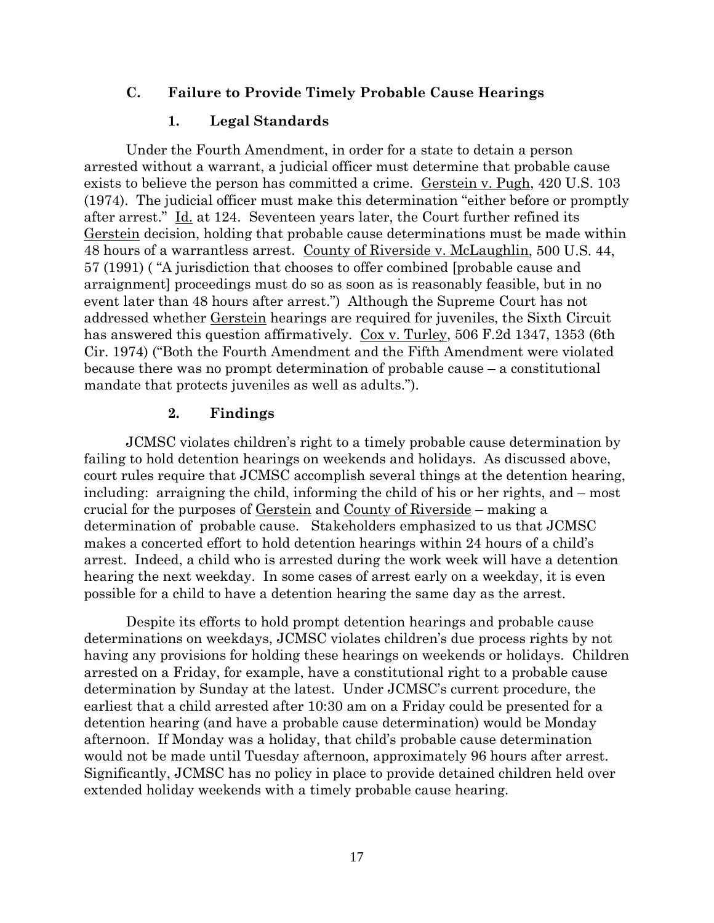### **C. Failure to Provide Timely Probable Cause Hearings**

#### **1. Legal Standards**

Under the Fourth Amendment, in order for a state to detain a person arrested without a warrant, a judicial officer must determine that probable cause exists to believe the person has committed a crime. Gerstein v. Pugh, 420 U.S. 103 (1974). The judicial officer must make this determination "either before or promptly after arrest."  $\underline{Id}$  at 124. Seventeen years later, the Court further refined its Gerstein decision, holding that probable cause determinations must be made within 48 hours of a warrantless arrest. County of Riverside v. McLaughlin, 500 U.S. 44, 57 (1991) ( "A jurisdiction that chooses to offer combined [probable cause and arraignment] proceedings must do so as soon as is reasonably feasible, but in no event later than 48 hours after arrest.") Although the Supreme Court has not addressed whether Gerstein hearings are required for juveniles, the Sixth Circuit has answered this question affirmatively. Cox v. Turley, 506 F.2d 1347, 1353 (6th Cir. 1974) ("Both the Fourth Amendment and the Fifth Amendment were violated because there was no prompt determination of probable cause – a constitutional mandate that protects juveniles as well as adults.").

#### **2. Findings**

JCMSC violates children's right to a timely probable cause determination by failing to hold detention hearings on weekends and holidays. As discussed above, court rules require that JCMSC accomplish several things at the detention hearing, including: arraigning the child, informing the child of his or her rights, and – most crucial for the purposes of Gerstein and County of Riverside – making a determination of probable cause. Stakeholders emphasized to us that JCMSC makes a concerted effort to hold detention hearings within 24 hours of a child's arrest. Indeed, a child who is arrested during the work week will have a detention hearing the next weekday. In some cases of arrest early on a weekday, it is even possible for a child to have a detention hearing the same day as the arrest.

Despite its efforts to hold prompt detention hearings and probable cause determinations on weekdays, JCMSC violates children's due process rights by not having any provisions for holding these hearings on weekends or holidays. Children arrested on a Friday, for example, have a constitutional right to a probable cause determination by Sunday at the latest. Under JCMSC's current procedure, the earliest that a child arrested after 10:30 am on a Friday could be presented for a detention hearing (and have a probable cause determination) would be Monday afternoon. If Monday was a holiday, that child's probable cause determination would not be made until Tuesday afternoon, approximately 96 hours after arrest. Significantly, JCMSC has no policy in place to provide detained children held over extended holiday weekends with a timely probable cause hearing.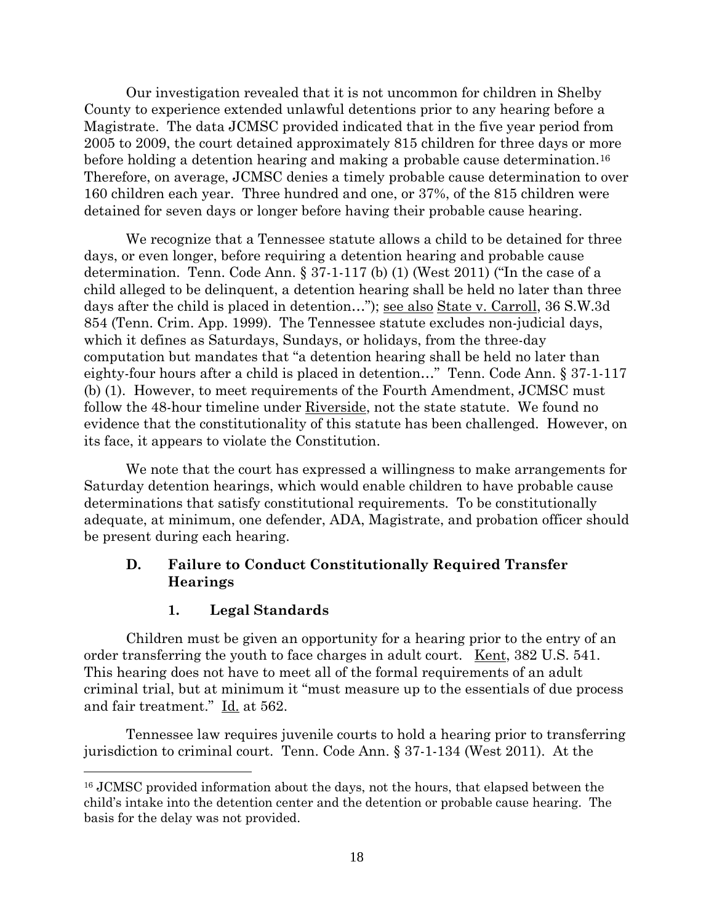Our investigation revealed that it is not uncommon for children in Shelby County to experience extended unlawful detentions prior to any hearing before a Magistrate. The data JCMSC provided indicated that in the five year period from 2005 to 2009, the court detained approximately 815 children for three days or more before holding a detention hearing and making a probable cause determination.<sup>[16](#page-19-0)</sup> Therefore, on average, JCMSC denies a timely probable cause determination to over 160 children each year. Three hundred and one, or 37%, of the 815 children were detained for seven days or longer before having their probable cause hearing.

We recognize that a Tennessee statute allows a child to be detained for three days, or even longer, before requiring a detention hearing and probable cause determination. Tenn. Code Ann. § 37-1-117 (b) (1) (West 2011) ("In the case of a child alleged to be delinquent, a detention hearing shall be held no later than three days after the child is placed in detention..."); <u>see also State v. Carroll</u>, 36 S.W.3d 854 (Tenn. Crim. App. 1999). The Tennessee statute excludes non-judicial days, which it defines as Saturdays, Sundays, or holidays, from the three-day computation but mandates that "a detention hearing shall be held no later than eighty-four hours after a child is placed in detention…" Tenn. Code Ann. § 37-1-117 (b) (1). However, to meet requirements of the Fourth Amendment, JCMSC must follow the 48-hour timeline under <u>Riverside</u>, not the state statute. We found no evidence that the constitutionality of this statute has been challenged. However, on its face, it appears to violate the Constitution.

We note that the court has expressed a willingness to make arrangements for Saturday detention hearings, which would enable children to have probable cause determinations that satisfy constitutional requirements. To be constitutionally adequate, at minimum, one defender, ADA, Magistrate, and probation officer should be present during each hearing.

## **D. Failure to Conduct Constitutionally Required Transfer Hearings**

## **1. Legal Standards**

Children must be given an opportunity for a hearing prior to the entry of an order transferring the youth to face charges in adult court. Kent, 382 U.S. 541. This hearing does not have to meet all of the formal requirements of an adult criminal trial, but at minimum it "must measure up to the essentials of due process and fair treatment." Id. at 562.

Tennessee law requires juvenile courts to hold a hearing prior to transferring jurisdiction to criminal court. Tenn. Code Ann. § 37-1-134 (West 2011). At the

<span id="page-19-0"></span> $\overline{a}$ <sup>16</sup> JCMSC provided information about the days, not the hours, that elapsed between the child's intake into the detention center and the detention or probable cause hearing. The basis for the delay was not provided.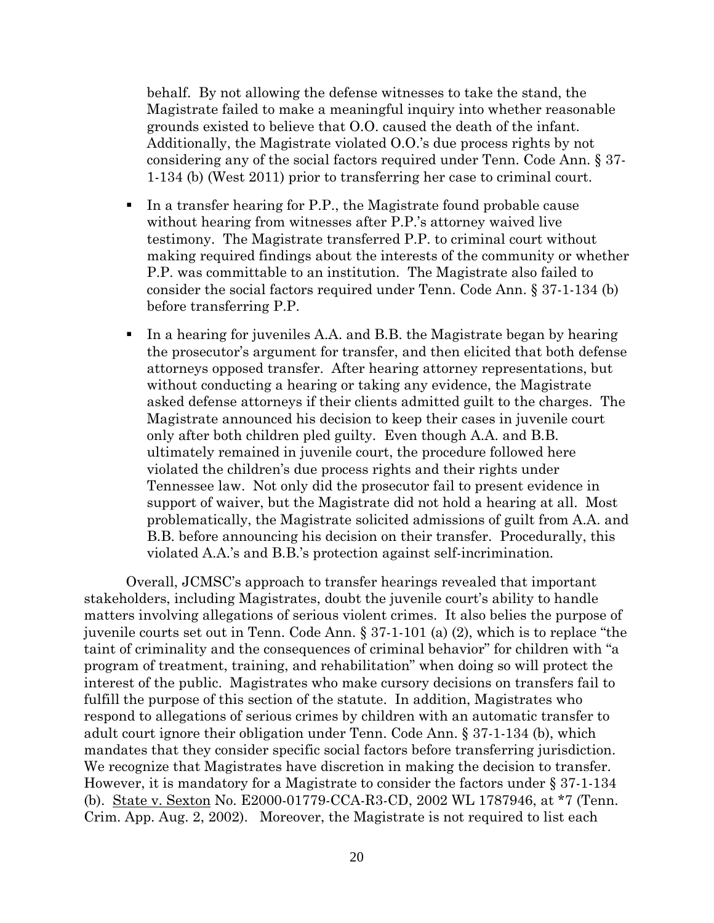behalf. By not allowing the defense witnesses to take the stand, the Magistrate failed to make a meaningful inquiry into whether reasonable grounds existed to believe that O.O. caused the death of the infant. Additionally, the Magistrate violated O.O.'s due process rights by not considering any of the social factors required under Tenn. Code Ann. § 37- 1-134 (b) (West 2011) prior to transferring her case to criminal court.

- In a transfer hearing for P.P., the Magistrate found probable cause without hearing from witnesses after P.P.'s attorney waived live testimony. The Magistrate transferred P.P. to criminal court without making required findings about the interests of the community or whether P.P. was committable to an institution. The Magistrate also failed to consider the social factors required under Tenn. Code Ann. § 37-1-134 (b) before transferring P.P.
- In a hearing for juveniles A.A. and B.B. the Magistrate began by hearing the prosecutor's argument for transfer, and then elicited that both defense attorneys opposed transfer. After hearing attorney representations, but without conducting a hearing or taking any evidence, the Magistrate asked defense attorneys if their clients admitted guilt to the charges. The Magistrate announced his decision to keep their cases in juvenile court only after both children pled guilty. Even though A.A. and B.B. ultimately remained in juvenile court, the procedure followed here violated the children's due process rights and their rights under Tennessee law. Not only did the prosecutor fail to present evidence in support of waiver, but the Magistrate did not hold a hearing at all. Most problematically, the Magistrate solicited admissions of guilt from A.A. and B.B. before announcing his decision on their transfer. Procedurally, this violated A.A.'s and B.B.'s protection against self-incrimination.

Overall, JCMSC's approach to transfer hearings revealed that important stakeholders, including Magistrates, doubt the juvenile court's ability to handle matters involving allegations of serious violent crimes. It also belies the purpose of juvenile courts set out in Tenn. Code Ann. § 37-1-101 (a) (2), which is to replace "the taint of criminality and the consequences of criminal behavior" for children with "a program of treatment, training, and rehabilitation" when doing so will protect the interest of the public. Magistrates who make cursory decisions on transfers fail to fulfill the purpose of this section of the statute. In addition, Magistrates who respond to allegations of serious crimes by children with an automatic transfer to adult court ignore their obligation under Tenn. Code Ann. § 37-1-134 (b), which mandates that they consider specific social factors before transferring jurisdiction. We recognize that Magistrates have discretion in making the decision to transfer. However, it is mandatory for a Magistrate to consider the factors under § 37-1-134 (b). State v. Sexton No. E2000-01779-CCA-R3-CD, 2002 WL 1787946, at \*7 (Tenn. Crim. App. Aug. 2, 2002). Moreover, the Magistrate is not required to list each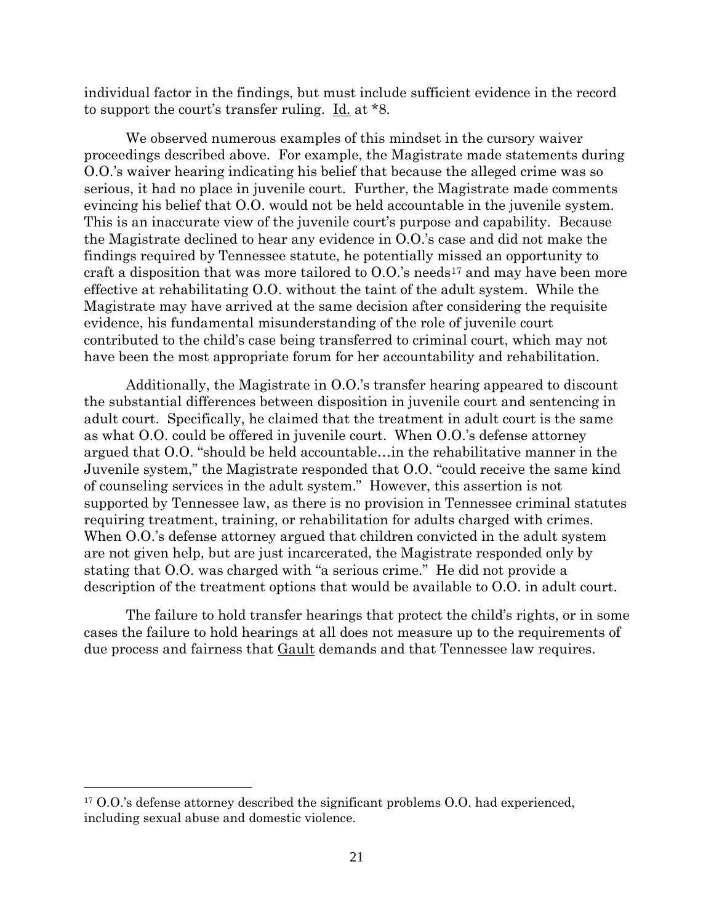individual factor in the findings, but must include sufficient evidence in the record to support the court's transfer ruling. Id. at \*8.

 We observed numerous examples of this mindset in the cursory waiver proceedings described above. For example, the Magistrate made statements during O.O.'s waiver hearing indicating his belief that because the alleged crime was so serious, it had no place in juvenile court. Further, the Magistrate made comments evincing his belief that O.O. would not be held accountable in the juvenile system. This is an inaccurate view of the juvenile court's purpose and capability. Because the Magistrate declined to hear any evidence in O.O.'s case and did not make the findings required by Tennessee statute, he potentially missed an opportunity to craft a disposition that was more tailored to  $0.0$ .'s needs<sup>[17](#page-22-0)</sup> and may have been more effective at rehabilitating O.O. without the taint of the adult system. While the Magistrate may have arrived at the same decision after considering the requisite evidence, his fundamental misunderstanding of the role of juvenile court contributed to the child's case being transferred to criminal court, which may not have been the most appropriate forum for her accountability and rehabilitation.

Additionally, the Magistrate in O.O.'s transfer hearing appeared to discount the substantial differences between disposition in juvenile court and sentencing in adult court. Specifically, he claimed that the treatment in adult court is the same as what O.O. could be offered in juvenile court. When O.O.'s defense attorney argued that O.O. "should be held accountable…in the rehabilitative manner in the Juvenile system," the Magistrate responded that O.O. "could receive the same kind of counseling services in the adult system." However, this assertion is not supported by Tennessee law, as there is no provision in Tennessee criminal statutes requiring treatment, training, or rehabilitation for adults charged with crimes. When O.O.'s defense attorney argued that children convicted in the adult system are not given help, but are just incarcerated, the Magistrate responded only by stating that O.O. was charged with "a serious crime." He did not provide a description of the treatment options that would be available to O.O. in adult court.

The failure to hold transfer hearings that protect the child's rights, or in some cases the failure to hold hearings at all does not measure up to the requirements of due process and fairness that Gault demands and that Tennessee law requires.

<span id="page-22-0"></span><sup>&</sup>lt;sup>17</sup> O.O.'s defense attorney described the significant problems O.O. had experienced, including sexual abuse and domestic violence.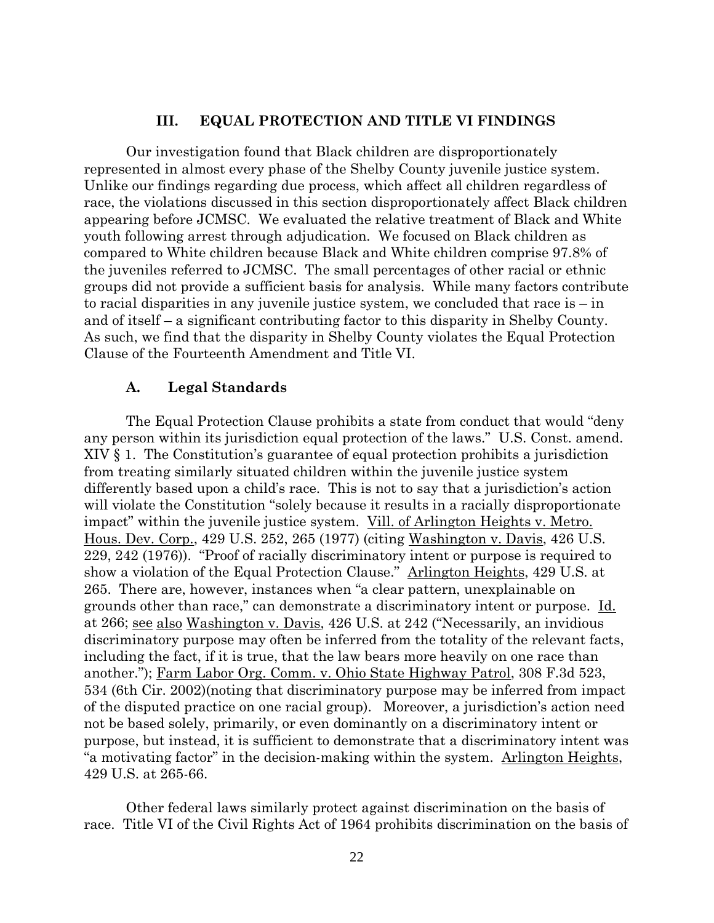JCMSC's failures interfere with the proper administration of juvenile justice, erode public confidence in the system, and fail to promote public safety. Due process and equal protection guarantees are critical elements of a functioning justice system, especially where the court's obligation is to provide for the "care, protection, and wholesome moral, mental and physical development of children" while ensuring the protection of the community. Tenn. Code Ann.  $\S 37-1-101$  (a)(1) (West 2011). Unfair and unequal treatment undermines the rehabilitation of young people who encounter the justice system.

Such failures often lead to a loss of liberty and may contribute to a child's continued contact with the juvenile justice system and subsequent contact with the adult criminal justice system. Studies show that children involved in the delinguency system are better served by treatment rather than confinement.<sup>3</sup> Studies also show that a child's initial interaction with the juvenile justice system may impact how the child progresses through the system at later junctures. For example, the initial pretrial detention proceeding has far-reaching implications for a child as demonstrated in a 2003 Florida study finding that children detained at pretrial proceedings were three times more likely to be confined at adjudication than children who were not detained.<sup>4</sup> Juvenile court proceedings that lack adequate due process protections and are applied disproportionately to one group of children based on their race cause real harm to the children appearing before the court.

Similarly, decisions to transfer children to adult court based on race, while obviously violative of equal protection, also have serious criminal justice consequences. Studies have found that children who are transferred have a higher likelihood of re-offending and continuing anti-social behaviors. For this reason, a review of studies commissioned by the Centers for Disease Control and Prevention ("CDC"), assessing the effects of transfer laws on juveniles, concluded that "transfer" policies have generally resulted in increased arrest for subsequent crimes, including violent crime, among juveniles who were transferred compared with those retained in the juvenile justice system."<sup>5</sup> The review also noted, "To the extent that transfer

<sup>&</sup>lt;sup>3</sup> See e.g. Chassin et al., Substance Use Treatment Outcomes in a Sample of Male Serious Juvenile Offenders, 36 J. Substance Abuse Treatment, 36 (2009) (concluding that drug treatment led to reduction in re-offending).

<sup>&</sup>lt;sup>4</sup> Office of State Courts Administrator, Florida's Juvenile Delinquency Court Assessment, 24 (April 2003).

<sup>&</sup>lt;sup>5</sup> Department of Health and Human Services, Centers for Disease Control and Prevention, 56 Morbidity and Mortality Weekly Report, No. 9, Recommendations and Reports, Effects on Violence of Laws and Policies Facilitating the Transfer of Youth from the Juvenile to the Adult System: A Report on the Recommendations of the Task Force on Community Preventive Services 9 (2007).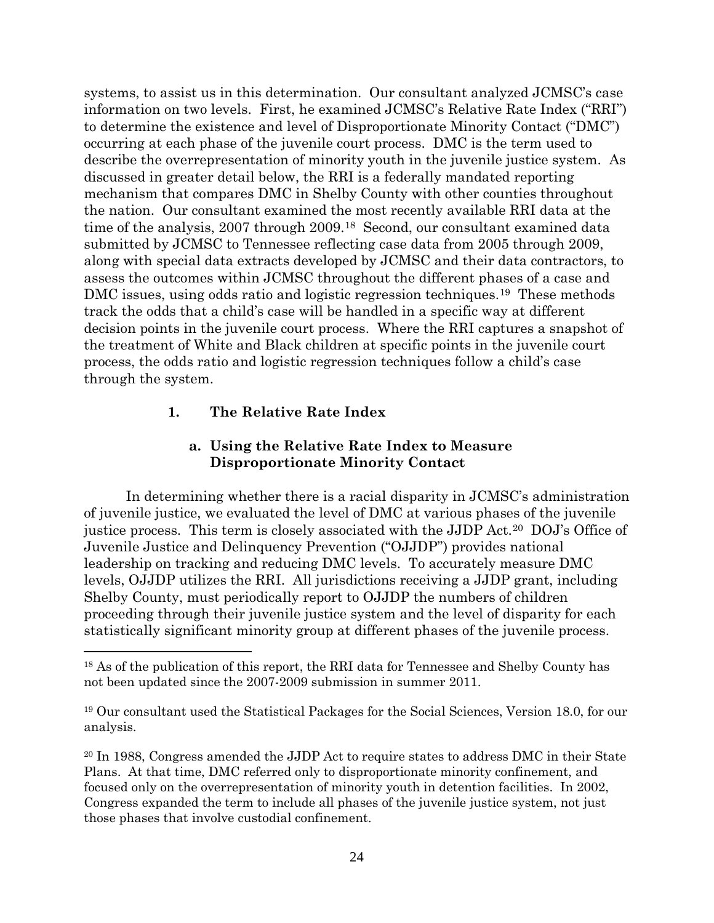systems, to assist us in this determination. Our consultant analyzed JCMSC's case information on two levels. First, he examined JCMSC's Relative Rate Index ("RRI") to determine the existence and level of Disproportionate Minority Contact ("DMC") occurring at each phase of the juvenile court process. DMC is the term used to describe the overrepresentation of minority youth in the juvenile justice system. As discussed in greater detail below, the RRI is a federally mandated reporting mechanism that compares DMC in Shelby County with other counties throughout the nation. Our consultant examined the most recently available RRI data at the time of the analysis, 2007 through 2009.[18](#page-25-0) Second, our consultant examined data submitted by JCMSC to Tennessee reflecting case data from 2005 through 2009, along with special data extracts developed by JCMSC and their data contractors, to assess the outcomes within JCMSC throughout the different phases of a case and DMC issues, using odds ratio and logistic regression techniques.[19](#page-25-1) These methods track the odds that a child's case will be handled in a specific way at different decision points in the juvenile court process. Where the RRI captures a snapshot of the treatment of White and Black children at specific points in the juvenile court process, the odds ratio and logistic regression techniques follow a child's case through the system.

### **1. The Relative Rate Index**

 $\overline{a}$ 

### **a. Using the Relative Rate Index to Measure Disproportionate Minority Contact**

In determining whether there is a racial disparity in JCMSC's administration of juvenile justice, we evaluated the level of DMC at various phases of the juvenile justice process. This term is closely associated with the JJDP Act.[20](#page-25-2) DOJ's Office of Juvenile Justice and Delinquency Prevention ("OJJDP") provides national leadership on tracking and reducing DMC levels. To accurately measure DMC levels, OJJDP utilizes the RRI. All jurisdictions receiving a JJDP grant, including Shelby County, must periodically report to OJJDP the numbers of children proceeding through their juvenile justice system and the level of disparity for each statistically significant minority group at different phases of the juvenile process.

<span id="page-25-0"></span><sup>&</sup>lt;sup>18</sup> As of the publication of this report, the RRI data for Tennessee and Shelby County has not been updated since the 2007-2009 submission in summer 2011.

<span id="page-25-1"></span><sup>19</sup> Our consultant used the Statistical Packages for the Social Sciences, Version 18.0, for our analysis.

<span id="page-25-2"></span><sup>&</sup>lt;sup>20</sup> In 1988, Congress amended the JJDP Act to require states to address DMC in their State Plans. At that time, DMC referred only to disproportionate minority confinement, and focused only on the overrepresentation of minority youth in detention facilities. In 2002, Congress expanded the term to include all phases of the juvenile justice system, not just those phases that involve custodial confinement.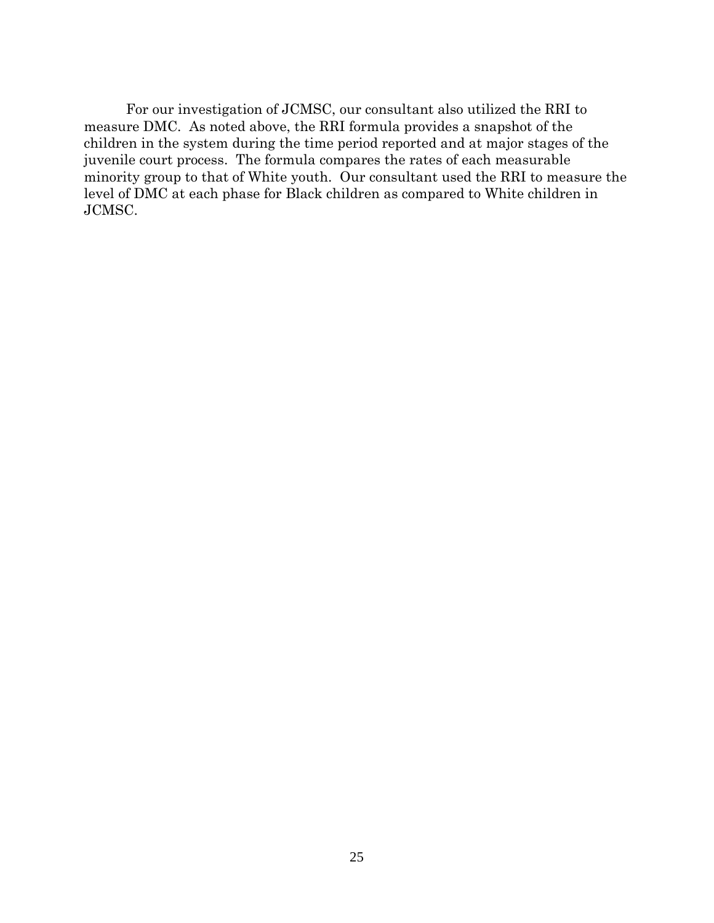For our investigation of JCMSC, our consultant also utilized the RRI to measure DMC. As noted above, the RRI formula provides a snapshot of the children in the system during the time period reported and at major stages of the juvenile court process. The formula compares the rates of each measurable minority group to that of White youth. Our consultant used the RRI to measure the level of DMC at each phase for Black children as compared to White children in JCMSC.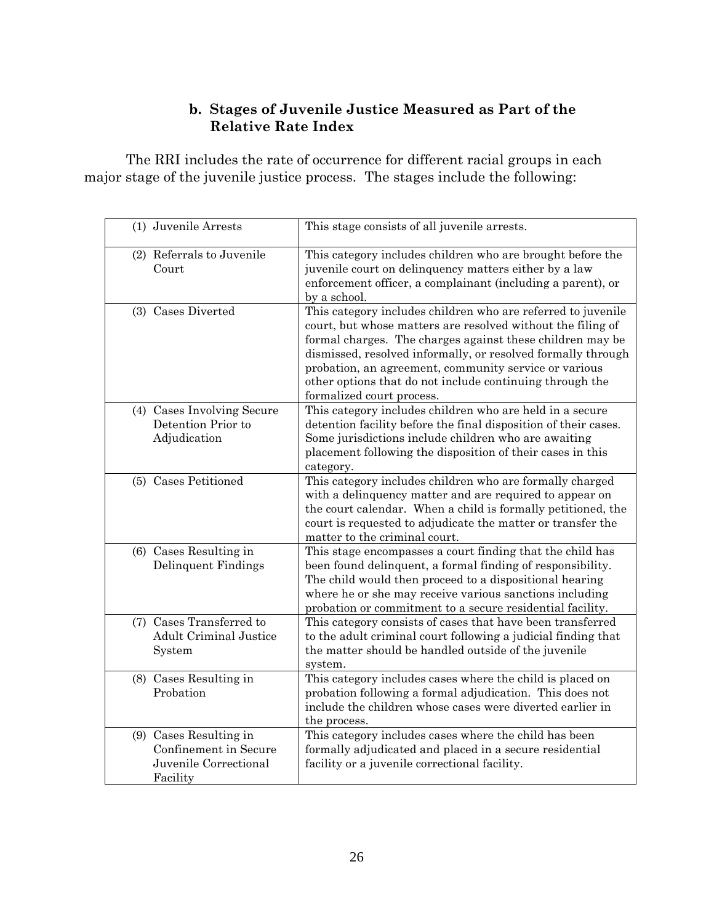## **b. Stages of Juvenile Justice Measured as Part of the Relative Rate Index**

The RRI includes the rate of occurrence for different racial groups in each major stage of the juvenile justice process. The stages include the following:

| (1) Juvenile Arrests                                                                 | This stage consists of all juvenile arrests.                                                                                                                                                                                                                                                                                                                                                               |
|--------------------------------------------------------------------------------------|------------------------------------------------------------------------------------------------------------------------------------------------------------------------------------------------------------------------------------------------------------------------------------------------------------------------------------------------------------------------------------------------------------|
| (2) Referrals to Juvenile<br>Court                                                   | This category includes children who are brought before the<br>juvenile court on delinquency matters either by a law<br>enforcement officer, a complainant (including a parent), or<br>by a school.                                                                                                                                                                                                         |
| (3) Cases Diverted                                                                   | This category includes children who are referred to juvenile<br>court, but whose matters are resolved without the filing of<br>formal charges. The charges against these children may be<br>dismissed, resolved informally, or resolved formally through<br>probation, an agreement, community service or various<br>other options that do not include continuing through the<br>formalized court process. |
| (4) Cases Involving Secure<br>Detention Prior to<br>Adjudication                     | This category includes children who are held in a secure<br>detention facility before the final disposition of their cases.<br>Some jurisdictions include children who are awaiting<br>placement following the disposition of their cases in this<br>category.                                                                                                                                             |
| (5) Cases Petitioned                                                                 | This category includes children who are formally charged<br>with a delinquency matter and are required to appear on<br>the court calendar. When a child is formally petitioned, the<br>court is requested to adjudicate the matter or transfer the<br>matter to the criminal court.                                                                                                                        |
| (6) Cases Resulting in<br>Delinquent Findings                                        | This stage encompasses a court finding that the child has<br>been found delinquent, a formal finding of responsibility.<br>The child would then proceed to a dispositional hearing<br>where he or she may receive various sanctions including<br>probation or commitment to a secure residential facility.                                                                                                 |
| (7) Cases Transferred to<br><b>Adult Criminal Justice</b><br>System                  | This category consists of cases that have been transferred<br>to the adult criminal court following a judicial finding that<br>the matter should be handled outside of the juvenile<br>system.                                                                                                                                                                                                             |
| (8) Cases Resulting in<br>Probation                                                  | This category includes cases where the child is placed on<br>probation following a formal adjudication. This does not<br>include the children whose cases were diverted earlier in<br>the process.                                                                                                                                                                                                         |
| (9) Cases Resulting in<br>Confinement in Secure<br>Juvenile Correctional<br>Facility | This category includes cases where the child has been<br>formally adjudicated and placed in a secure residential<br>facility or a juvenile correctional facility.                                                                                                                                                                                                                                          |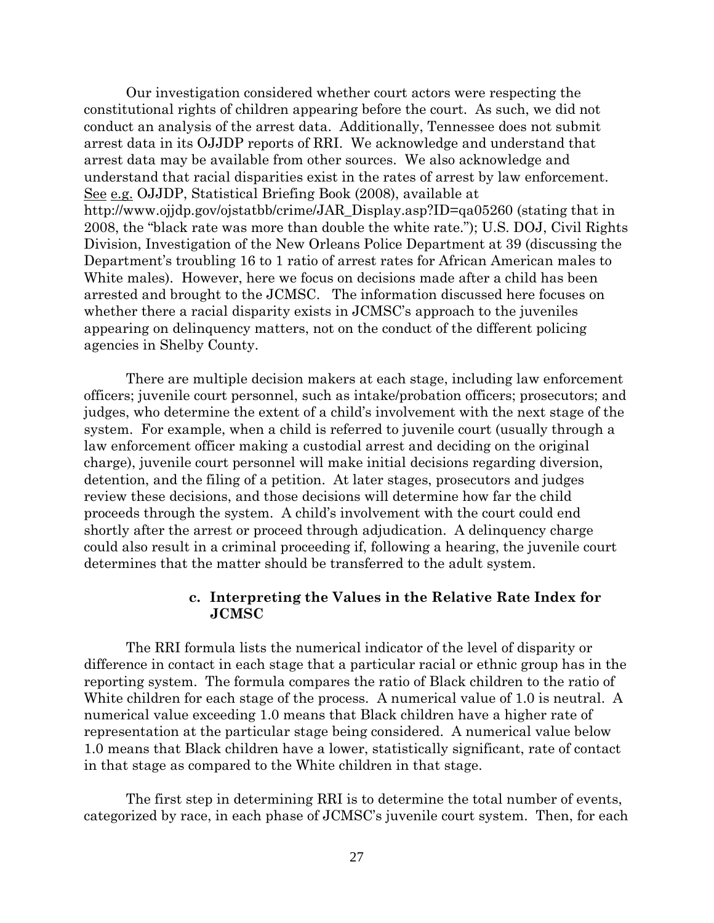Our investigation considered whether court actors were respecting the constitutional rights of children appearing before the court. As such, we did not conduct an analysis of the arrest data. Additionally, Tennessee does not submit arrest data in its OJJDP reports of RRI. We acknowledge and understand that arrest data may be available from other sources. We also acknowledge and understand that racial disparities exist in the rates of arrest by law enforcement. See e.g. OJJDP, Statistical Briefing Book (2008), available at http://www.ojjdp.gov/ojstatbb/crime/JAR\_Display.asp?ID=qa05260 (stating that in 2008, the "black rate was more than double the white rate."); U.S. DOJ, Civil Rights Division, Investigation of the New Orleans Police Department at 39 (discussing the Department's troubling 16 to 1 ratio of arrest rates for African American males to White males). However, here we focus on decisions made after a child has been arrested and brought to the JCMSC. The information discussed here focuses on whether there a racial disparity exists in JCMSC's approach to the juveniles appearing on delinquency matters, not on the conduct of the different policing agencies in Shelby County.

There are multiple decision makers at each stage, including law enforcement officers; juvenile court personnel, such as intake/probation officers; prosecutors; and judges, who determine the extent of a child's involvement with the next stage of the system. For example, when a child is referred to juvenile court (usually through a law enforcement officer making a custodial arrest and deciding on the original charge), juvenile court personnel will make initial decisions regarding diversion, detention, and the filing of a petition. At later stages, prosecutors and judges review these decisions, and those decisions will determine how far the child proceeds through the system. A child's involvement with the court could end shortly after the arrest or proceed through adjudication. A delinquency charge could also result in a criminal proceeding if, following a hearing, the juvenile court determines that the matter should be transferred to the adult system.

### **c. Interpreting the Values in the Relative Rate Index for JCMSC**

The RRI formula lists the numerical indicator of the level of disparity or difference in contact in each stage that a particular racial or ethnic group has in the reporting system. The formula compares the ratio of Black children to the ratio of White children for each stage of the process. A numerical value of 1.0 is neutral. A numerical value exceeding 1.0 means that Black children have a higher rate of representation at the particular stage being considered. A numerical value below 1.0 means that Black children have a lower, statistically significant, rate of contact in that stage as compared to the White children in that stage.

The first step in determining RRI is to determine the total number of events, categorized by race, in each phase of JCMSC's juvenile court system. Then, for each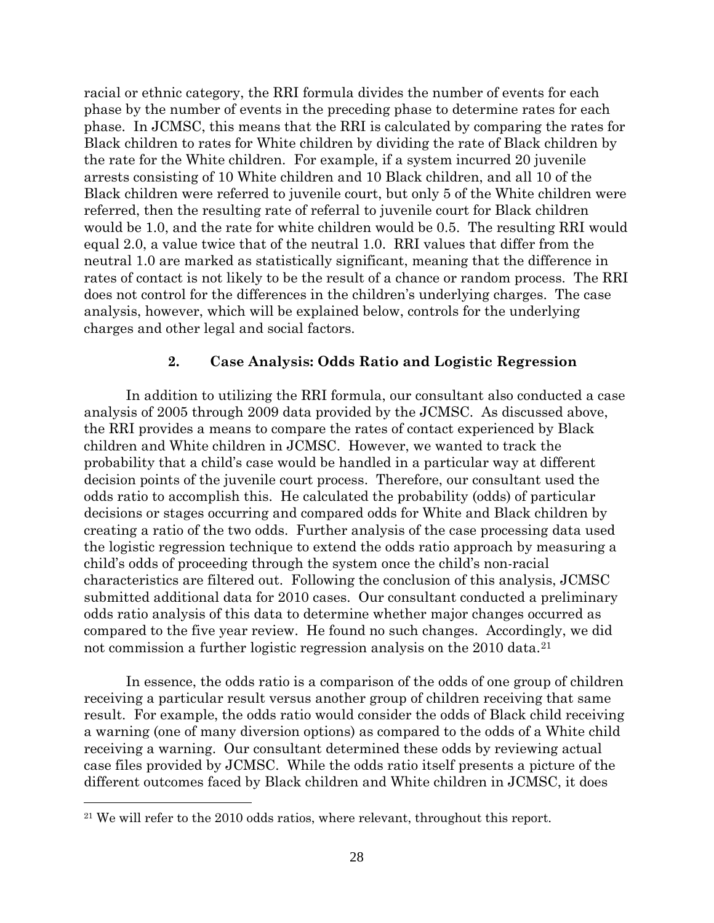racial or ethnic category, the RRI formula divides the number of events for each phase by the number of events in the preceding phase to determine rates for each phase. In JCMSC, this means that the RRI is calculated by comparing the rates for Black children to rates for White children by dividing the rate of Black children by the rate for the White children. For example, if a system incurred 20 juvenile arrests consisting of 10 White children and 10 Black children, and all 10 of the Black children were referred to juvenile court, but only 5 of the White children were referred, then the resulting rate of referral to juvenile court for Black children would be 1.0, and the rate for white children would be 0.5. The resulting RRI would equal 2.0, a value twice that of the neutral 1.0. RRI values that differ from the neutral 1.0 are marked as statistically significant, meaning that the difference in rates of contact is not likely to be the result of a chance or random process. The RRI does not control for the differences in the children's underlying charges. The case analysis, however, which will be explained below, controls for the underlying charges and other legal and social factors.

### **2. Case Analysis: Odds Ratio and Logistic Regression**

In addition to utilizing the RRI formula, our consultant also conducted a case analysis of 2005 through 2009 data provided by the JCMSC. As discussed above, the RRI provides a means to compare the rates of contact experienced by Black children and White children in JCMSC. However, we wanted to track the probability that a child's case would be handled in a particular way at different decision points of the juvenile court process. Therefore, our consultant used the odds ratio to accomplish this. He calculated the probability (odds) of particular decisions or stages occurring and compared odds for White and Black children by creating a ratio of the two odds. Further analysis of the case processing data used the logistic regression technique to extend the odds ratio approach by measuring a child's odds of proceeding through the system once the child's non-racial characteristics are filtered out. Following the conclusion of this analysis, JCMSC submitted additional data for 2010 cases. Our consultant conducted a preliminary odds ratio analysis of this data to determine whether major changes occurred as compared to the five year review. He found no such changes. Accordingly, we did not commission a further logistic regression analysis on the 2010 data.<sup>21</sup>

In essence, the odds ratio is a comparison of the odds of one group of children receiving a particular result versus another group of children receiving that same result. For example, the odds ratio would consider the odds of Black child receiving a warning (one of many diversion options) as compared to the odds of a White child receiving a warning. Our consultant determined these odds by reviewing actual case files provided by JCMSC. While the odds ratio itself presents a picture of the different outcomes faced by Black children and White children in JCMSC, it does

<span id="page-29-0"></span><sup>&</sup>lt;sup>21</sup> We will refer to the 2010 odds ratios, where relevant, throughout this report.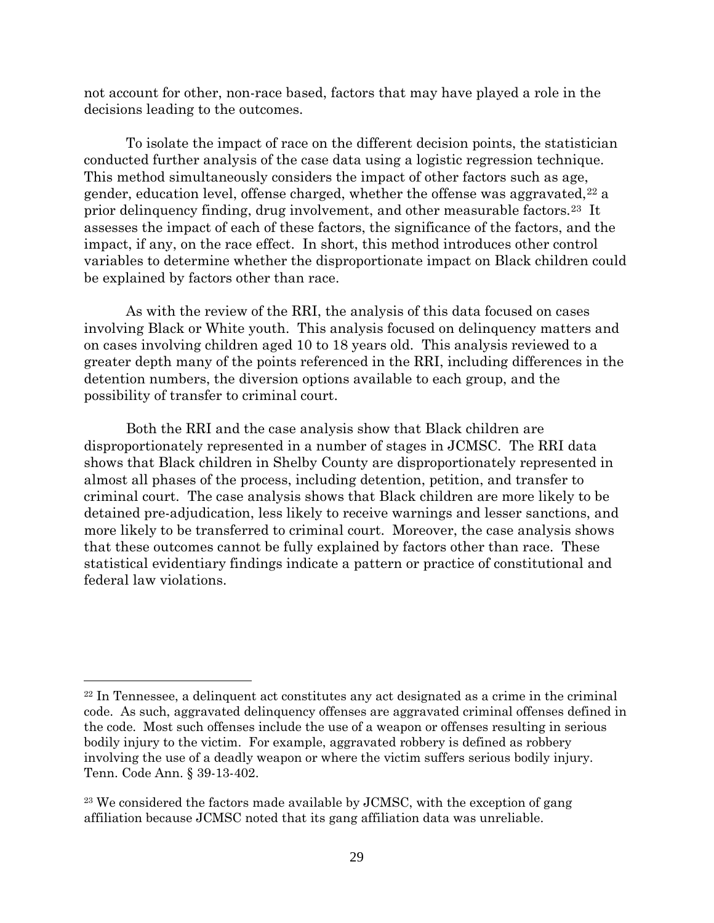not account for other, non-race based, factors that may have played a role in the decisions leading to the outcomes.

To isolate the impact of race on the different decision points, the statistician conducted further analysis of the case data using a logistic regression technique. This method simultaneously considers the impact of other factors such as age, gender, education level, offense charged, whether the offense was aggravated,[22](#page-30-0) a prior delinquency finding, drug involvement, and other measurable factors.[23](#page-30-1) It assesses the impact of each of these factors, the significance of the factors, and the impact, if any, on the race effect. In short, this method introduces other control variables to determine whether the disproportionate impact on Black children could be explained by factors other than race.

As with the review of the RRI, the analysis of this data focused on cases involving Black or White youth. This analysis focused on delinquency matters and on cases involving children aged 10 to 18 years old. This analysis reviewed to a greater depth many of the points referenced in the RRI, including differences in the detention numbers, the diversion options available to each group, and the possibility of transfer to criminal court.

Both the RRI and the case analysis show that Black children are disproportionately represented in a number of stages in JCMSC. The RRI data shows that Black children in Shelby County are disproportionately represented in almost all phases of the process, including detention, petition, and transfer to criminal court. The case analysis shows that Black children are more likely to be detained pre-adjudication, less likely to receive warnings and lesser sanctions, and more likely to be transferred to criminal court. Moreover, the case analysis shows that these outcomes cannot be fully explained by factors other than race. These statistical evidentiary findings indicate a pattern or practice of constitutional and federal law violations.

<span id="page-30-0"></span><sup>22</sup> In Tennessee, a delinquent act constitutes any act designated as a crime in the criminal code. As such, aggravated delinquency offenses are aggravated criminal offenses defined in the code. Most such offenses include the use of a weapon or offenses resulting in serious bodily injury to the victim. For example, aggravated robbery is defined as robbery involving the use of a deadly weapon or where the victim suffers serious bodily injury. Tenn. Code Ann. § 39-13-402.

<span id="page-30-1"></span><sup>&</sup>lt;sup>23</sup> We considered the factors made available by JCMSC, with the exception of gang affiliation because JCMSC noted that its gang affiliation data was unreliable.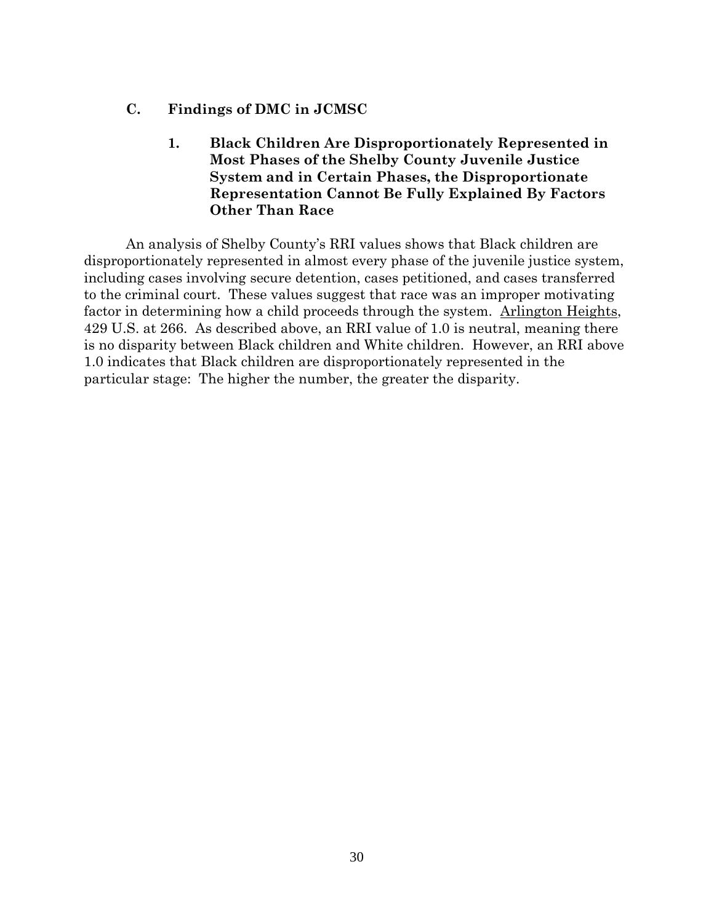- **C. Findings of DMC in JCMSC**
	- **1. Black Children Are Disproportionately Represented in Most Phases of the Shelby County Juvenile Justice System and in Certain Phases, the Disproportionate Representation Cannot Be Fully Explained By Factors Other Than Race**

An analysis of Shelby County's RRI values shows that Black children are disproportionately represented in almost every phase of the juvenile justice system, including cases involving secure detention, cases petitioned, and cases transferred to the criminal court. These values suggest that race was an improper motivating factor in determining how a child proceeds through the system. Arlington Heights, 429 U.S. at 266. As described above, an RRI value of 1.0 is neutral, meaning there is no disparity between Black children and White children. However, an RRI above 1.0 indicates that Black children are disproportionately represented in the particular stage: The higher the number, the greater the disparity.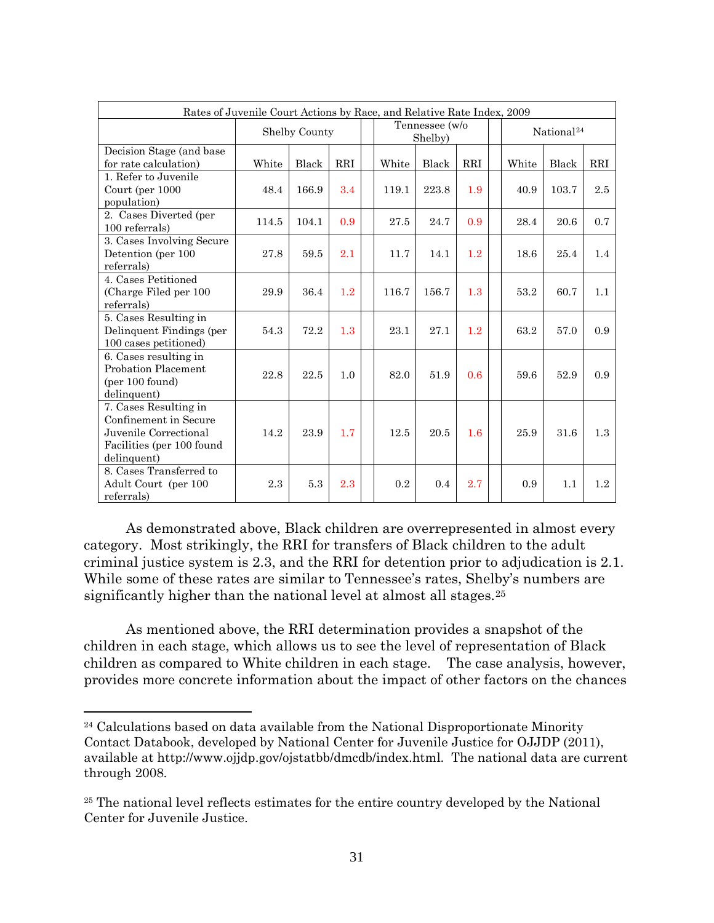| Rates of Juvenile Court Actions by Race, and Relative Rate Index, 2009                                              |       |               |     |  |                           |       |                        |       |       |            |
|---------------------------------------------------------------------------------------------------------------------|-------|---------------|-----|--|---------------------------|-------|------------------------|-------|-------|------------|
|                                                                                                                     |       | Shelby County |     |  | Tennessee (w/o<br>Shelby) |       | National <sup>24</sup> |       |       |            |
| Decision Stage (and base<br>for rate calculation)                                                                   | White | Black         | RRI |  | White                     | Black | RRI                    | White | Black | <b>RRI</b> |
| 1. Refer to Juvenile<br>Court (per 1000<br>population)                                                              | 48.4  | 166.9         | 3.4 |  | 119.1                     | 223.8 | 1.9                    | 40.9  | 103.7 | 2.5        |
| 2. Cases Diverted (per<br>100 referrals)                                                                            | 114.5 | 104.1         | 0.9 |  | 27.5                      | 24.7  | 0.9                    | 28.4  | 20.6  | 0.7        |
| 3. Cases Involving Secure<br>Detention (per 100<br>referrals)                                                       | 27.8  | 59.5          | 2.1 |  | 11.7                      | 14.1  | 1.2                    | 18.6  | 25.4  | 1.4        |
| 4. Cases Petitioned<br>(Charge Filed per 100<br>referrals)                                                          | 29.9  | 36.4          | 1.2 |  | 116.7                     | 156.7 | 1.3                    | 53.2  | 60.7  | 1.1        |
| 5. Cases Resulting in<br>Delinquent Findings (per<br>100 cases petitioned)                                          | 54.3  | 72.2          | 1.3 |  | 23.1                      | 27.1  | 1.2                    | 63.2  | 57.0  | 0.9        |
| 6. Cases resulting in<br><b>Probation Placement</b><br>(per 100 found)<br>delinquent)                               | 22.8  | 22.5          | 1.0 |  | 82.0                      | 51.9  | 0.6                    | 59.6  | 52.9  | 0.9        |
| 7. Cases Resulting in<br>Confinement in Secure<br>Juvenile Correctional<br>Facilities (per 100 found<br>delinquent) | 14.2  | 23.9          | 1.7 |  | 12.5                      | 20.5  | 1.6                    | 25.9  | 31.6  | 1.3        |
| 8. Cases Transferred to<br>Adult Court (per 100<br>referrals)                                                       | 2.3   | 5.3           | 2.3 |  | 0.2                       | 0.4   | 2.7                    | 0.9   | 1.1   | 1.2        |

As demonstrated above, Black children are overrepresented in almost every category. Most strikingly, the RRI for transfers of Black children to the adult criminal justice system is 2.3, and the RRI for detention prior to adjudication is 2.1. While some of these rates are similar to Tennessee's rates, Shelby's numbers are significantly higher than the national level at almost all stages.<sup>25</sup>

As mentioned above, the RRI determination provides a snapshot of the children in each stage, which allows us to see the level of representation of Black children as compared to White children in each stage. The case analysis, however, provides more concrete information about the impact of other factors on the chances

<span id="page-32-0"></span><sup>24</sup> Calculations based on data available from the National Disproportionate Minority Contact Databook, developed by National Center for Juvenile Justice for OJJDP (2011), available at [http://www.ojjdp.gov/ojstatbb/dmcdb/index.html.](http://www.ojjdp.gov/ojstatbb/dmcdb/index.html) The national data are current through 2008.

<span id="page-32-1"></span><sup>&</sup>lt;sup>25</sup> The national level reflects estimates for the entire country developed by the National Center for Juvenile Justice.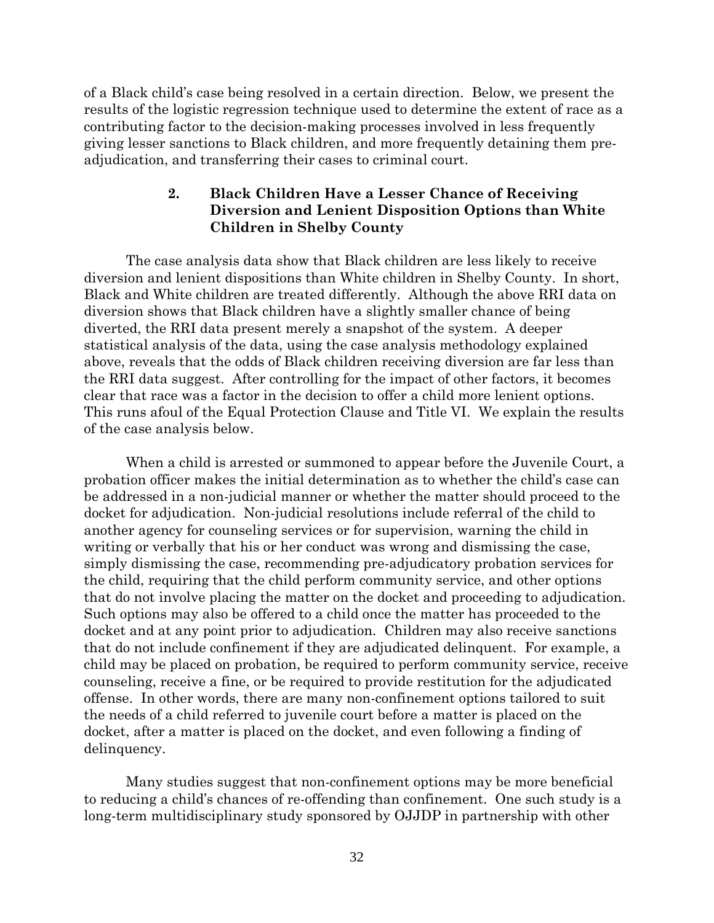of a Black child's case being resolved in a certain direction. Below, we present the results of the logistic regression technique used to determine the extent of race as a contributing factor to the decision-making processes involved in less frequently giving lesser sanctions to Black children, and more frequently detaining them preadjudication, and transferring their cases to criminal court.

### **2. Black Children Have a Lesser Chance of Receiving Diversion and Lenient Disposition Options than White Children in Shelby County**

The case analysis data show that Black children are less likely to receive diversion and lenient dispositions than White children in Shelby County. In short, Black and White children are treated differently. Although the above RRI data on diversion shows that Black children have a slightly smaller chance of being diverted, the RRI data present merely a snapshot of the system. A deeper statistical analysis of the data, using the case analysis methodology explained above, reveals that the odds of Black children receiving diversion are far less than the RRI data suggest. After controlling for the impact of other factors, it becomes clear that race was a factor in the decision to offer a child more lenient options. This runs afoul of the Equal Protection Clause and Title VI. We explain the results of the case analysis below.

When a child is arrested or summoned to appear before the Juvenile Court, a probation officer makes the initial determination as to whether the child's case can be addressed in a non-judicial manner or whether the matter should proceed to the docket for adjudication. Non-judicial resolutions include referral of the child to another agency for counseling services or for supervision, warning the child in writing or verbally that his or her conduct was wrong and dismissing the case, simply dismissing the case, recommending pre-adjudicatory probation services for the child, requiring that the child perform community service, and other options that do not involve placing the matter on the docket and proceeding to adjudication. Such options may also be offered to a child once the matter has proceeded to the docket and at any point prior to adjudication. Children may also receive sanctions that do not include confinement if they are adjudicated delinquent. For example, a child may be placed on probation, be required to perform community service, receive counseling, receive a fine, or be required to provide restitution for the adjudicated offense. In other words, there are many non-confinement options tailored to suit the needs of a child referred to juvenile court before a matter is placed on the docket, after a matter is placed on the docket, and even following a finding of delinquency.

Many studies suggest that non-confinement options may be more beneficial to reducing a child's chances of re-offending than confinement. One such study is a long-term multidisciplinary study sponsored by OJJDP in partnership with other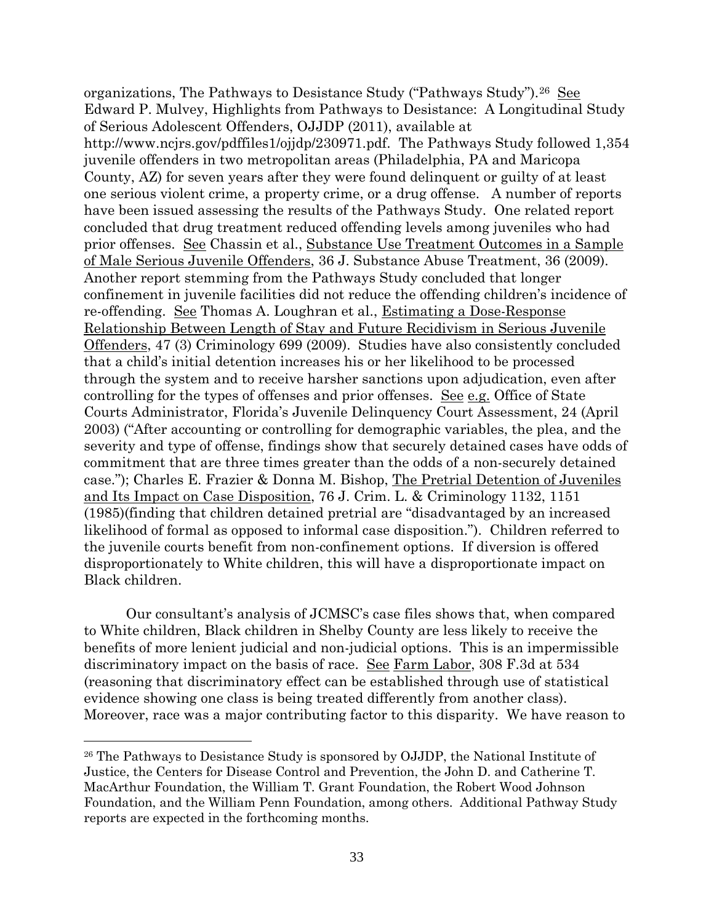organizations, The Pathways to Desistance Study ("Pathways Study").<sup>[26](#page-34-0)</sup> See Edward P. Mulvey, Highlights from Pathways to Desistance: A Longitudinal Study of Serious Adolescent Offenders, OJJDP (2011), available at http://www.ncjrs.gov/pdffiles1/ojjdp/230971.pdf. The Pathways Study followed 1,354 juvenile offenders in two metropolitan areas (Philadelphia, PA and Maricopa County, AZ) for seven years after they were found delinquent or guilty of at least one serious violent crime, a property crime, or a drug offense. A number of reports have been issued assessing the results of the Pathways Study. One related report concluded that drug treatment reduced offending levels among juveniles who had prior offenses. See Chassin et al., Substance Use Treatment Outcomes in a Sample of Male Serious Juvenile Offenders, 36 J. Substance Abuse Treatment, 36 (2009). Another report stemming from the Pathways Study concluded that longer confinement in juvenile facilities did not reduce the offending children's incidence of re-offending. See Thomas A. Loughran et al., Estimating a Dose-Response Relationship Between Length of Stay and Future Recidivism in Serious Juvenile Offenders, 47 (3) Criminology 699 (2009). Studies have also consistently concluded that a child's initial detention increases his or her likelihood to be processed through the system and to receive harsher sanctions upon adjudication, even after controlling for the types of offenses and prior offenses. <u>See e.g.</u> Office of State Courts Administrator, Florida's Juvenile Delinquency Court Assessment, 24 (April 2003) ("After accounting or controlling for demographic variables, the plea, and the severity and type of offense, findings show that securely detained cases have odds of commitment that are three times greater than the odds of a non-securely detained case."); Charles E. Frazier & Donna M. Bishop, The Pretrial Detention of Juveniles and Its Impact on Case Disposition, 76 J. Crim. L. & Criminology 1132, 1151 (1985)(finding that children detained pretrial are "disadvantaged by an increased likelihood of formal as opposed to informal case disposition."). Children referred to the juvenile courts benefit from non-confinement options. If diversion is offered disproportionately to White children, this will have a disproportionate impact on Black children.

Our consultant's analysis of JCMSC's case files shows that, when compared to White children, Black children in Shelby County are less likely to receive the benefits of more lenient judicial and non-judicial options. This is an impermissible discriminatory impact on the basis of race. <u>See Farm Labor</u>, 308 F.3d at 534 (reasoning that discriminatory effect can be established through use of statistical evidence showing one class is being treated differently from another class). Moreover, race was a major contributing factor to this disparity. We have reason to

<span id="page-34-0"></span><sup>26</sup> The Pathways to Desistance Study is sponsored by OJJDP, the National Institute of Justice, the Centers for Disease Control and Prevention, the John D. and Catherine T. MacArthur Foundation, the William T. Grant Foundation, the Robert Wood Johnson Foundation, and the William Penn Foundation, among others. Additional Pathway Study reports are expected in the forthcoming months.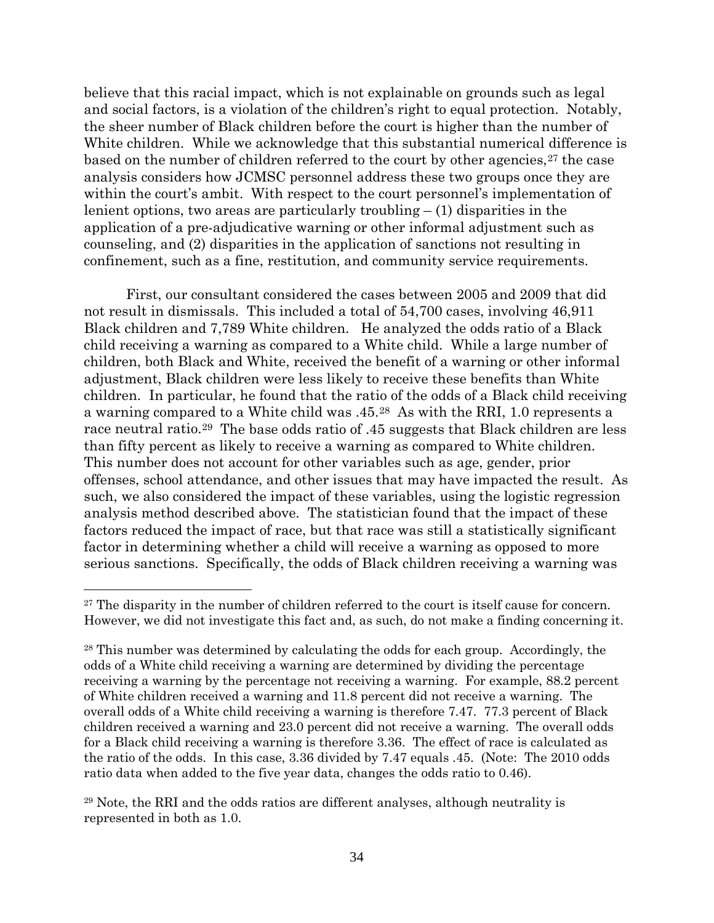believe that this racial impact, which is not explainable on grounds such as legal and social factors, is a violation of the children's right to equal protection. Notably, the sheer number of Black children before the court is higher than the number of White children. While we acknowledge that this substantial numerical difference is based on the number of children referred to the court by other agencies,  $27$  the case analysis considers how JCMSC personnel address these two groups once they are within the court's ambit. With respect to the court personnel's implementation of lenient options, two areas are particularly troubling  $- (1)$  disparities in the application of a pre-adjudicative warning or other informal adjustment such as counseling, and (2) disparities in the application of sanctions not resulting in confinement, such as a fine, restitution, and community service requirements.

First, our consultant considered the cases between 2005 and 2009 that did not result in dismissals. This included a total of 54,700 cases, involving 46,911 Black children and 7,789 White children. He analyzed the odds ratio of a Black child receiving a warning as compared to a White child. While a large number of children, both Black and White, received the benefit of a warning or other informal adjustment, Black children were less likely to receive these benefits than White children. In particular, he found that the ratio of the odds of a Black child receiving a warning compared to a White child was .45.[28](#page-35-1) As with the RRI, 1.0 represents a race neutral ratio[.29](#page-35-2) The base odds ratio of .45 suggests that Black children are less than fifty percent as likely to receive a warning as compared to White children. This number does not account for other variables such as age, gender, prior offenses, school attendance, and other issues that may have impacted the result. As such, we also considered the impact of these variables, using the logistic regression analysis method described above. The statistician found that the impact of these factors reduced the impact of race, but that race was still a statistically significant factor in determining whether a child will receive a warning as opposed to more serious sanctions. Specifically, the odds of Black children receiving a warning was

<span id="page-35-0"></span> $27$  The disparity in the number of children referred to the court is itself cause for concern. However, we did not investigate this fact and, as such, do not make a finding concerning it.

<span id="page-35-1"></span><sup>&</sup>lt;sup>28</sup> This number was determined by calculating the odds for each group. Accordingly, the odds of a White child receiving a warning are determined by dividing the percentage receiving a warning by the percentage not receiving a warning. For example, 88.2 percent of White children received a warning and 11.8 percent did not receive a warning. The overall odds of a White child receiving a warning is therefore 7.47. 77.3 percent of Black children received a warning and 23.0 percent did not receive a warning. The overall odds for a Black child receiving a warning is therefore 3.36. The effect of race is calculated as the ratio of the odds. In this case, 3.36 divided by 7.47 equals .45. (Note: The 2010 odds ratio data when added to the five year data, changes the odds ratio to 0.46).

<span id="page-35-2"></span><sup>29</sup> Note, the RRI and the odds ratios are different analyses, although neutrality is represented in both as 1.0.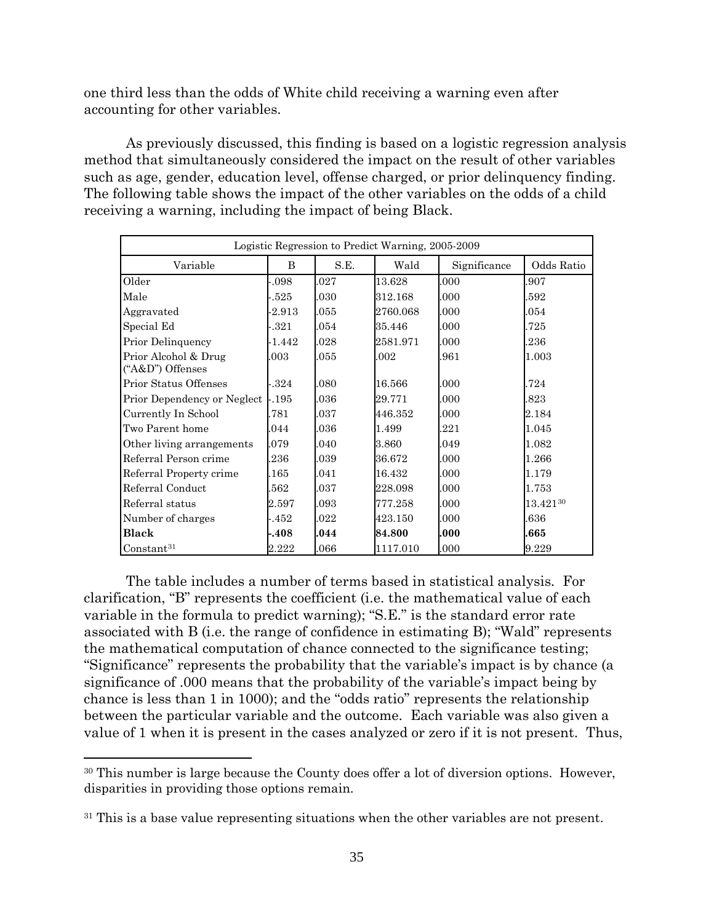one third less than the odds of White child receiving a warning even after accounting for other variables.

As previously discussed, this finding is based on a logistic regression analysis method that simultaneously considered the impact on the result of other variables such as age, gender, education level, offense charged, or prior delinquency finding. The following table shows the impact of the other variables on the odds of a child receiving a warning, including the impact of being Black.

| Logistic Regression to Predict Warning, 2005-2009 |           |      |          |              |               |  |
|---------------------------------------------------|-----------|------|----------|--------------|---------------|--|
| Variable                                          | B         | S.E. | Wald     | Significance | Odds Ratio    |  |
| Older                                             | $-098$    | 027  | 13.628   | .000         | .907          |  |
| Male                                              | - 525     | .030 | 312.168  | .000         | .592          |  |
| Aggravated                                        | $-2.913$  | .055 | 2760.068 | .000         | .054          |  |
| Special Ed                                        | $-321$    | .054 | 35.446   | .000         | .725          |  |
| Prior Delinquency                                 | -1.442    | .028 | 2581.971 | .000         | .236          |  |
| Prior Alcohol & Drug                              | 003       | .055 | .002     | .961         | 1.003         |  |
| (" $A&D$ ") Offenses                              |           |      |          |              |               |  |
| <b>Prior Status Offenses</b>                      | .324      | .080 | 16.566   | .000         | .724          |  |
| Prior Dependency or Neglect                       | $-195$    | .036 | 29.771   | .000         | .823          |  |
| Currently In School                               | 781       | .037 | 446.352  | .000         | 2.184         |  |
| Two Parent home                                   | 044       | .036 | 1.499    | .221         | 1.045         |  |
| Other living arrangements                         | .079      | .040 | 3.860    | .049         | 1.082         |  |
| Referral Person crime                             | 236       | .039 | 36.672   | .000         | 1.266         |  |
| Referral Property crime                           | 165       | .041 | 16.432   | .000         | 1.179         |  |
| Referral Conduct                                  | 562       | .037 | 228.098  | .000         | 1.753         |  |
| Referral status                                   | $2.597\,$ | .093 | 777.258  | .000         | $13.421^{30}$ |  |
| Number of charges                                 | . 452     | 022  | 423.150  | .000         | .636          |  |
| <b>Black</b>                                      | $-408$    | .044 | 84.800   | .000         | .665          |  |
| Constant <sup>31</sup>                            | 2.222     | 066  | 1117.010 | .000         | 9.229         |  |

The table includes a number of terms based in statistical analysis. For clarification, "B" represents the coefficient (i.e. the mathematical value of each variable in the formula to predict warning); "S.E." is the standard error rate associated with B (i.e. the range of confidence in estimating B); "Wald" represents the mathematical computation of chance connected to the significance testing; "Significance" represents the probability that the variable's impact is by chance (a significance of .000 means that the probability of the variable's impact being by chance is less than 1 in 1000); and the "odds ratio" represents the relationship between the particular variable and the outcome. Each variable was also given a value of 1 when it is present in the cases analyzed or zero if it is not present. Thus,

<span id="page-36-0"></span><sup>&</sup>lt;sup>30</sup> This number is large because the County does offer a lot of diversion options. However, disparities in providing those options remain.

<span id="page-36-1"></span><sup>&</sup>lt;sup>31</sup> This is a base value representing situations when the other variables are not present.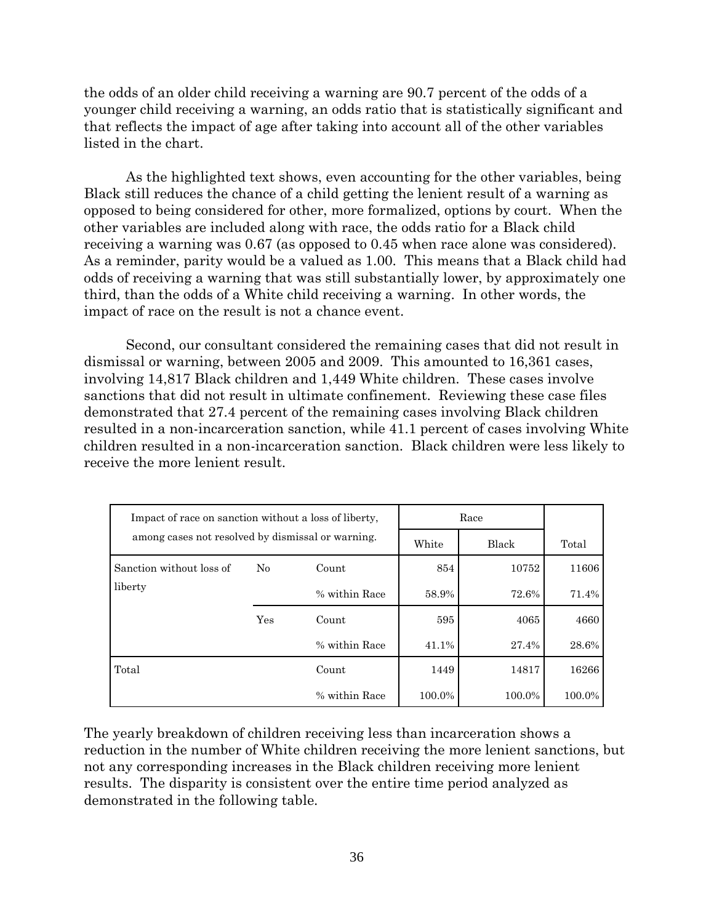the odds of an older child receiving a warning are 90.7 percent of the odds of a younger child receiving a warning, an odds ratio that is statistically significant and that reflects the impact of age after taking into account all of the other variables listed in the chart.

As the highlighted text shows, even accounting for the other variables, being Black still reduces the chance of a child getting the lenient result of a warning as opposed to being considered for other, more formalized, options by court. When the other variables are included along with race, the odds ratio for a Black child receiving a warning was 0.67 (as opposed to 0.45 when race alone was considered). As a reminder, parity would be a valued as 1.00. This means that a Black child had odds of receiving a warning that was still substantially lower, by approximately one third, than the odds of a White child receiving a warning. In other words, the impact of race on the result is not a chance event.

Second, our consultant considered the remaining cases that did not result in dismissal or warning, between 2005 and 2009. This amounted to 16,361 cases, involving 14,817 Black children and 1,449 White children. These cases involve sanctions that did not result in ultimate confinement. Reviewing these case files demonstrated that 27.4 percent of the remaining cases involving Black children resulted in a non-incarceration sanction, while 41.1 percent of cases involving White children resulted in a non-incarceration sanction. Black children were less likely to receive the more lenient result.

| Impact of race on sanction without a loss of liberty,<br>among cases not resolved by dismissal or warning. |                | Race          |        |        |        |
|------------------------------------------------------------------------------------------------------------|----------------|---------------|--------|--------|--------|
|                                                                                                            |                | White         | Black  | Total  |        |
| Sanction without loss of                                                                                   | N <sub>0</sub> | Count         | 854    | 10752  | 11606  |
| liberty                                                                                                    |                | % within Race | 58.9%  | 72.6%  | 71.4%  |
|                                                                                                            | Yes            | Count         | 595    | 4065   | 4660   |
|                                                                                                            |                | % within Race | 41.1%  | 27.4%  | 28.6%  |
| Total                                                                                                      |                | Count         | 1449   | 14817  | 16266  |
|                                                                                                            |                | % within Race | 100.0% | 100.0% | 100.0% |

The yearly breakdown of children receiving less than incarceration shows a reduction in the number of White children receiving the more lenient sanctions, but not any corresponding increases in the Black children receiving more lenient results. The disparity is consistent over the entire time period analyzed as demonstrated in the following table.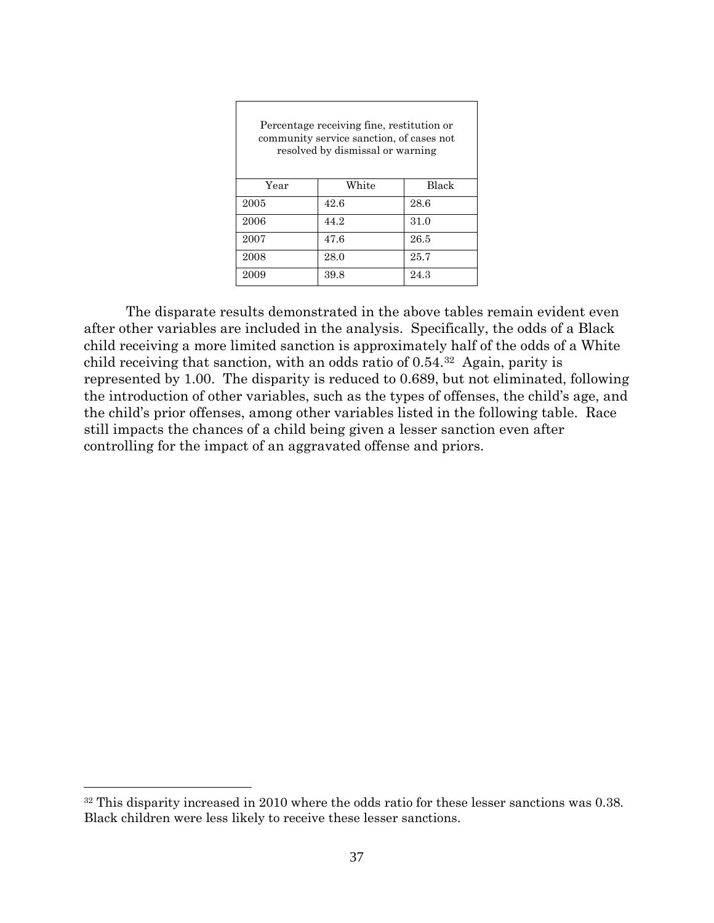| Percentage receiving fine, restitution or<br>community service sanction, of cases not<br>resolved by dismissal or warning |       |       |  |  |  |
|---------------------------------------------------------------------------------------------------------------------------|-------|-------|--|--|--|
| Year                                                                                                                      | White | Black |  |  |  |
| 2005                                                                                                                      | 42.6  | 28.6  |  |  |  |
| 2006                                                                                                                      | 44.2  | 31.0  |  |  |  |
| 2007                                                                                                                      | 47.6  | 26.5  |  |  |  |
| 2008                                                                                                                      | 28.0  | 25.7  |  |  |  |
| 2009                                                                                                                      | 39.8  | 24.3  |  |  |  |

The disparate results demonstrated in the above tables remain evident even after other variables are included in the analysis. Specifically, the odds of a Black child receiving a more limited sanction is approximately half of the odds of a White child receiving that sanction, with an odds ratio of 0.54.[32](#page-38-0) Again, parity is represented by 1.00. The disparity is reduced to 0.689, but not eliminated, following the introduction of other variables, such as the types of offenses, the child's age, and the child's prior offenses, among other variables listed in the following table. Race still impacts the chances of a child being given a lesser sanction even after controlling for the impact of an aggravated offense and priors.

<span id="page-38-0"></span><sup>&</sup>lt;sup>32</sup> This disparity increased in 2010 where the odds ratio for these lesser sanctions was 0.38. Black children were less likely to receive these lesser sanctions.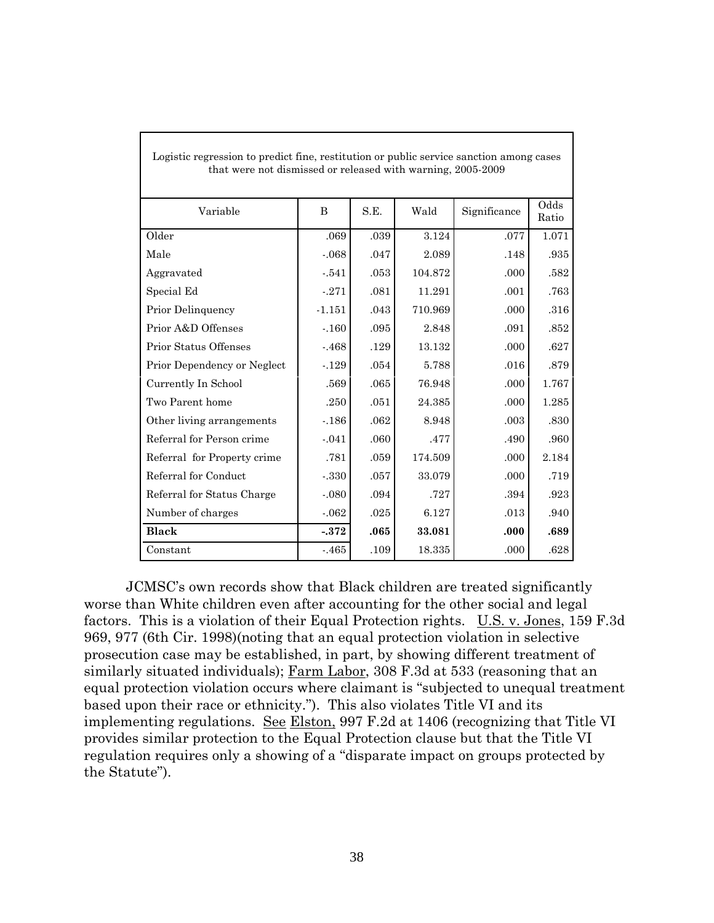| Logistic regression to predict fine, restitution or public service sanction among cases<br>that were not dismissed or released with warning, 2005-2009 |          |      |         |              |               |  |
|--------------------------------------------------------------------------------------------------------------------------------------------------------|----------|------|---------|--------------|---------------|--|
| Variable                                                                                                                                               | B        | S.E. | Wald    | Significance | Odds<br>Ratio |  |
| Older                                                                                                                                                  | .069     | .039 | 3.124   | .077         | 1.071         |  |
| Male                                                                                                                                                   | $-068$   | .047 | 2.089   | .148         | .935          |  |
| Aggravated                                                                                                                                             | $-541$   | .053 | 104.872 | .000         | .582          |  |
| Special Ed                                                                                                                                             | $-271$   | .081 | 11.291  | .001         | .763          |  |
| Prior Delinquency                                                                                                                                      | $-1.151$ | .043 | 710.969 | .000         | .316          |  |
| Prior A&D Offenses                                                                                                                                     | $-.160$  | .095 | 2.848   | .091         | .852          |  |
| <b>Prior Status Offenses</b>                                                                                                                           | $-.468$  | .129 | 13.132  | .000         | .627          |  |
| Prior Dependency or Neglect                                                                                                                            | $-129$   | .054 | 5.788   | .016         | .879          |  |
| Currently In School                                                                                                                                    | .569     | .065 | 76.948  | .000         | 1.767         |  |
| Two Parent home                                                                                                                                        | .250     | .051 | 24.385  | .000         | 1.285         |  |
| Other living arrangements                                                                                                                              | $-186$   | .062 | 8.948   | .003         | .830          |  |
| Referral for Person crime                                                                                                                              | $-.041$  | .060 | .477    | .490         | .960          |  |
| Referral for Property crime                                                                                                                            | .781     | .059 | 174.509 | .000         | 2.184         |  |
| Referral for Conduct                                                                                                                                   | $-.330$  | .057 | 33.079  | .000         | .719          |  |
| Referral for Status Charge                                                                                                                             | $-.080$  | .094 | .727    | .394         | .923          |  |
| Number of charges                                                                                                                                      | $-062$   | .025 | 6.127   | .013         | .940          |  |
| <b>Black</b>                                                                                                                                           | $-.372$  | .065 | 33.081  | .000         | .689          |  |
| Constant                                                                                                                                               | $-465$   | .109 | 18.335  | .000         | .628          |  |

JCMSC's own records show that Black children are treated significantly worse than White children even after accounting for the other social and legal factors. This is a violation of their Equal Protection rights. U.S. v. Jones, 159 F.3d 969, 977 (6th Cir. 1998)(noting that an equal protection violation in selective prosecution case may be established, in part, by showing different treatment of similarly situated individuals); Farm Labor, 308 F.3d at 533 (reasoning that an equal protection violation occurs where claimant is "subjected to unequal treatment based upon their race or ethnicity."). This also violates Title VI and its implementing regulations. <u>See Elston</u>, 997 F.2d at 1406 (recognizing that Title VI provides similar protection to the Equal Protection clause but that the Title VI regulation requires only a showing of a "disparate impact on groups protected by the Statute").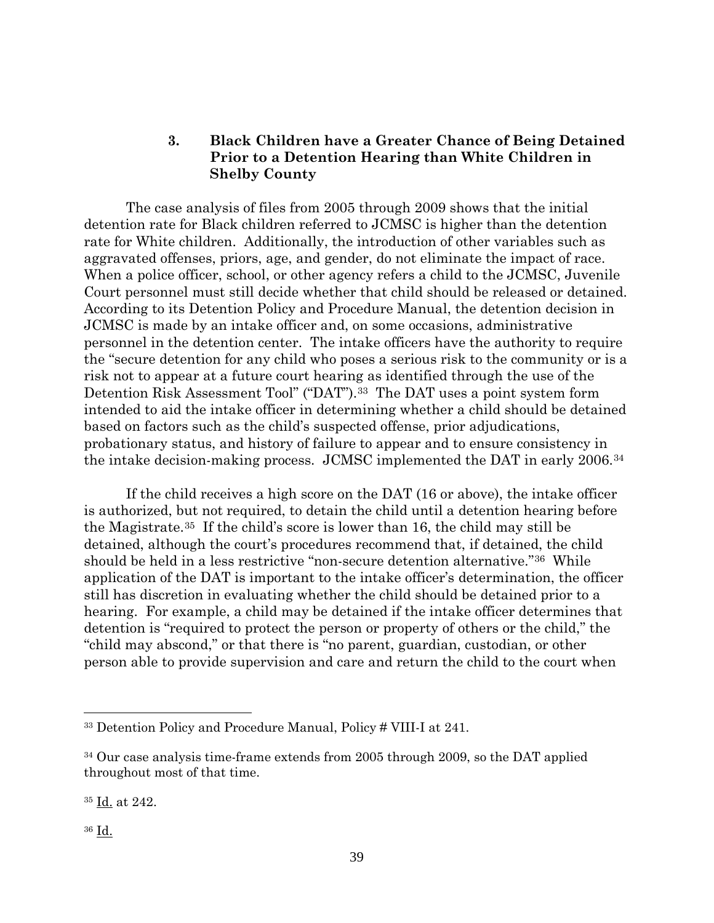### **3. Black Children have a Greater Chance of Being Detained Prior to a Detention Hearing than White Children in Shelby County**

The case analysis of files from 2005 through 2009 shows that the initial detention rate for Black children referred to JCMSC is higher than the detention rate for White children. Additionally, the introduction of other variables such as aggravated offenses, priors, age, and gender, do not eliminate the impact of race. When a police officer, school, or other agency refers a child to the JCMSC, Juvenile Court personnel must still decide whether that child should be released or detained. According to its Detention Policy and Procedure Manual, the detention decision in JCMSC is made by an intake officer and, on some occasions, administrative personnel in the detention center. The intake officers have the authority to require the "secure detention for any child who poses a serious risk to the community or is a risk not to appear at a future court hearing as identified through the use of the Detention Risk Assessment Tool" ("DAT").<sup>33</sup> The DAT uses a point system form intended to aid the intake officer in determining whether a child should be detained based on factors such as the child's suspected offense, prior adjudications, probationary status, and history of failure to appear and to ensure consistency in the intake decision-making process. JCMSC implemented the DAT in early 2006.[34](#page-40-1)

If the child receives a high score on the DAT (16 or above), the intake officer is authorized, but not required, to detain the child until a detention hearing before the Magistrate.[35](#page-40-2) If the child's score is lower than 16, the child may still be detained, although the court's procedures recommend that, if detained, the child should be held in a less restrictive "non-secure detention alternative."[36](#page-40-3) While application of the DAT is important to the intake officer's determination, the officer still has discretion in evaluating whether the child should be detained prior to a hearing. For example, a child may be detained if the intake officer determines that detention is "required to protect the person or property of others or the child," the "child may abscond," or that there is "no parent, guardian, custodian, or other person able to provide supervision and care and return the child to the court when

<span id="page-40-0"></span><sup>33</sup> Detention Policy and Procedure Manual, Policy # VIII-I at 241.

<span id="page-40-1"></span><sup>34</sup> Our case analysis time-frame extends from 2005 through 2009, so the DAT applied throughout most of that time.

<span id="page-40-3"></span><span id="page-40-2"></span><sup>&</sup>lt;sup>35</sup> Id. at 242.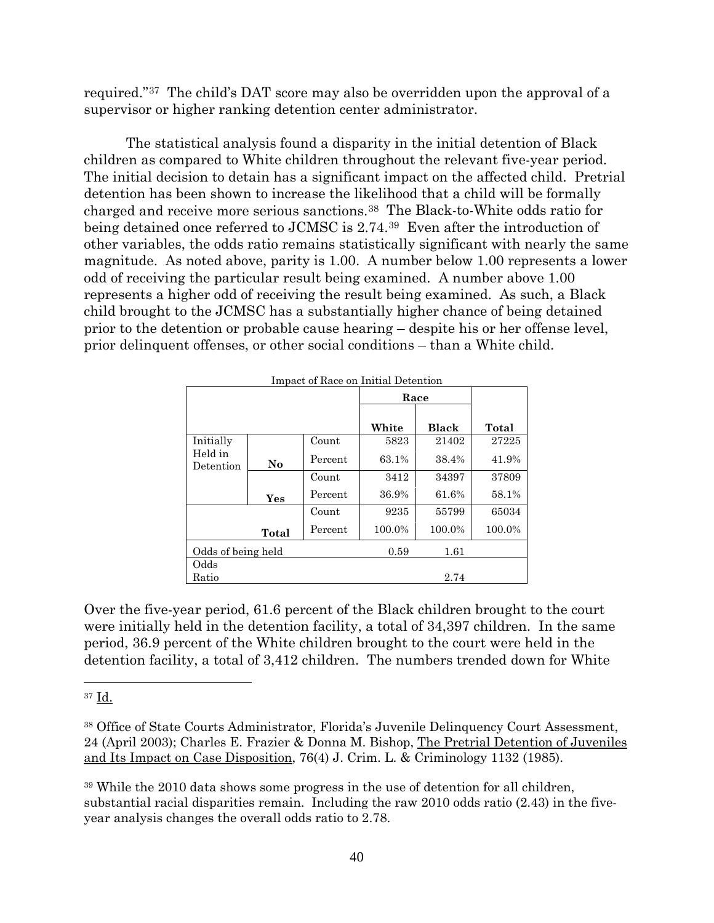required."[37](#page-41-0) The child's DAT score may also be overridden upon the approval of a supervisor or higher ranking detention center administrator.

The statistical analysis found a disparity in the initial detention of Black children as compared to White children throughout the relevant five-year period. The initial decision to detain has a significant impact on the affected child. Pretrial detention has been shown to increase the likelihood that a child will be formally charged and receive more serious sanctions.[38](#page-41-1) The Black-to-White odds ratio for being detained once referred to JCMSC is 2.74.[39](#page-41-2) Even after the introduction of other variables, the odds ratio remains statistically significant with nearly the same magnitude. As noted above, parity is 1.00. A number below 1.00 represents a lower odd of receiving the particular result being examined. A number above 1.00 represents a higher odd of receiving the result being examined. As such, a Black child brought to the JCMSC has a substantially higher chance of being detained prior to the detention or probable cause hearing – despite his or her offense level, prior delinquent offenses, or other social conditions – than a White child.

| ппрасс от таксе он ппенат в сестемн |       |         |        |        |        |
|-------------------------------------|-------|---------|--------|--------|--------|
|                                     |       |         | Race   |        |        |
|                                     |       |         |        |        |        |
|                                     |       |         | White  | Black  | Total  |
| Initially                           |       | Count   | 5823   | 21402  | 27225  |
| Held in<br>Detention                | No    | Percent | 63.1%  | 38.4%  | 41.9%  |
|                                     |       | Count   | 3412   | 34397  | 37809  |
|                                     | Yes   | Percent | 36.9%  | 61.6%  | 58.1%  |
|                                     |       | Count   | 9235   | 55799  | 65034  |
|                                     | Total | Percent | 100.0% | 100.0% | 100.0% |
| Odds of being held                  |       |         | 0.59   | 1.61   |        |
| Odds                                |       |         |        |        |        |
| Ratio                               |       |         |        | 2.74   |        |

|--|

Over the five-year period, 61.6 percent of the Black children brought to the court were initially held in the detention facility, a total of 34,397 children. In the same period, 36.9 percent of the White children brought to the court were held in the detention facility, a total of 3,412 children. The numbers trended down for White

<span id="page-41-0"></span><sup>37</sup> Id.

<span id="page-41-1"></span><sup>38</sup> Office of State Courts Administrator, Florida's Juvenile Delinquency Court Assessment, 24 (April 2003); Charles E. Frazier & Donna M. Bishop, The Pretrial Detention of Juveniles and Its Impact on Case Disposition, 76(4) J. Crim. L. & Criminology 1132 (1985).

<span id="page-41-2"></span><sup>39</sup> While the 2010 data shows some progress in the use of detention for all children, substantial racial disparities remain. Including the raw 2010 odds ratio (2.43) in the fiveyear analysis changes the overall odds ratio to 2.78.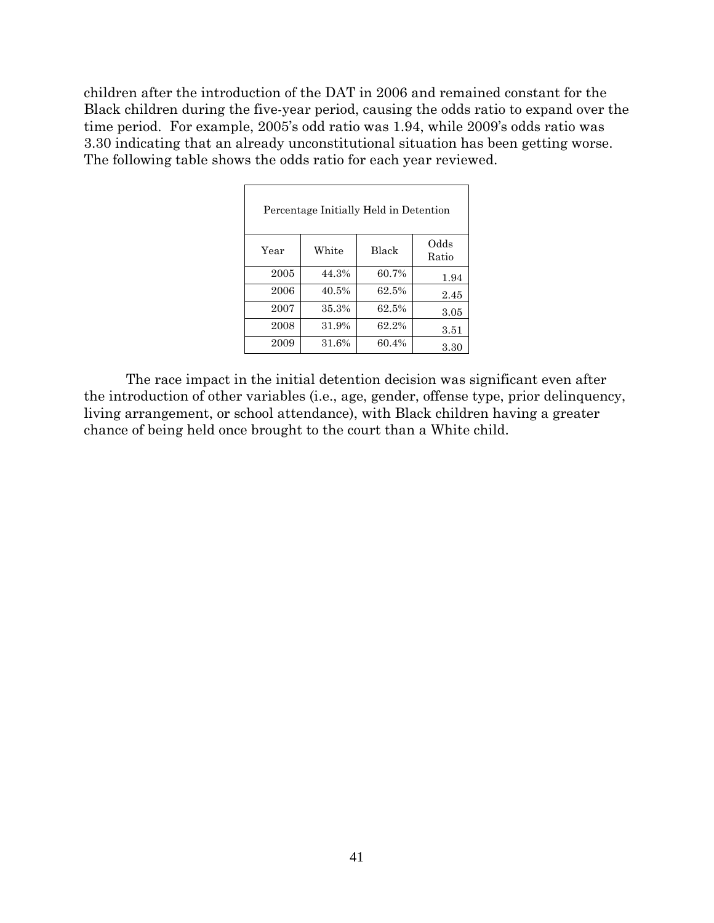children after the introduction of the DAT in 2006 and remained constant for the Black children during the five-year period, causing the odds ratio to expand over the time period. For example, 2005's odd ratio was 1.94, while 2009's odds ratio was 3.30 indicating that an already unconstitutional situation has been getting worse. The following table shows the odds ratio for each year reviewed.

 $\blacksquare$ 

| Percentage Initially Held in Detention |       |       |               |  |  |  |
|----------------------------------------|-------|-------|---------------|--|--|--|
| Year                                   | White | Black | Odds<br>Ratio |  |  |  |
| 2005                                   | 44.3% | 60.7% | 1.94          |  |  |  |
| 2006                                   | 40.5% | 62.5% | 2.45          |  |  |  |
| 2007                                   | 35.3% | 62.5% | 3.05          |  |  |  |
| 2008                                   | 31.9% | 62.2% | 3.51          |  |  |  |
| 2009                                   | 31.6% | 60.4% | 3.30          |  |  |  |

The race impact in the initial detention decision was significant even after the introduction of other variables (i.e., age, gender, offense type, prior delinquency, living arrangement, or school attendance), with Black children having a greater chance of being held once brought to the court than a White child.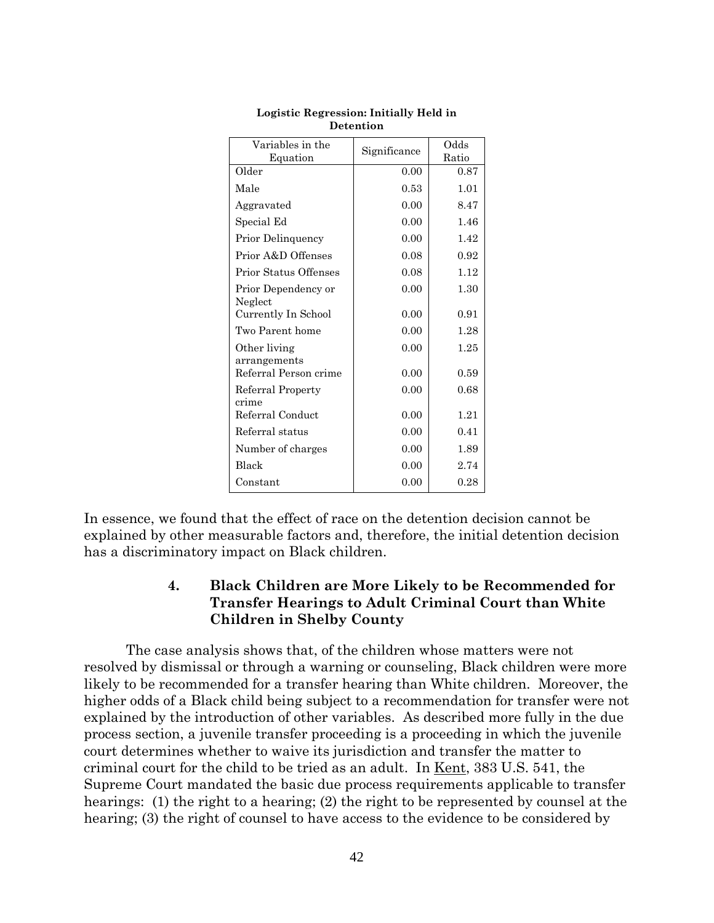| Variables in the               | Significance | Odds  |
|--------------------------------|--------------|-------|
| Equation                       |              | Ratio |
| Older                          | 0.00         | 0.87  |
| Male                           | 0.53         | 1.01  |
| Aggravated                     | 0.00         | 8.47  |
| Special Ed                     | 0.00         | 1.46  |
| Prior Delinquency              | 0.00         | 1.42  |
| Prior A&D Offenses             | 0.08         | 0.92  |
| <b>Prior Status Offenses</b>   | 0.08         | 1.12  |
| Prior Dependency or<br>Neglect | 0.00         | 1.30  |
| Currently In School            | 0.00         | 0.91  |
| Two Parent home                | 0.00         | 1.28  |
| Other living                   | 0.00         | 1.25  |
| arrangements                   |              |       |
| Referral Person crime          | 0.00         | 0.59  |
| Referral Property              | 0.00         | 0.68  |
| crime                          |              |       |
| Referral Conduct               | 0.00         | 1.21  |
| Referral status                | 0.00         | 0.41  |
| Number of charges              | 0.00         | 1.89  |
| Black                          | 0.00         | 2.74  |
| Constant                       | 0.00         | 0.28  |

#### **Logistic Regression: Initially Held in Detention**

In essence, we found that the effect of race on the detention decision cannot be explained by other measurable factors and, therefore, the initial detention decision has a discriminatory impact on Black children.

### **4. Black Children are More Likely to be Recommended for Transfer Hearings to Adult Criminal Court than White Children in Shelby County**

The case analysis shows that, of the children whose matters were not resolved by dismissal or through a warning or counseling, Black children were more likely to be recommended for a transfer hearing than White children. Moreover, the higher odds of a Black child being subject to a recommendation for transfer were not explained by the introduction of other variables. As described more fully in the due process section, a juvenile transfer proceeding is a proceeding in which the juvenile court determines whether to waive its jurisdiction and transfer the matter to criminal court for the child to be tried as an adult. In Kent, 383 U.S. 541, the Supreme Court mandated the basic due process requirements applicable to transfer hearings: (1) the right to a hearing; (2) the right to be represented by counsel at the hearing; (3) the right of counsel to have access to the evidence to be considered by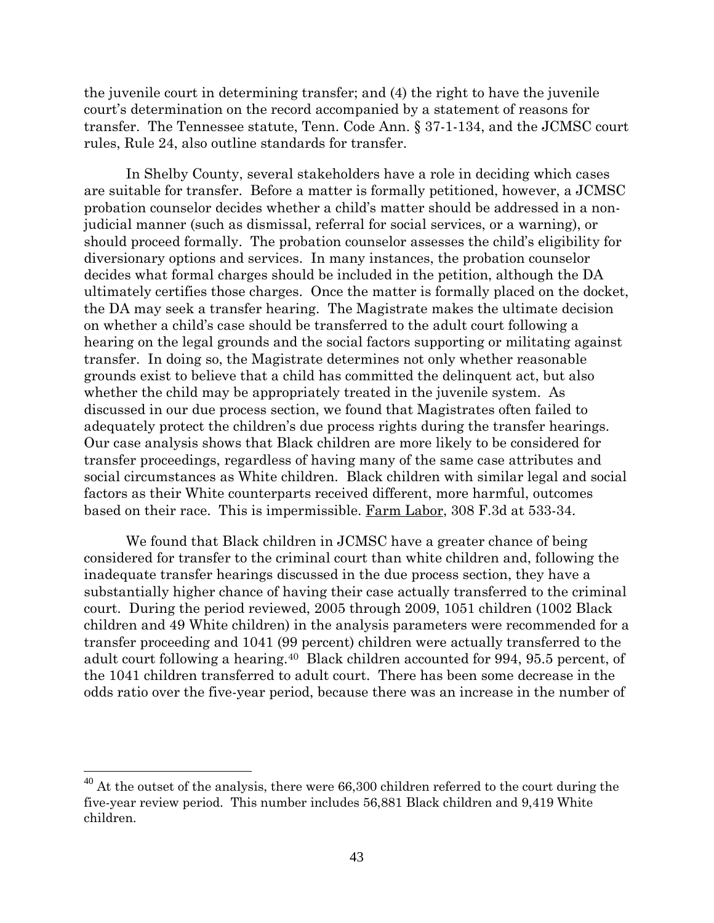the juvenile court in determining transfer; and (4) the right to have the juvenile court's determination on the record accompanied by a statement of reasons for transfer. The Tennessee statute, Tenn. Code Ann. § 37-1-134, and the JCMSC court rules, Rule 24, also outline standards for transfer.

In Shelby County, several stakeholders have a role in deciding which cases are suitable for transfer. Before a matter is formally petitioned, however, a JCMSC probation counselor decides whether a child's matter should be addressed in a nonjudicial manner (such as dismissal, referral for social services, or a warning), or should proceed formally. The probation counselor assesses the child's eligibility for diversionary options and services. In many instances, the probation counselor decides what formal charges should be included in the petition, although the DA ultimately certifies those charges. Once the matter is formally placed on the docket, the DA may seek a transfer hearing. The Magistrate makes the ultimate decision on whether a child's case should be transferred to the adult court following a hearing on the legal grounds and the social factors supporting or militating against transfer. In doing so, the Magistrate determines not only whether reasonable grounds exist to believe that a child has committed the delinquent act, but also whether the child may be appropriately treated in the juvenile system. As discussed in our due process section, we found that Magistrates often failed to adequately protect the children's due process rights during the transfer hearings. Our case analysis shows that Black children are more likely to be considered for transfer proceedings, regardless of having many of the same case attributes and social circumstances as White children. Black children with similar legal and social factors as their White counterparts received different, more harmful, outcomes based on their race. This is impermissible. Farm Labor, 308 F.3d at 533-34.

We found that Black children in JCMSC have a greater chance of being considered for transfer to the criminal court than white children and, following the inadequate transfer hearings discussed in the due process section, they have a substantially higher chance of having their case actually transferred to the criminal court. During the period reviewed, 2005 through 2009, 1051 children (1002 Black children and 49 White children) in the analysis parameters were recommended for a transfer proceeding and 1041 (99 percent) children were actually transferred to the adult court following a hearing.<sup>[40](#page-44-0)</sup> Black children accounted for 994, 95.5 percent, of the 1041 children transferred to adult court. There has been some decrease in the odds ratio over the five-year period, because there was an increase in the number of

<span id="page-44-0"></span> $^{40}$  At the outset of the analysis, there were 66,300 children referred to the court during the five-year review period. This number includes 56,881 Black children and 9,419 White children.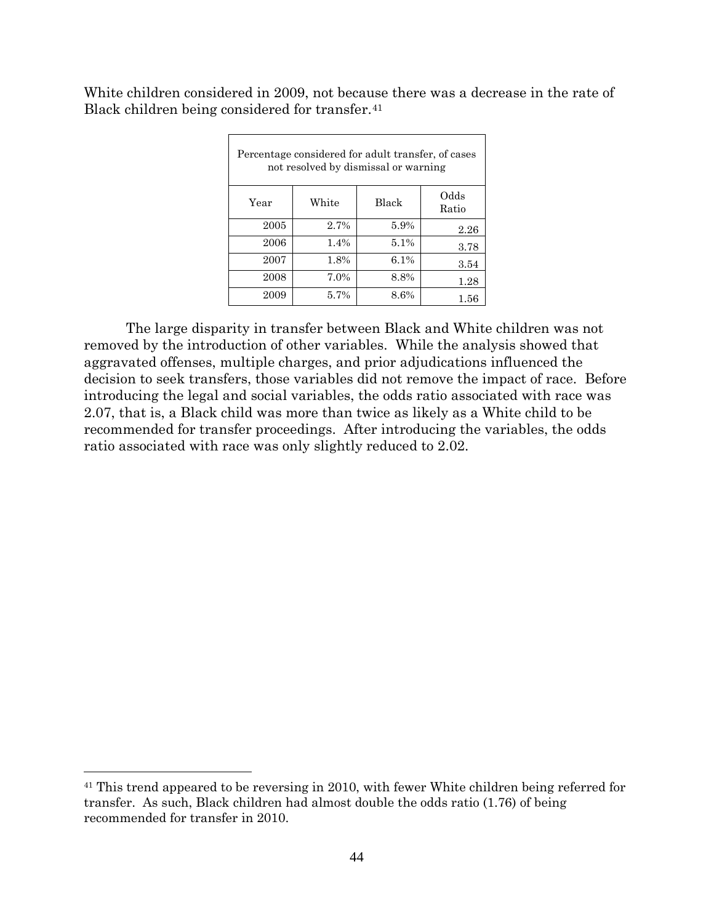White children considered in 2009, not because there was a decrease in the rate of Black children being considered for transfer.[41](#page-45-0)

| Percentage considered for adult transfer, of cases<br>not resolved by dismissal or warning |       |         |               |  |  |  |
|--------------------------------------------------------------------------------------------|-------|---------|---------------|--|--|--|
| Year                                                                                       | White | Black   | Odds<br>Ratio |  |  |  |
| 2005                                                                                       | 2.7%  | 5.9%    | 2.26          |  |  |  |
| 2006                                                                                       | 1.4%  | 5.1%    | 3.78          |  |  |  |
| 2007                                                                                       | 1.8%  | $6.1\%$ | 3.54          |  |  |  |
| 2008                                                                                       | 7.0%  | 8.8%    | 1.28          |  |  |  |
| 2009                                                                                       | 5.7%  | 8.6%    | 1.56          |  |  |  |

The large disparity in transfer between Black and White children was not removed by the introduction of other variables. While the analysis showed that aggravated offenses, multiple charges, and prior adjudications influenced the decision to seek transfers, those variables did not remove the impact of race. Before introducing the legal and social variables, the odds ratio associated with race was 2.07, that is, a Black child was more than twice as likely as a White child to be recommended for transfer proceedings. After introducing the variables, the odds ratio associated with race was only slightly reduced to 2.02.

<span id="page-45-0"></span><sup>&</sup>lt;sup>41</sup> This trend appeared to be reversing in 2010, with fewer White children being referred for transfer. As such, Black children had almost double the odds ratio (1.76) of being recommended for transfer in 2010.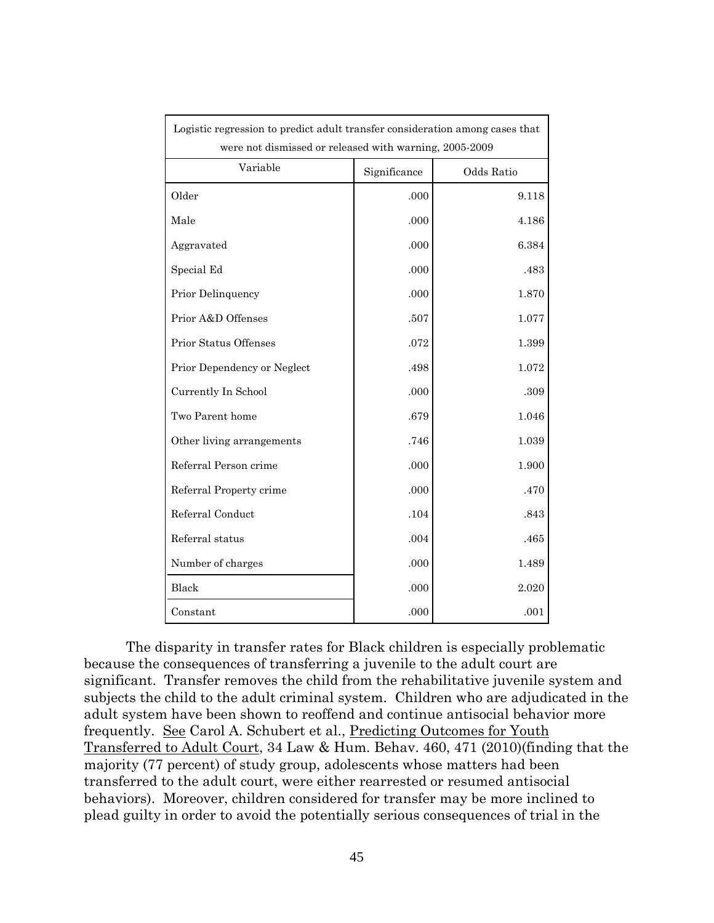| Logistic regression to predict adult transfer consideration among cases that<br>were not dismissed or released with warning, 2005-2009 |              |            |  |
|----------------------------------------------------------------------------------------------------------------------------------------|--------------|------------|--|
| Variable                                                                                                                               | Significance | Odds Ratio |  |
| Older                                                                                                                                  | .000         | 9.118      |  |
| Male                                                                                                                                   | .000         | 4.186      |  |
| Aggravated                                                                                                                             | .000         | 6.384      |  |
| Special Ed                                                                                                                             | .000         | .483       |  |
| Prior Delinquency                                                                                                                      | .000         | 1.870      |  |
| Prior A&D Offenses                                                                                                                     | .507         | 1.077      |  |
| Prior Status Offenses                                                                                                                  | .072         | 1.399      |  |
| Prior Dependency or Neglect                                                                                                            | .498         | 1.072      |  |
| Currently In School                                                                                                                    | .000         | .309       |  |
| Two Parent home                                                                                                                        | .679         | 1.046      |  |
| Other living arrangements                                                                                                              | .746         | 1.039      |  |
| Referral Person crime                                                                                                                  | .000         | 1.900      |  |
| Referral Property crime                                                                                                                | .000         | .470       |  |
| Referral Conduct                                                                                                                       | .104         | .843       |  |
| Referral status                                                                                                                        | .004         | .465       |  |
| Number of charges                                                                                                                      | .000         | 1.489      |  |
| Black                                                                                                                                  | .000         | 2.020      |  |
| Constant                                                                                                                               | .000         | .001       |  |

The disparity in transfer rates for Black children is especially problematic because the consequences of transferring a juvenile to the adult court are significant. Transfer removes the child from the rehabilitative juvenile system and subjects the child to the adult criminal system. Children who are adjudicated in the adult system have been shown to reoffend and continue antisocial behavior more frequently. See Carol A. Schubert et al., Predicting Outcomes for Youth Transferred to Adult Court, 34 Law & Hum. Behav. 460, 471 (2010)(finding that the majority (77 percent) of study group, adolescents whose matters had been transferred to the adult court, were either rearrested or resumed antisocial behaviors). Moreover, children considered for transfer may be more inclined to plead guilty in order to avoid the potentially serious consequences of trial in the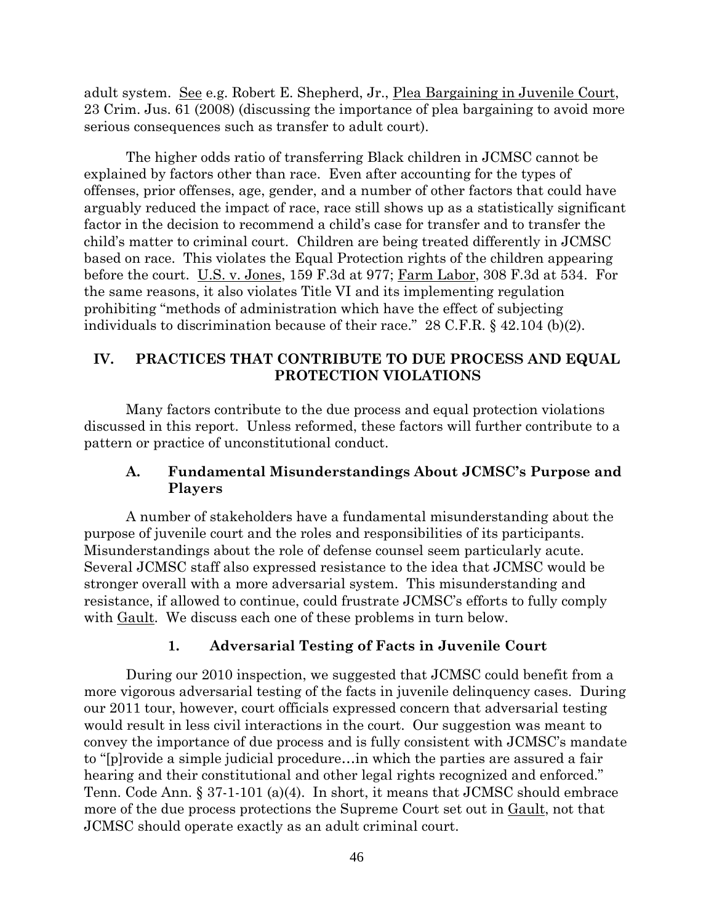adult system. See e.g. Robert E. Shepherd, Jr., Plea Bargaining in Juvenile Court, 23 Crim. Jus. 61 (2008) (discussing the importance of plea bargaining to avoid more serious consequences such as transfer to adult court).

The higher odds ratio of transferring Black children in JCMSC cannot be explained by factors other than race. Even after accounting for the types of offenses, prior offenses, age, gender, and a number of other factors that could have arguably reduced the impact of race, race still shows up as a statistically significant factor in the decision to recommend a child's case for transfer and to transfer the child's matter to criminal court. Children are being treated differently in JCMSC based on race. This violates the Equal Protection rights of the children appearing before the court. U.S. v. Jones, 159 F.3d at 977; Farm Labor, 308 F.3d at 534. For the same reasons, it also violates Title VI and its implementing regulation prohibiting "methods of administration which have the effect of subjecting individuals to discrimination because of their race." 28 C.F.R. § 42.104 (b)(2).

## **IV. PRACTICES THAT CONTRIBUTE TO DUE PROCESS AND EQUAL PROTECTION VIOLATIONS**

Many factors contribute to the due process and equal protection violations discussed in this report. Unless reformed, these factors will further contribute to a pattern or practice of unconstitutional conduct.

### **A. Fundamental Misunderstandings About JCMSC's Purpose and Players**

A number of stakeholders have a fundamental misunderstanding about the purpose of juvenile court and the roles and responsibilities of its participants. Misunderstandings about the role of defense counsel seem particularly acute. Several JCMSC staff also expressed resistance to the idea that JCMSC would be stronger overall with a more adversarial system. This misunderstanding and resistance, if allowed to continue, could frustrate JCMSC's efforts to fully comply with <u>Gault</u>. We discuss each one of these problems in turn below.

## **1. Adversarial Testing of Facts in Juvenile Court**

During our 2010 inspection, we suggested that JCMSC could benefit from a more vigorous adversarial testing of the facts in juvenile delinquency cases. During our 2011 tour, however, court officials expressed concern that adversarial testing would result in less civil interactions in the court. Our suggestion was meant to convey the importance of due process and is fully consistent with JCMSC's mandate to "[p]rovide a simple judicial procedure…in which the parties are assured a fair hearing and their constitutional and other legal rights recognized and enforced." Tenn. Code Ann. § 37-1-101 (a)(4). In short, it means that JCMSC should embrace more of the due process protections the Supreme Court set out in Gault, not that JCMSC should operate exactly as an adult criminal court.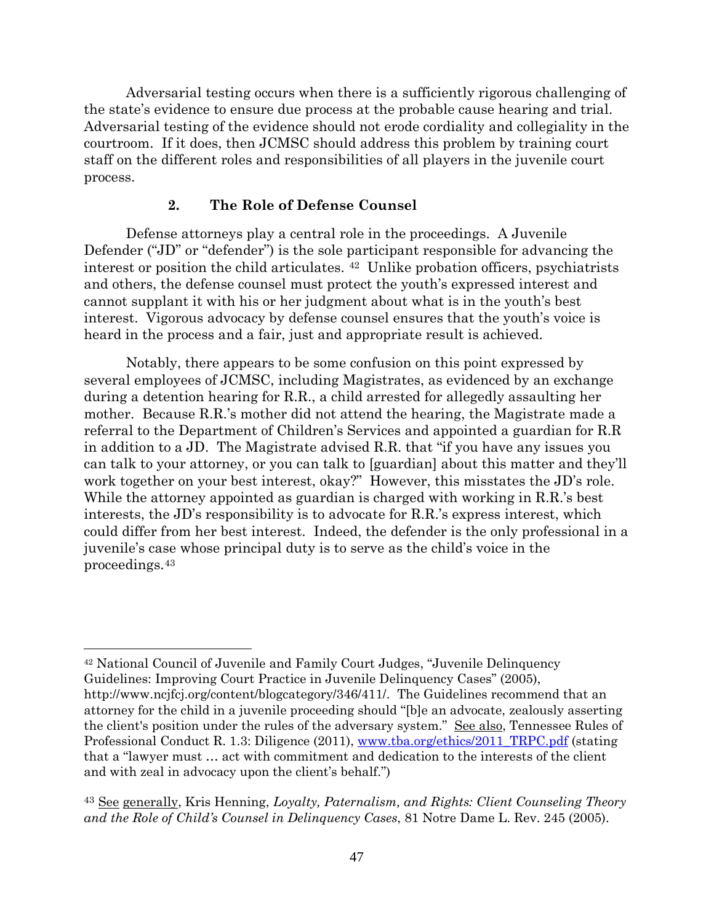Adversarial testing occurs when there is a sufficiently rigorous challenging of the state's evidence to ensure due process at the probable cause hearing and trial. Adversarial testing of the evidence should not erode cordiality and collegiality in the courtroom. If it does, then JCMSC should address this problem by training court staff on the different roles and responsibilities of all players in the juvenile court process.

### **2. The Role of Defense Counsel**

Defense attorneys play a central role in the proceedings. A Juvenile Defender ("JD" or "defender") is the sole participant responsible for advancing the interest or position the child articulates. [42](#page-48-0) Unlike probation officers, psychiatrists and others, the defense counsel must protect the youth's expressed interest and cannot supplant it with his or her judgment about what is in the youth's best interest. Vigorous advocacy by defense counsel ensures that the youth's voice is heard in the process and a fair, just and appropriate result is achieved.

Notably, there appears to be some confusion on this point expressed by several employees of JCMSC, including Magistrates, as evidenced by an exchange during a detention hearing for R.R., a child arrested for allegedly assaulting her mother. Because R.R.'s mother did not attend the hearing, the Magistrate made a referral to the Department of Children's Services and appointed a guardian for R.R in addition to a JD. The Magistrate advised R.R. that "if you have any issues you can talk to your attorney, or you can talk to [guardian] about this matter and they'll work together on your best interest, okay?" However, this misstates the JD's role. While the attorney appointed as guardian is charged with working in R.R.'s best interests, the JD's responsibility is to advocate for R.R.'s express interest, which could differ from her best interest. Indeed, the defender is the only professional in a juvenile's case whose principal duty is to serve as the child's voice in the proceedings. [43](#page-48-1)

<span id="page-48-0"></span> $\overline{a}$ <sup>42</sup> National Council of Juvenile and Family Court Judges, "Juvenile Delinquency Guidelines: Improving Court Practice in Juvenile Delinquency Cases" (2005), http://www.ncjfcj.org/content/blogcategory/346/411/. The Guidelines recommend that an attorney for the child in a juvenile proceeding should "[b]e an advocate, zealously asserting the client's position under the rules of the adversary system." See also, Tennessee Rules of Professional Conduct R. 1.3: Diligence (2011), [www.tba.org/ethics/2011\\_TRPC.pdf](http://www.tba.org/ethics/2011_TRPC.pdf) (stating that a "lawyer must … act with commitment and dedication to the interests of the client and with zeal in advocacy upon the client's behalf.")

<span id="page-48-1"></span><sup>43</sup> See generally, Kris Henning, *Loyalty, Paternalism, and Rights: Client Counseling Theory and the Role of Child's Counsel in Delinquency Cases*, 81 Notre Dame L. Rev. 245 (2005).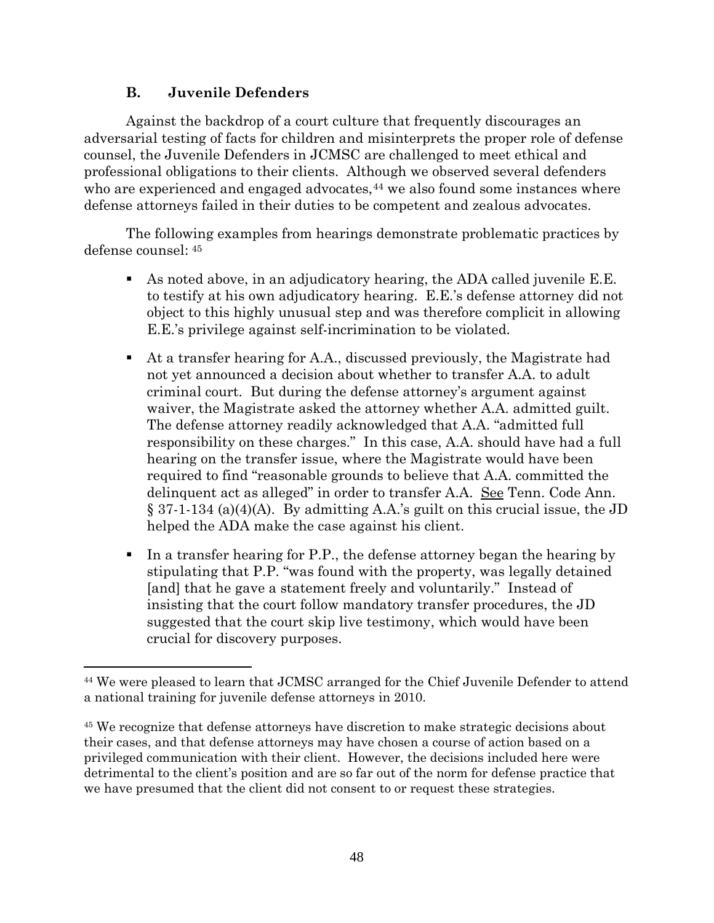## **B. Juvenile Defenders**

Against the backdrop of a court culture that frequently discourages an adversarial testing of facts for children and misinterprets the proper role of defense counsel, the Juvenile Defenders in JCMSC are challenged to meet ethical and professional obligations to their clients. Although we observed several defenders who are experienced and engaged advocates,<sup>[44](#page-49-0)</sup> we also found some instances where defense attorneys failed in their duties to be competent and zealous advocates.

The following examples from hearings demonstrate problematic practices by defense counsel: [45](#page-49-1)

- As noted above, in an adjudicatory hearing, the ADA called juvenile E.E. to testify at his own adjudicatory hearing. E.E.'s defense attorney did not object to this highly unusual step and was therefore complicit in allowing E.E.'s privilege against self-incrimination to be violated.
- At a transfer hearing for A.A., discussed previously, the Magistrate had not yet announced a decision about whether to transfer A.A. to adult criminal court. But during the defense attorney's argument against waiver, the Magistrate asked the attorney whether A.A. admitted guilt. The defense attorney readily acknowledged that A.A. "admitted full responsibility on these charges." In this case, A.A. should have had a full hearing on the transfer issue, where the Magistrate would have been required to find "reasonable grounds to believe that A.A. committed the delinquent act as alleged" in order to transfer A.A. See Tenn. Code Ann.  $\S 37-1-134$  (a)(4)(A). By admitting A.A.'s guilt on this crucial issue, the JD helped the ADA make the case against his client.
- In a transfer hearing for P.P., the defense attorney began the hearing by stipulating that P.P. "was found with the property, was legally detained [and] that he gave a statement freely and voluntarily." Instead of insisting that the court follow mandatory transfer procedures, the JD suggested that the court skip live testimony, which would have been crucial for discovery purposes.

<span id="page-49-0"></span> $\overline{a}$ <sup>44</sup> We were pleased to learn that JCMSC arranged for the Chief Juvenile Defender to attend a national training for juvenile defense attorneys in 2010.

<span id="page-49-1"></span><sup>45</sup> We recognize that defense attorneys have discretion to make strategic decisions about their cases, and that defense attorneys may have chosen a course of action based on a privileged communication with their client. However, the decisions included here were detrimental to the client's position and are so far out of the norm for defense practice that we have presumed that the client did not consent to or request these strategies.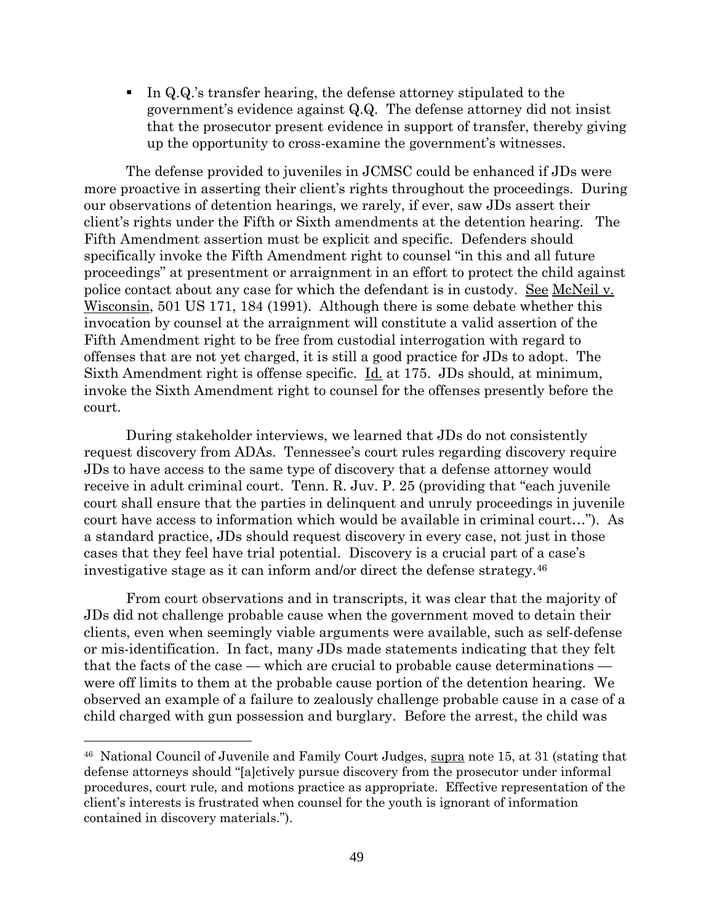In  $Q.Q.'s$  transfer hearing, the defense attorney stipulated to the government's evidence against Q.Q. The defense attorney did not insist that the prosecutor present evidence in support of transfer, thereby giving up the opportunity to cross-examine the government's witnesses.

The defense provided to juveniles in JCMSC could be enhanced if JDs were more proactive in asserting their client's rights throughout the proceedings. During our observations of detention hearings, we rarely, if ever, saw JDs assert their client's rights under the Fifth or Sixth amendments at the detention hearing. The Fifth Amendment assertion must be explicit and specific. Defenders should specifically invoke the Fifth Amendment right to counsel "in this and all future proceedings" at presentment or arraignment in an effort to protect the child against police contact about any case for which the defendant is in custody. See McNeil v. Wisconsin, 501 US 171, 184 (1991). Although there is some debate whether this invocation by counsel at the arraignment will constitute a valid assertion of the Fifth Amendment right to be free from custodial interrogation with regard to offenses that are not yet charged, it is still a good practice for JDs to adopt. The Sixth Amendment right is offense specific. Id. at 175. JDs should, at minimum, invoke the Sixth Amendment right to counsel for the offenses presently before the court.

During stakeholder interviews, we learned that JDs do not consistently request discovery from ADAs. Tennessee's court rules regarding discovery require JDs to have access to the same type of discovery that a defense attorney would receive in adult criminal court. Tenn. R. Juv. P. 25 (providing that "each juvenile court shall ensure that the parties in delinquent and unruly proceedings in juvenile court have access to information which would be available in criminal court…"). As a standard practice, JDs should request discovery in every case, not just in those cases that they feel have trial potential. Discovery is a crucial part of a case's investigative stage as it can inform and/or direct the defense strategy[.46](#page-50-0)

From court observations and in transcripts, it was clear that the majority of JDs did not challenge probable cause when the government moved to detain their clients, even when seemingly viable arguments were available, such as self-defense or mis-identification. In fact, many JDs made statements indicating that they felt that the facts of the case — which are crucial to probable cause determinations were off limits to them at the probable cause portion of the detention hearing. We observed an example of a failure to zealously challenge probable cause in a case of a child charged with gun possession and burglary. Before the arrest, the child was

<span id="page-50-0"></span><sup>&</sup>lt;sup>46</sup> National Council of Juvenile and Family Court Judges, supra note 15, at 31 (stating that defense attorneys should "[a]ctively pursue discovery from the prosecutor under informal procedures, court rule, and motions practice as appropriate. Effective representation of the client's interests is frustrated when counsel for the youth is ignorant of information contained in discovery materials.").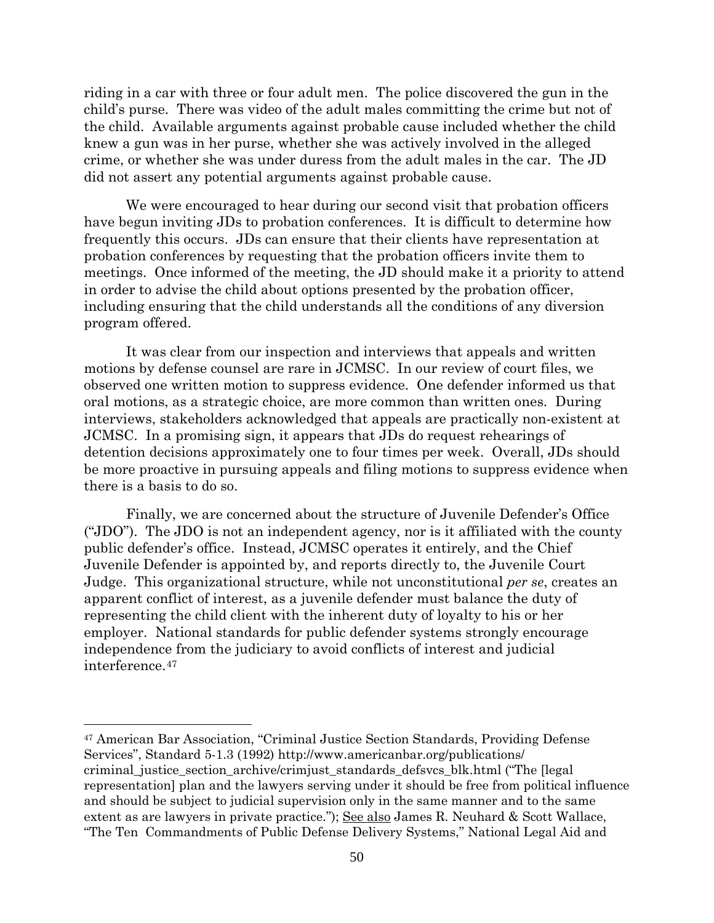riding in a car with three or four adult men. The police discovered the gun in the child's purse. There was video of the adult males committing the crime but not of the child. Available arguments against probable cause included whether the child knew a gun was in her purse, whether she was actively involved in the alleged crime, or whether she was under duress from the adult males in the car. The JD did not assert any potential arguments against probable cause.

We were encouraged to hear during our second visit that probation officers have begun inviting JDs to probation conferences. It is difficult to determine how frequently this occurs. JDs can ensure that their clients have representation at probation conferences by requesting that the probation officers invite them to meetings. Once informed of the meeting, the JD should make it a priority to attend in order to advise the child about options presented by the probation officer, including ensuring that the child understands all the conditions of any diversion program offered.

It was clear from our inspection and interviews that appeals and written motions by defense counsel are rare in JCMSC. In our review of court files, we observed one written motion to suppress evidence. One defender informed us that oral motions, as a strategic choice, are more common than written ones. During interviews, stakeholders acknowledged that appeals are practically non-existent at JCMSC. In a promising sign, it appears that JDs do request rehearings of detention decisions approximately one to four times per week. Overall, JDs should be more proactive in pursuing appeals and filing motions to suppress evidence when there is a basis to do so.

Finally, we are concerned about the structure of Juvenile Defender's Office ("JDO"). The JDO is not an independent agency, nor is it affiliated with the county public defender's office. Instead, JCMSC operates it entirely, and the Chief Juvenile Defender is appointed by, and reports directly to, the Juvenile Court Judge. This organizational structure, while not unconstitutional *per se*, creates an apparent conflict of interest, as a juvenile defender must balance the duty of representing the child client with the inherent duty of loyalty to his or her employer. National standards for public defender systems strongly encourage independence from the judiciary to avoid conflicts of interest and judicial interference.[47](#page-51-0)

<span id="page-51-0"></span><sup>47</sup> American Bar Association, "Criminal Justice Section Standards, Providing Defense Services", Standard 5-1.3 (1992) http://www.americanbar.org/publications/ criminal\_justice\_section\_archive/crimjust\_standards\_defsvcs\_blk.html ("The [legal representation] plan and the lawyers serving under it should be free from political influence and should be subject to judicial supervision only in the same manner and to the same extent as are lawyers in private practice."); See also James R. Neuhard & Scott Wallace, "The Ten Commandments of Public Defense Delivery Systems," National Legal Aid and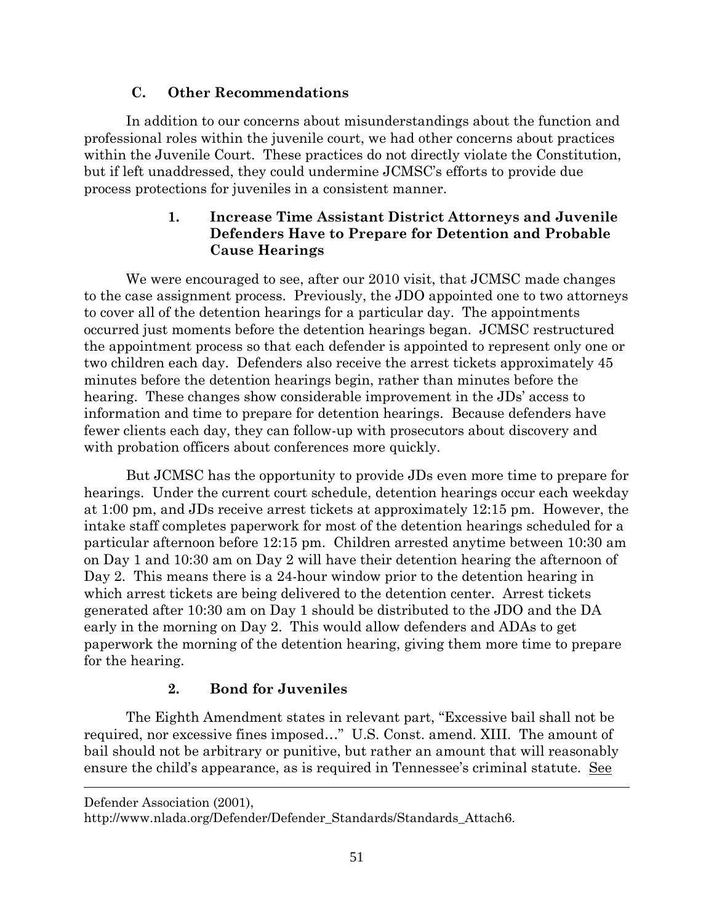### **C. Other Recommendations**

In addition to our concerns about misunderstandings about the function and professional roles within the juvenile court, we had other concerns about practices within the Juvenile Court. These practices do not directly violate the Constitution, but if left unaddressed, they could undermine JCMSC's efforts to provide due process protections for juveniles in a consistent manner.

## **1. Increase Time Assistant District Attorneys and Juvenile Defenders Have to Prepare for Detention and Probable Cause Hearings**

We were encouraged to see, after our 2010 visit, that JCMSC made changes to the case assignment process. Previously, the JDO appointed one to two attorneys to cover all of the detention hearings for a particular day. The appointments occurred just moments before the detention hearings began. JCMSC restructured the appointment process so that each defender is appointed to represent only one or two children each day. Defenders also receive the arrest tickets approximately 45 minutes before the detention hearings begin, rather than minutes before the hearing. These changes show considerable improvement in the JDs' access to information and time to prepare for detention hearings. Because defenders have fewer clients each day, they can follow-up with prosecutors about discovery and with probation officers about conferences more quickly.

But JCMSC has the opportunity to provide JDs even more time to prepare for hearings. Under the current court schedule, detention hearings occur each weekday at 1:00 pm, and JDs receive arrest tickets at approximately 12:15 pm. However, the intake staff completes paperwork for most of the detention hearings scheduled for a particular afternoon before 12:15 pm. Children arrested anytime between 10:30 am on Day 1 and 10:30 am on Day 2 will have their detention hearing the afternoon of Day 2. This means there is a 24-hour window prior to the detention hearing in which arrest tickets are being delivered to the detention center. Arrest tickets generated after 10:30 am on Day 1 should be distributed to the JDO and the DA early in the morning on Day 2. This would allow defenders and ADAs to get paperwork the morning of the detention hearing, giving them more time to prepare for the hearing.

# **2. Bond for Juveniles**

The Eighth Amendment states in relevant part, "Excessive bail shall not be required, nor excessive fines imposed…" U.S. Const. amend. XIII. The amount of bail should not be arbitrary or punitive, but rather an amount that will reasonably ensure the child's appearance, as is required in Tennessee's criminal statute. See

 $\overline{a}$ Defender Association (2001),

http://www.nlada.org/Defender/Defender\_Standards/Standards\_Attach6.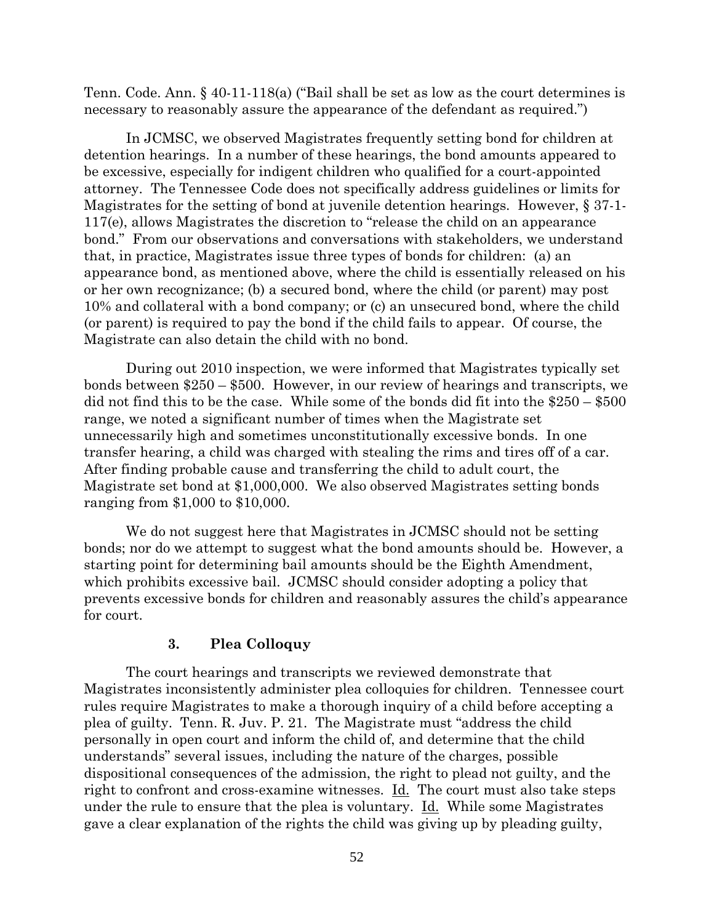Tenn. Code. Ann. § 40-11-118(a) ("Bail shall be set as low as the court determines is necessary to reasonably assure the appearance of the defendant as required.")

In JCMSC, we observed Magistrates frequently setting bond for children at detention hearings. In a number of these hearings, the bond amounts appeared to be excessive, especially for indigent children who qualified for a court-appointed attorney. The Tennessee Code does not specifically address guidelines or limits for Magistrates for the setting of bond at juvenile detention hearings. However, § 37-1- 117(e), allows Magistrates the discretion to "release the child on an appearance bond." From our observations and conversations with stakeholders, we understand that, in practice, Magistrates issue three types of bonds for children: (a) an appearance bond, as mentioned above, where the child is essentially released on his or her own recognizance; (b) a secured bond, where the child (or parent) may post 10% and collateral with a bond company; or (c) an unsecured bond, where the child (or parent) is required to pay the bond if the child fails to appear. Of course, the Magistrate can also detain the child with no bond.

During out 2010 inspection, we were informed that Magistrates typically set bonds between \$250 – \$500. However, in our review of hearings and transcripts, we did not find this to be the case. While some of the bonds did fit into the \$250 – \$500 range, we noted a significant number of times when the Magistrate set unnecessarily high and sometimes unconstitutionally excessive bonds. In one transfer hearing, a child was charged with stealing the rims and tires off of a car. After finding probable cause and transferring the child to adult court, the Magistrate set bond at \$1,000,000. We also observed Magistrates setting bonds ranging from \$1,000 to \$10,000.

We do not suggest here that Magistrates in JCMSC should not be setting bonds; nor do we attempt to suggest what the bond amounts should be. However, a starting point for determining bail amounts should be the Eighth Amendment, which prohibits excessive bail. JCMSC should consider adopting a policy that prevents excessive bonds for children and reasonably assures the child's appearance for court.

#### **3. Plea Colloquy**

The court hearings and transcripts we reviewed demonstrate that Magistrates inconsistently administer plea colloquies for children. Tennessee court rules require Magistrates to make a thorough inquiry of a child before accepting a plea of guilty. Tenn. R. Juv. P. 21. The Magistrate must "address the child personally in open court and inform the child of, and determine that the child understands" several issues, including the nature of the charges, possible dispositional consequences of the admission, the right to plead not guilty, and the right to confront and cross-examine witnesses. Id. The court must also take steps under the rule to ensure that the plea is voluntary. Id. While some Magistrates gave a clear explanation of the rights the child was giving up by pleading guilty,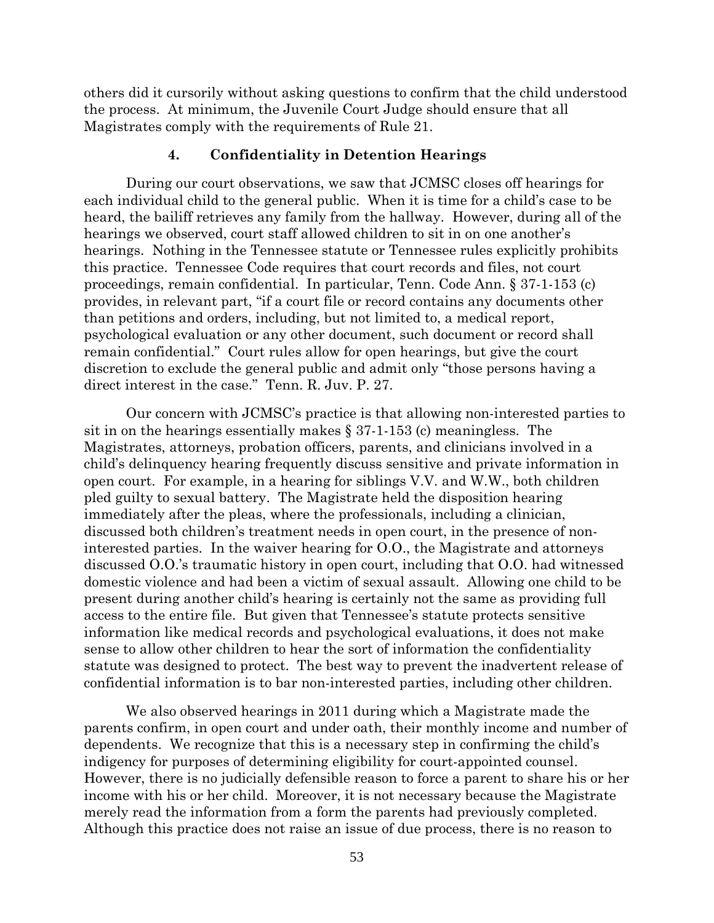others did it cursorily without asking questions to confirm that the child understood the process. At minimum, the Juvenile Court Judge should ensure that all Magistrates comply with the requirements of Rule 21.

#### **4. Confidentiality in Detention Hearings**

During our court observations, we saw that JCMSC closes off hearings for each individual child to the general public. When it is time for a child's case to be heard, the bailiff retrieves any family from the hallway. However, during all of the hearings we observed, court staff allowed children to sit in on one another's hearings. Nothing in the Tennessee statute or Tennessee rules explicitly prohibits this practice. Tennessee Code requires that court records and files, not court proceedings, remain confidential. In particular, Tenn. Code Ann. § 37-1-153 (c) provides, in relevant part, "if a court file or record contains any documents other than petitions and orders, including, but not limited to, a medical report, psychological evaluation or any other document, such document or record shall remain confidential." Court rules allow for open hearings, but give the court discretion to exclude the general public and admit only "those persons having a direct interest in the case." Tenn. R. Juv. P. 27.

Our concern with JCMSC's practice is that allowing non-interested parties to sit in on the hearings essentially makes  $\S 37-1-153$  (c) meaningless. The Magistrates, attorneys, probation officers, parents, and clinicians involved in a child's delinquency hearing frequently discuss sensitive and private information in open court. For example, in a hearing for siblings V.V. and W.W., both children pled guilty to sexual battery. The Magistrate held the disposition hearing immediately after the pleas, where the professionals, including a clinician, discussed both children's treatment needs in open court, in the presence of noninterested parties. In the waiver hearing for O.O., the Magistrate and attorneys discussed O.O.'s traumatic history in open court, including that O.O. had witnessed domestic violence and had been a victim of sexual assault. Allowing one child to be present during another child's hearing is certainly not the same as providing full access to the entire file. But given that Tennessee's statute protects sensitive information like medical records and psychological evaluations, it does not make sense to allow other children to hear the sort of information the confidentiality statute was designed to protect. The best way to prevent the inadvertent release of confidential information is to bar non-interested parties, including other children.

We also observed hearings in 2011 during which a Magistrate made the parents confirm, in open court and under oath, their monthly income and number of dependents. We recognize that this is a necessary step in confirming the child's indigency for purposes of determining eligibility for court-appointed counsel. However, there is no judicially defensible reason to force a parent to share his or her income with his or her child. Moreover, it is not necessary because the Magistrate merely read the information from a form the parents had previously completed. Although this practice does not raise an issue of due process, there is no reason to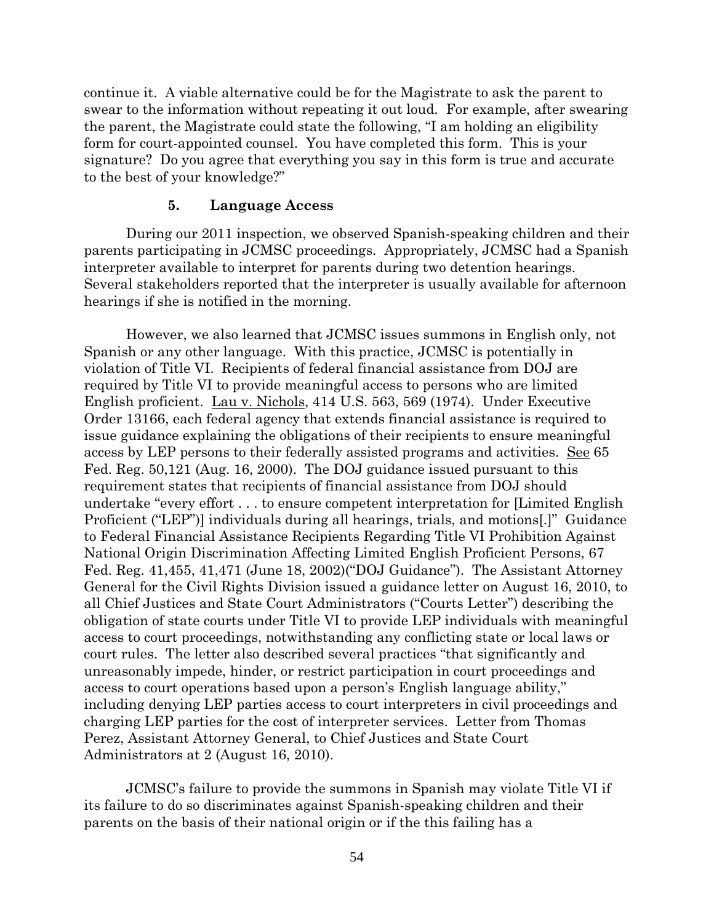continue it. A viable alternative could be for the Magistrate to ask the parent to swear to the information without repeating it out loud. For example, after swearing the parent, the Magistrate could state the following, "I am holding an eligibility form for court-appointed counsel. You have completed this form. This is your signature? Do you agree that everything you say in this form is true and accurate to the best of your knowledge?"

#### **5. Language Access**

During our 2011 inspection, we observed Spanish-speaking children and their parents participating in JCMSC proceedings. Appropriately, JCMSC had a Spanish interpreter available to interpret for parents during two detention hearings. Several stakeholders reported that the interpreter is usually available for afternoon hearings if she is notified in the morning.

However, we also learned that JCMSC issues summons in English only, not Spanish or any other language. With this practice, JCMSC is potentially in violation of Title VI. Recipients of federal financial assistance from DOJ are required by Title VI to provide meaningful access to persons who are limited English proficient. Lau v. Nichols, 414 U.S. 563, 569 (1974). Under Executive Order 13166, each federal agency that extends financial assistance is required to issue guidance explaining the obligations of their recipients to ensure meaningful access by LEP persons to their federally assisted programs and activities. See 65 Fed. Reg. 50,121 (Aug. 16, 2000). The DOJ guidance issued pursuant to this requirement states that recipients of financial assistance from DOJ should undertake "every effort . . . to ensure competent interpretation for [Limited English Proficient ("LEP")] individuals during all hearings, trials, and motions[.]" Guidance to Federal Financial Assistance Recipients Regarding Title VI Prohibition Against National Origin Discrimination Affecting Limited English Proficient Persons, 67 Fed. Reg. 41,455, 41,471 (June 18, 2002)("DOJ Guidance"). The Assistant Attorney General for the Civil Rights Division issued a guidance letter on August 16, 2010, to all Chief Justices and State Court Administrators ("Courts Letter") describing the obligation of state courts under Title VI to provide LEP individuals with meaningful access to court proceedings, notwithstanding any conflicting state or local laws or court rules. The letter also described several practices "that significantly and unreasonably impede, hinder, or restrict participation in court proceedings and access to court operations based upon a person's English language ability," including denying LEP parties access to court interpreters in civil proceedings and charging LEP parties for the cost of interpreter services. Letter from Thomas Perez, Assistant Attorney General, to Chief Justices and State Court Administrators at 2 (August 16, 2010).

JCMSC's failure to provide the summons in Spanish may violate Title VI if its failure to do so discriminates against Spanish-speaking children and their parents on the basis of their national origin or if the this failing has a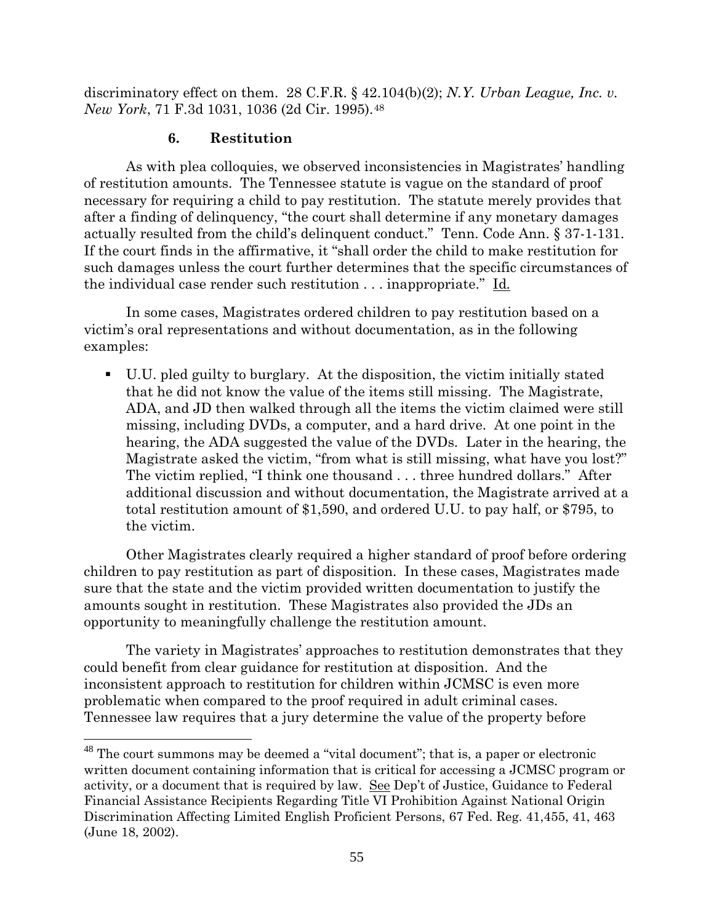discriminatory effect on them. 28 C.F.R. § 42.104(b)(2); *N.Y. Urban League, Inc. v. New York*, 71 F.3d 1031, 1036 (2d Cir. 1995).[48](#page-56-0)

## **6. Restitution**

As with plea colloquies, we observed inconsistencies in Magistrates' handling of restitution amounts. The Tennessee statute is vague on the standard of proof necessary for requiring a child to pay restitution. The statute merely provides that after a finding of delinquency, "the court shall determine if any monetary damages actually resulted from the child's delinquent conduct." Tenn. Code Ann. § 37-1-131. If the court finds in the affirmative, it "shall order the child to make restitution for such damages unless the court further determines that the specific circumstances of the individual case render such restitution  $\ldots$  inappropriate." Id.

In some cases, Magistrates ordered children to pay restitution based on a victim's oral representations and without documentation, as in the following examples:

 U.U. pled guilty to burglary. At the disposition, the victim initially stated that he did not know the value of the items still missing. The Magistrate, ADA, and JD then walked through all the items the victim claimed were still missing, including DVDs, a computer, and a hard drive. At one point in the hearing, the ADA suggested the value of the DVDs. Later in the hearing, the Magistrate asked the victim, "from what is still missing, what have you lost?" The victim replied, "I think one thousand . . . three hundred dollars." After additional discussion and without documentation, the Magistrate arrived at a total restitution amount of \$1,590, and ordered U.U. to pay half, or \$795, to the victim.

Other Magistrates clearly required a higher standard of proof before ordering children to pay restitution as part of disposition. In these cases, Magistrates made sure that the state and the victim provided written documentation to justify the amounts sought in restitution. These Magistrates also provided the JDs an opportunity to meaningfully challenge the restitution amount.

The variety in Magistrates' approaches to restitution demonstrates that they could benefit from clear guidance for restitution at disposition. And the inconsistent approach to restitution for children within JCMSC is even more problematic when compared to the proof required in adult criminal cases. Tennessee law requires that a jury determine the value of the property before

<span id="page-56-0"></span> $\overline{a}$  $^{48}$  The court summons may be deemed a "vital document"; that is, a paper or electronic written document containing information that is critical for accessing a JCMSC program or activity, or a document that is required by law. See Dep't of Justice, Guidance to Federal Financial Assistance Recipients Regarding Title VI Prohibition Against National Origin Discrimination Affecting Limited English Proficient Persons, 67 Fed. Reg. 41,455, 41, 463 (June 18, 2002).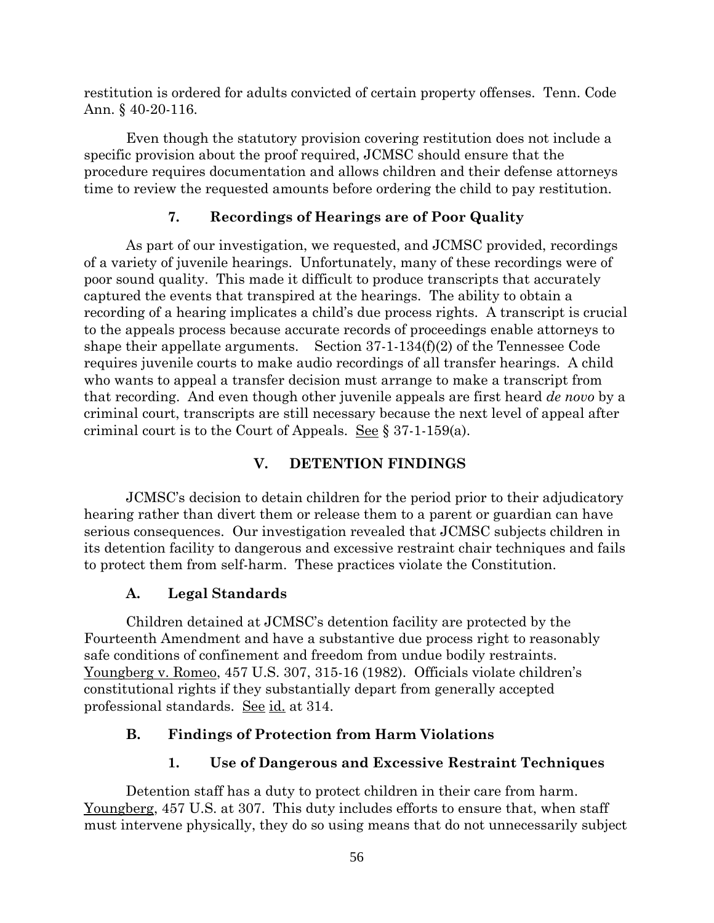restitution is ordered for adults convicted of certain property offenses. Tenn. Code Ann. § 40-20-116.

 Even though the statutory provision covering restitution does not include a specific provision about the proof required, JCMSC should ensure that the procedure requires documentation and allows children and their defense attorneys time to review the requested amounts before ordering the child to pay restitution.

# **7. Recordings of Hearings are of Poor Quality**

As part of our investigation, we requested, and JCMSC provided, recordings of a variety of juvenile hearings. Unfortunately, many of these recordings were of poor sound quality. This made it difficult to produce transcripts that accurately captured the events that transpired at the hearings. The ability to obtain a recording of a hearing implicates a child's due process rights. A transcript is crucial to the appeals process because accurate records of proceedings enable attorneys to shape their appellate arguments. Section  $37-1-134(f)(2)$  of the Tennessee Code requires juvenile courts to make audio recordings of all transfer hearings. A child who wants to appeal a transfer decision must arrange to make a transcript from that recording. And even though other juvenile appeals are first heard *de novo* by a criminal court, transcripts are still necessary because the next level of appeal after criminal court is to the Court of Appeals. See  $\S 37-1-159(a)$ .

# **V. DETENTION FINDINGS**

JCMSC's decision to detain children for the period prior to their adjudicatory hearing rather than divert them or release them to a parent or guardian can have serious consequences. Our investigation revealed that JCMSC subjects children in its detention facility to dangerous and excessive restraint chair techniques and fails to protect them from self-harm. These practices violate the Constitution.

## **A. Legal Standards**

Children detained at JCMSC's detention facility are protected by the Fourteenth Amendment and have a substantive due process right to reasonably safe conditions of confinement and freedom from undue bodily restraints. Youngberg v. Romeo, 457 U.S. 307, 315-16 (1982). Officials violate children's constitutional rights if they substantially depart from generally accepted professional standards. See id. at 314.

## **B. Findings of Protection from Harm Violations**

# **1. Use of Dangerous and Excessive Restraint Techniques**

Detention staff has a duty to protect children in their care from harm. Youngberg, 457 U.S. at 307. This duty includes efforts to ensure that, when staff must intervene physically, they do so using means that do not unnecessarily subject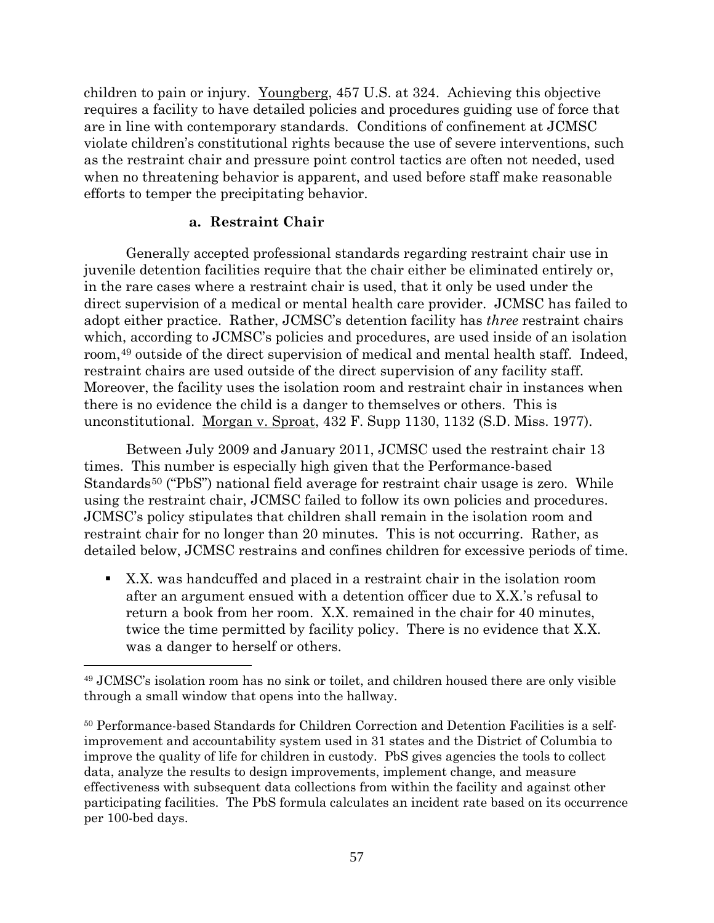children to pain or injury. Youngberg, 457 U.S. at 324. Achieving this objective requires a facility to have detailed policies and procedures guiding use of force that are in line with contemporary standards. Conditions of confinement at JCMSC violate children's constitutional rights because the use of severe interventions, such as the restraint chair and pressure point control tactics are often not needed, used when no threatening behavior is apparent, and used before staff make reasonable efforts to temper the precipitating behavior.

### **a. Restraint Chair**

 $\overline{a}$ 

Generally accepted professional standards regarding restraint chair use in juvenile detention facilities require that the chair either be eliminated entirely or, in the rare cases where a restraint chair is used, that it only be used under the direct supervision of a medical or mental health care provider. JCMSC has failed to adopt either practice. Rather, JCMSC's detention facility has *three* restraint chairs which, according to JCMSC's policies and procedures, are used inside of an isolation room,<sup>[49](#page-58-0)</sup> outside of the direct supervision of medical and mental health staff. Indeed, restraint chairs are used outside of the direct supervision of any facility staff. Moreover, the facility uses the isolation room and restraint chair in instances when there is no evidence the child is a danger to themselves or others. This is unconstitutional. Morgan v. Sproat, 432 F. Supp 1130, 1132 (S.D. Miss. 1977).

Between July 2009 and January 2011, JCMSC used the restraint chair 13 times. This number is especially high given that the Performance-based Standards<sup>[50](#page-58-1)</sup> ("PbS") national field average for restraint chair usage is zero. While using the restraint chair, JCMSC failed to follow its own policies and procedures. JCMSC's policy stipulates that children shall remain in the isolation room and restraint chair for no longer than 20 minutes. This is not occurring. Rather, as detailed below, JCMSC restrains and confines children for excessive periods of time.

 X.X. was handcuffed and placed in a restraint chair in the isolation room after an argument ensued with a detention officer due to X.X.'s refusal to return a book from her room. X.X. remained in the chair for 40 minutes, twice the time permitted by facility policy. There is no evidence that X.X. was a danger to herself or others.

<span id="page-58-0"></span><sup>49</sup> JCMSC's isolation room has no sink or toilet, and children housed there are only visible through a small window that opens into the hallway.

<span id="page-58-1"></span><sup>50</sup> Performance-based Standards for Children Correction and Detention Facilities is a selfimprovement and accountability system used in 31 states and the District of Columbia to improve the quality of life for children in custody. PbS gives agencies the tools to collect data, analyze the results to design improvements, implement change, and measure effectiveness with subsequent data collections from within the facility and against other participating facilities. The PbS formula calculates an incident rate based on its occurrence per 100-bed days.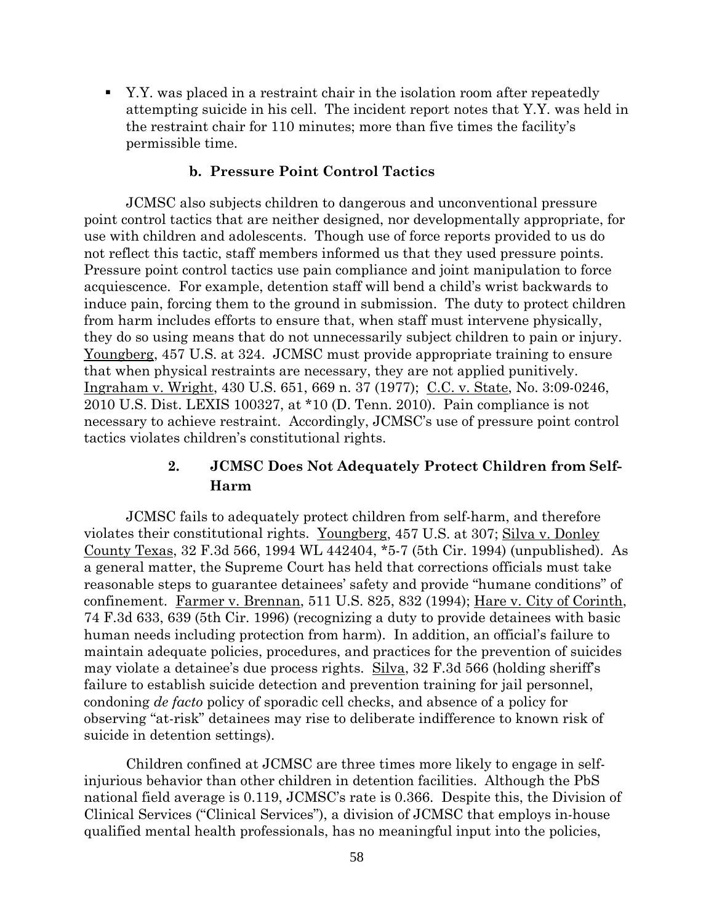Y.Y. was placed in a restraint chair in the isolation room after repeatedly attempting suicide in his cell. The incident report notes that Y.Y. was held in the restraint chair for 110 minutes; more than five times the facility's permissible time.

#### **b. Pressure Point Control Tactics**

JCMSC also subjects children to dangerous and unconventional pressure point control tactics that are neither designed, nor developmentally appropriate, for use with children and adolescents. Though use of force reports provided to us do not reflect this tactic, staff members informed us that they used pressure points. Pressure point control tactics use pain compliance and joint manipulation to force acquiescence. For example, detention staff will bend a child's wrist backwards to induce pain, forcing them to the ground in submission. The duty to protect children from harm includes efforts to ensure that, when staff must intervene physically, they do so using means that do not unnecessarily subject children to pain or injury. Youngberg, 457 U.S. at 324. JCMSC must provide appropriate training to ensure that when physical restraints are necessary, they are not applied punitively. Ingraham v. Wright, 430 U.S. 651, 669 n. 37 (1977); C.C. v. State, No. 3:09-0246, 2010 U.S. Dist. LEXIS 100327, at \*10 (D. Tenn. 2010). Pain compliance is not necessary to achieve restraint. Accordingly, JCMSC's use of pressure point control tactics violates children's constitutional rights.

### **2. JCMSC Does Not Adequately Protect Children from Self-Harm**

JCMSC fails to adequately protect children from self-harm, and therefore violates their constitutional rights. Youngberg, 457 U.S. at 307; Silva v. Donley County Texas, 32 F.3d 566, 1994 WL 442404, \*5-7 (5th Cir. 1994) (unpublished). As a general matter, the Supreme Court has held that corrections officials must take reasonable steps to guarantee detainees' safety and provide "humane conditions" of confinement. Farmer v. Brennan, 511 U.S. 825, 832 (1994); Hare v. City of Corinth, 74 F.3d 633, 639 (5th Cir. 1996) (recognizing a duty to provide detainees with basic human needs including protection from harm). In addition, an official's failure to maintain adequate policies, procedures, and practices for the prevention of suicides may violate a detainee's due process rights. Silva, 32 F.3d 566 (holding sheriff's failure to establish suicide detection and prevention training for jail personnel, condoning *de facto* policy of sporadic cell checks, and absence of a policy for observing "at-risk" detainees may rise to deliberate indifference to known risk of suicide in detention settings).

Children confined at JCMSC are three times more likely to engage in selfinjurious behavior than other children in detention facilities. Although the PbS national field average is 0.119, JCMSC's rate is 0.366. Despite this, the Division of Clinical Services ("Clinical Services"), a division of JCMSC that employs in-house qualified mental health professionals, has no meaningful input into the policies,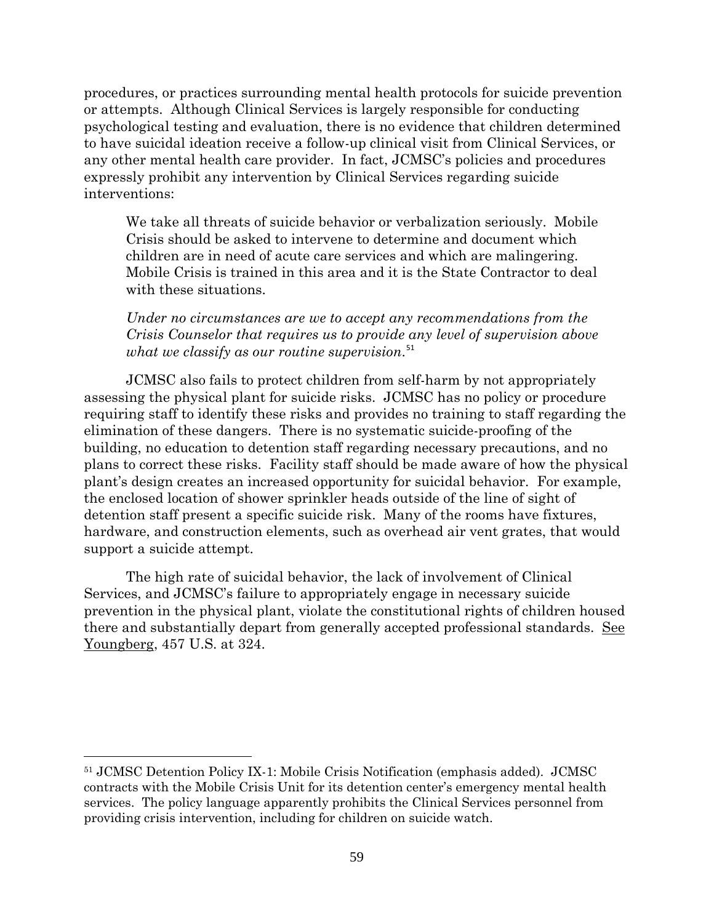procedures, or practices surrounding mental health protocols for suicide prevention or attempts. Although Clinical Services is largely responsible for conducting psychological testing and evaluation, there is no evidence that children determined to have suicidal ideation receive a follow-up clinical visit from Clinical Services, or any other mental health care provider. In fact, JCMSC's policies and procedures expressly prohibit any intervention by Clinical Services regarding suicide interventions:

We take all threats of suicide behavior or verbalization seriously. Mobile Crisis should be asked to intervene to determine and document which children are in need of acute care services and which are malingering. Mobile Crisis is trained in this area and it is the State Contractor to deal with these situations.

*Under no circumstances are we to accept any recommendations from the Crisis Counselor that requires us to provide any level of supervision above what we classify as our routine supervision*. [51](#page-60-0)

JCMSC also fails to protect children from self-harm by not appropriately assessing the physical plant for suicide risks. JCMSC has no policy or procedure requiring staff to identify these risks and provides no training to staff regarding the elimination of these dangers. There is no systematic suicide-proofing of the building, no education to detention staff regarding necessary precautions, and no plans to correct these risks. Facility staff should be made aware of how the physical plant's design creates an increased opportunity for suicidal behavior. For example, the enclosed location of shower sprinkler heads outside of the line of sight of detention staff present a specific suicide risk. Many of the rooms have fixtures, hardware, and construction elements, such as overhead air vent grates, that would support a suicide attempt.

The high rate of suicidal behavior, the lack of involvement of Clinical Services, and JCMSC's failure to appropriately engage in necessary suicide prevention in the physical plant, violate the constitutional rights of children housed there and substantially depart from generally accepted professional standards. See Youngberg, 457 U.S. at 324.

<span id="page-60-0"></span><sup>51</sup> JCMSC Detention Policy IX-1: Mobile Crisis Notification (emphasis added). JCMSC contracts with the Mobile Crisis Unit for its detention center's emergency mental health services. The policy language apparently prohibits the Clinical Services personnel from providing crisis intervention, including for children on suicide watch.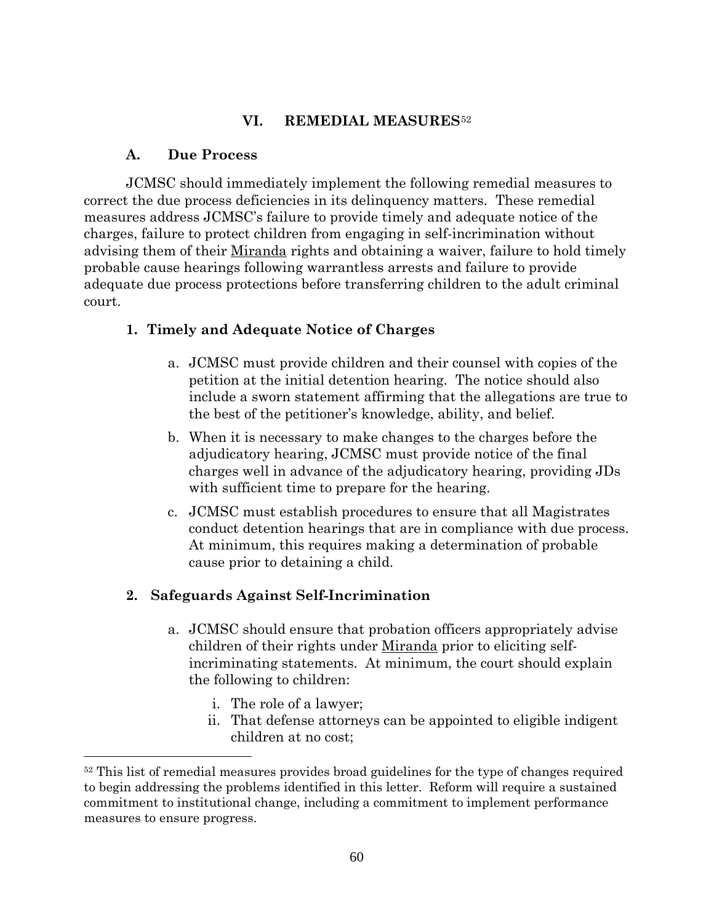## **VI. REMEDIAL MEASURES**[52](#page-61-0)

### **A. Due Process**

JCMSC should immediately implement the following remedial measures to correct the due process deficiencies in its delinquency matters. These remedial measures address JCMSC's failure to provide timely and adequate notice of the charges, failure to protect children from engaging in self-incrimination without advising them of their Miranda rights and obtaining a waiver, failure to hold timely probable cause hearings following warrantless arrests and failure to provide adequate due process protections before transferring children to the adult criminal court.

# **1. Timely and Adequate Notice of Charges**

- a. JCMSC must provide children and their counsel with copies of the petition at the initial detention hearing. The notice should also include a sworn statement affirming that the allegations are true to the best of the petitioner's knowledge, ability, and belief.
- b. When it is necessary to make changes to the charges before the adjudicatory hearing, JCMSC must provide notice of the final charges well in advance of the adjudicatory hearing, providing JDs with sufficient time to prepare for the hearing.
- c. JCMSC must establish procedures to ensure that all Magistrates conduct detention hearings that are in compliance with due process. At minimum, this requires making a determination of probable cause prior to detaining a child.

# **2. Safeguards Against Self-Incrimination**

- a. JCMSC should ensure that probation officers appropriately advise children of their rights under Miranda prior to eliciting selfincriminating statements. At minimum, the court should explain the following to children:
	- i. The role of a lawyer;

 $\overline{a}$ 

ii. That defense attorneys can be appointed to eligible indigent children at no cost;

<span id="page-61-0"></span><sup>&</sup>lt;sup>52</sup> This list of remedial measures provides broad guidelines for the type of changes required to begin addressing the problems identified in this letter. Reform will require a sustained commitment to institutional change, including a commitment to implement performance measures to ensure progress.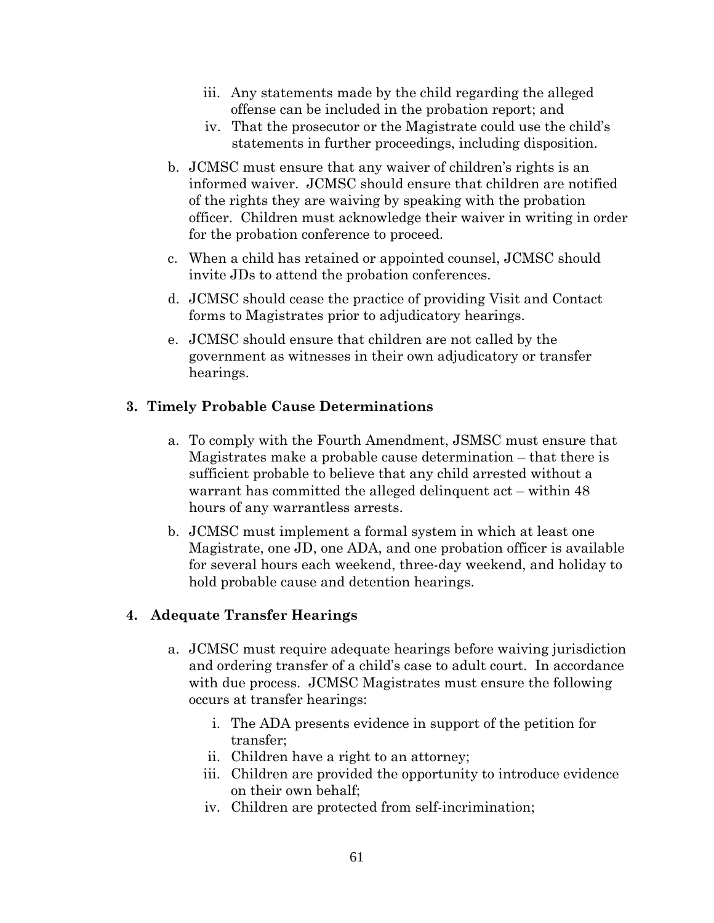- iii. Any statements made by the child regarding the alleged offense can be included in the probation report; and
- iv. That the prosecutor or the Magistrate could use the child's statements in further proceedings, including disposition.
- b. JCMSC must ensure that any waiver of children's rights is an informed waiver. JCMSC should ensure that children are notified of the rights they are waiving by speaking with the probation officer. Children must acknowledge their waiver in writing in order for the probation conference to proceed.
- c. When a child has retained or appointed counsel, JCMSC should invite JDs to attend the probation conferences.
- d. JCMSC should cease the practice of providing Visit and Contact forms to Magistrates prior to adjudicatory hearings.
- e. JCMSC should ensure that children are not called by the government as witnesses in their own adjudicatory or transfer hearings.

# **3. Timely Probable Cause Determinations**

- a. To comply with the Fourth Amendment, JSMSC must ensure that Magistrates make a probable cause determination – that there is sufficient probable to believe that any child arrested without a warrant has committed the alleged delinquent act – within 48 hours of any warrantless arrests.
- b. JCMSC must implement a formal system in which at least one Magistrate, one JD, one ADA, and one probation officer is available for several hours each weekend, three-day weekend, and holiday to hold probable cause and detention hearings.

## **4. Adequate Transfer Hearings**

- a. JCMSC must require adequate hearings before waiving jurisdiction and ordering transfer of a child's case to adult court. In accordance with due process. JCMSC Magistrates must ensure the following occurs at transfer hearings:
	- i. The ADA presents evidence in support of the petition for transfer;
	- ii. Children have a right to an attorney;
	- iii. Children are provided the opportunity to introduce evidence on their own behalf;
	- iv. Children are protected from self-incrimination;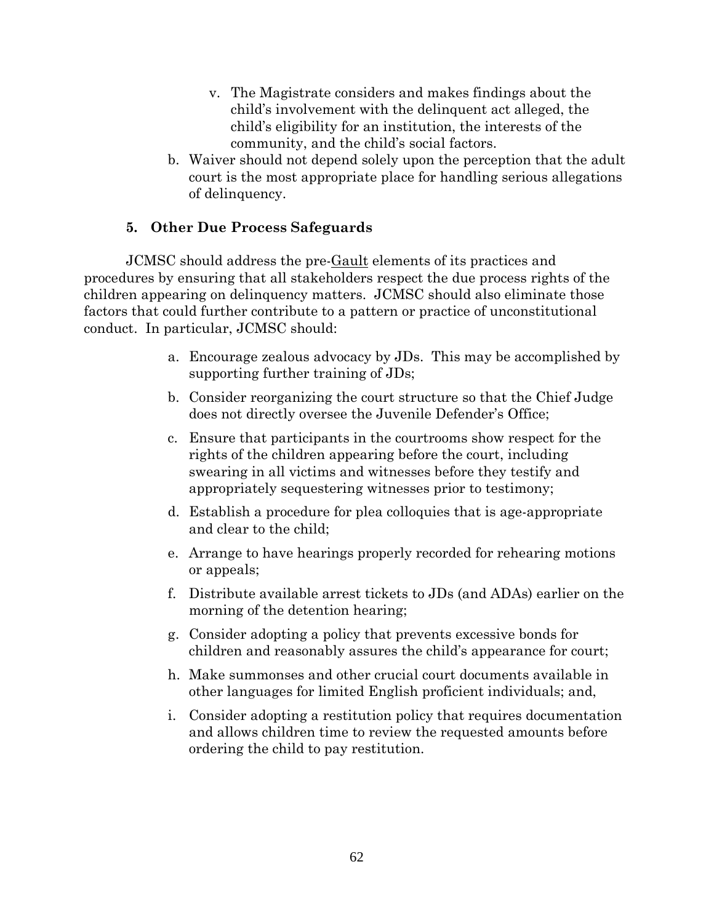- v. The Magistrate considers and makes findings about the child's involvement with the delinquent act alleged, the child's eligibility for an institution, the interests of the community, and the child's social factors.
- b. Waiver should not depend solely upon the perception that the adult court is the most appropriate place for handling serious allegations of delinquency.

### **5. Other Due Process Safeguards**

JCMSC should address the pre-Gault elements of its practices and procedures by ensuring that all stakeholders respect the due process rights of the children appearing on delinquency matters. JCMSC should also eliminate those factors that could further contribute to a pattern or practice of unconstitutional conduct. In particular, JCMSC should:

- a. Encourage zealous advocacy by JDs. This may be accomplished by supporting further training of JDs;
- b. Consider reorganizing the court structure so that the Chief Judge does not directly oversee the Juvenile Defender's Office;
- c. Ensure that participants in the courtrooms show respect for the rights of the children appearing before the court, including swearing in all victims and witnesses before they testify and appropriately sequestering witnesses prior to testimony;
- d. Establish a procedure for plea colloquies that is age-appropriate and clear to the child;
- e. Arrange to have hearings properly recorded for rehearing motions or appeals;
- f. Distribute available arrest tickets to JDs (and ADAs) earlier on the morning of the detention hearing;
- g. Consider adopting a policy that prevents excessive bonds for children and reasonably assures the child's appearance for court;
- h. Make summonses and other crucial court documents available in other languages for limited English proficient individuals; and,
- i. Consider adopting a restitution policy that requires documentation and allows children time to review the requested amounts before ordering the child to pay restitution.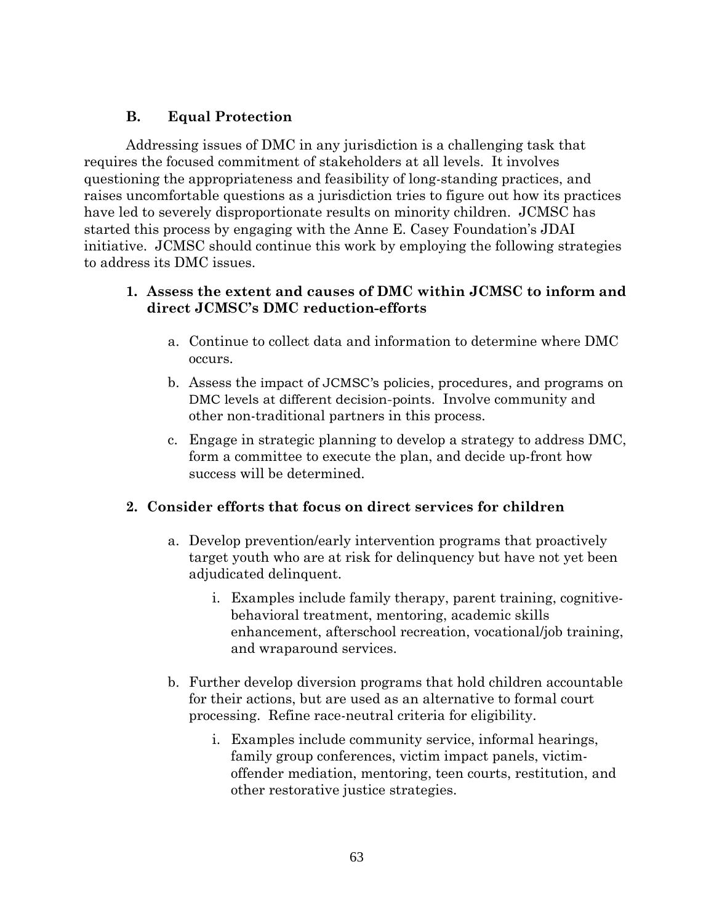## **B. Equal Protection**

Addressing issues of DMC in any jurisdiction is a challenging task that requires the focused commitment of stakeholders at all levels. It involves questioning the appropriateness and feasibility of long-standing practices, and raises uncomfortable questions as a jurisdiction tries to figure out how its practices have led to severely disproportionate results on minority children. JCMSC has started this process by engaging with the Anne E. Casey Foundation's JDAI initiative. JCMSC should continue this work by employing the following strategies to address its DMC issues.

### **1. Assess the extent and causes of DMC within JCMSC to inform and direct JCMSC's DMC reduction-efforts**

- a. Continue to collect data and information to determine where DMC occurs.
- b. Assess the impact of JCMSC's policies, procedures, and programs on DMC levels at different decision-points. Involve community and other non-traditional partners in this process.
- c. Engage in strategic planning to develop a strategy to address DMC, form a committee to execute the plan, and decide up-front how success will be determined.

## **2. Consider efforts that focus on direct services for children**

- a. Develop prevention/early intervention programs that proactively target youth who are at risk for delinquency but have not yet been adjudicated delinquent.
	- i. Examples include family therapy, parent training, cognitivebehavioral treatment, mentoring, academic skills enhancement, afterschool recreation, vocational/job training, and wraparound services.
- b. Further develop diversion programs that hold children accountable for their actions, but are used as an alternative to formal court processing. Refine race-neutral criteria for eligibility.
	- i. Examples include community service, informal hearings, family group conferences, victim impact panels, victimoffender mediation, mentoring, teen courts, restitution, and other restorative justice strategies.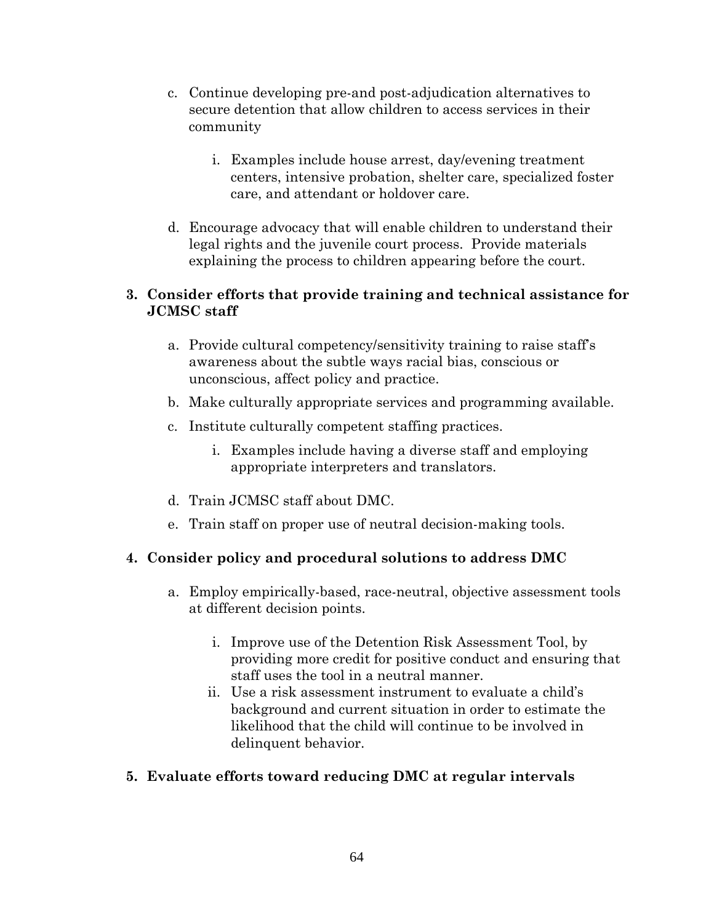- c. Continue developing pre-and post-adjudication alternatives to secure detention that allow children to access services in their community
	- i. Examples include house arrest, day/evening treatment centers, intensive probation, shelter care, specialized foster care, and attendant or holdover care.
- d. Encourage advocacy that will enable children to understand their legal rights and the juvenile court process. Provide materials explaining the process to children appearing before the court.

## **3. Consider efforts that provide training and technical assistance for JCMSC staff**

- a. Provide cultural competency/sensitivity training to raise staff's awareness about the subtle ways racial bias, conscious or unconscious, affect policy and practice.
- b. Make culturally appropriate services and programming available.
- c. Institute culturally competent staffing practices.
	- i. Examples include having a diverse staff and employing appropriate interpreters and translators.
- d. Train JCMSC staff about DMC.
- e. Train staff on proper use of neutral decision-making tools.

## **4. Consider policy and procedural solutions to address DMC**

- a. Employ empirically-based, race-neutral, objective assessment tools at different decision points.
	- i. Improve use of the Detention Risk Assessment Tool, by providing more credit for positive conduct and ensuring that staff uses the tool in a neutral manner.
	- ii. Use a risk assessment instrument to evaluate a child's background and current situation in order to estimate the likelihood that the child will continue to be involved in delinquent behavior.

## **5. Evaluate efforts toward reducing DMC at regular intervals**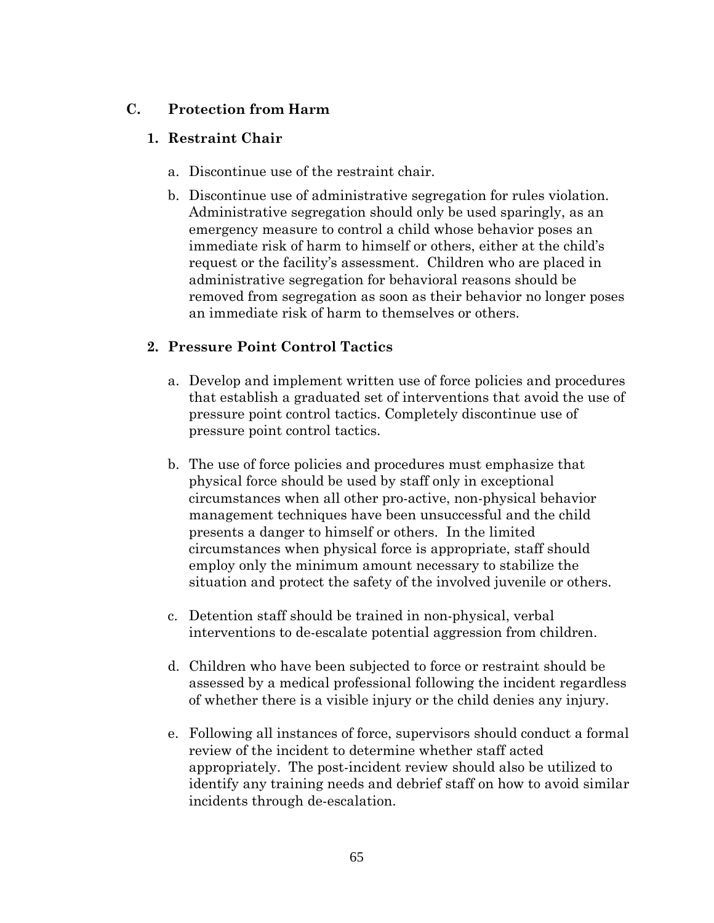### **C. Protection from Harm**

### **1. Restraint Chair**

- a. Discontinue use of the restraint chair.
- b. Discontinue use of administrative segregation for rules violation. Administrative segregation should only be used sparingly, as an emergency measure to control a child whose behavior poses an immediate risk of harm to himself or others, either at the child's request or the facility's assessment. Children who are placed in administrative segregation for behavioral reasons should be removed from segregation as soon as their behavior no longer poses an immediate risk of harm to themselves or others.

### **2. Pressure Point Control Tactics**

- a. Develop and implement written use of force policies and procedures that establish a graduated set of interventions that avoid the use of pressure point control tactics. Completely discontinue use of pressure point control tactics.
- b. The use of force policies and procedures must emphasize that physical force should be used by staff only in exceptional circumstances when all other pro-active, non-physical behavior management techniques have been unsuccessful and the child presents a danger to himself or others. In the limited circumstances when physical force is appropriate, staff should employ only the minimum amount necessary to stabilize the situation and protect the safety of the involved juvenile or others.
- c. Detention staff should be trained in non-physical, verbal interventions to de-escalate potential aggression from children.
- d. Children who have been subjected to force or restraint should be assessed by a medical professional following the incident regardless of whether there is a visible injury or the child denies any injury.
- e. Following all instances of force, supervisors should conduct a formal review of the incident to determine whether staff acted appropriately. The post-incident review should also be utilized to identify any training needs and debrief staff on how to avoid similar incidents through de-escalation.